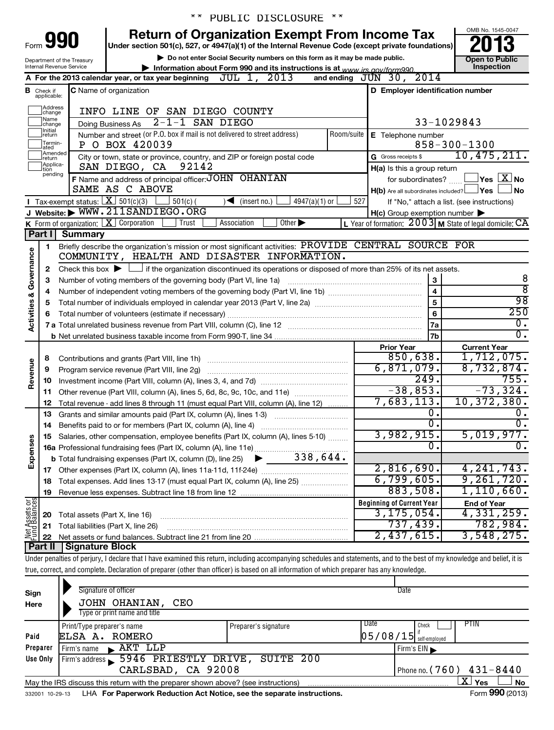|                         |                                  |                                        | $\star \star$                                                                                                                                                              | PUBLIC DISCLOSURE<br>$\star\star$                                                                  |                                                     |                                                                |
|-------------------------|----------------------------------|----------------------------------------|----------------------------------------------------------------------------------------------------------------------------------------------------------------------------|----------------------------------------------------------------------------------------------------|-----------------------------------------------------|----------------------------------------------------------------|
|                         |                                  |                                        |                                                                                                                                                                            | <b>Return of Organization Exempt From Income Tax</b>                                               |                                                     | OMB No. 1545-0047                                              |
| Form                    |                                  | 990                                    |                                                                                                                                                                            | Under section 501(c), 527, or 4947(a)(1) of the Internal Revenue Code (except private foundations) |                                                     |                                                                |
|                         |                                  | Department of the Treasury             |                                                                                                                                                                            | Do not enter Social Security numbers on this form as it may be made public.                        |                                                     | <b>Open to Public</b>                                          |
|                         |                                  | Internal Revenue Service               |                                                                                                                                                                            | Information about Form 990 and its instructions is at www irs gov/form990                          |                                                     | Inspection                                                     |
|                         |                                  |                                        | A For the 2013 calendar year, or tax year beginning                                                                                                                        | JUL 1, 2013                                                                                        | and ending JUN 30, 2014                             |                                                                |
|                         | <b>B</b> Check if<br>applicable: |                                        | <b>C</b> Name of organization                                                                                                                                              |                                                                                                    | D Employer identification number                    |                                                                |
|                         | Address                          |                                        |                                                                                                                                                                            |                                                                                                    |                                                     |                                                                |
|                         | change<br>Name                   |                                        | INFO LINE OF SAN DIEGO COUNTY                                                                                                                                              |                                                                                                    |                                                     |                                                                |
|                         | change<br>Initial                |                                        | $2 - 1 - 1$ SAN DIEGO<br>Doing Business As                                                                                                                                 |                                                                                                    |                                                     | 33-1029843                                                     |
|                         | return<br>Termin-                |                                        | Number and street (or P.O. box if mail is not delivered to street address)<br>P O BOX 420039                                                                               |                                                                                                    | Room/suite   E Telephone number                     | $858 - 300 - 1300$                                             |
|                         | ated<br>Amended                  |                                        | City or town, state or province, country, and ZIP or foreign postal code                                                                                                   |                                                                                                    | G Gross receipts \$                                 | 10,475,211.                                                    |
|                         | return<br>Applica-               |                                        | SAN DIEGO, CA<br>92142                                                                                                                                                     |                                                                                                    | H(a) Is this a group return                         |                                                                |
|                         | tion<br>pending                  |                                        | F Name and address of principal officer: JOHN OHANIAN                                                                                                                      |                                                                                                    | for subordinates?                                   | $\overline{\ }$ Yes $\overline{\rm \ }X\ \overline{\rm \ }$ No |
|                         |                                  |                                        | SAME AS C ABOVE                                                                                                                                                            |                                                                                                    | $H(b)$ Are all subordinates included? $\Box$ Yes    | <b>No</b>                                                      |
|                         |                                  | Tax-exempt status: $X \over 301(c)(3)$ | $501(c)$ (                                                                                                                                                                 | $\frac{1}{4947(a)(1)}$ or<br>$\sqrt{\frac{1}{1}}$ (insert no.)                                     | 527                                                 | If "No," attach a list. (see instructions)                     |
|                         |                                  |                                        | J Website: WWW.211SANDIEGO.ORG                                                                                                                                             |                                                                                                    | $H(c)$ Group exemption number $\blacktriangleright$ |                                                                |
|                         |                                  |                                        | <b>K</b> Form of organization: $X$ Corporation<br>Trust                                                                                                                    | Association<br>Other $\blacktriangleright$                                                         |                                                     | L Year of formation: $2003$ M State of legal domicile: $CA$    |
|                         | Part I                           | <b>Summary</b>                         |                                                                                                                                                                            |                                                                                                    |                                                     |                                                                |
|                         | 1.                               |                                        | Briefly describe the organization's mission or most significant activities: PROVIDE CENTRAL SOURCE FOR                                                                     |                                                                                                    |                                                     |                                                                |
| Activities & Governance |                                  |                                        | COMMUNITY, HEALTH AND DISASTER INFORMATION.                                                                                                                                |                                                                                                    |                                                     |                                                                |
|                         | 2                                |                                        | Check this box $\blacktriangleright$ $\Box$ if the organization discontinued its operations or disposed of more than 25% of its net assets.                                |                                                                                                    |                                                     |                                                                |
|                         | 3                                |                                        | Number of voting members of the governing body (Part VI, line 1a)                                                                                                          |                                                                                                    | 3                                                   | 8<br>$\overline{8}$                                            |
|                         | 4                                |                                        |                                                                                                                                                                            |                                                                                                    | $\overline{\mathbf{4}}$<br>5                        | 98                                                             |
|                         | 5                                |                                        |                                                                                                                                                                            |                                                                                                    | 6                                                   | $\overline{250}$                                               |
|                         | 6                                |                                        |                                                                                                                                                                            |                                                                                                    | 7a                                                  | $0$ .                                                          |
|                         |                                  |                                        |                                                                                                                                                                            |                                                                                                    | 7 <sub>b</sub>                                      | $\overline{0}$ .                                               |
|                         |                                  |                                        |                                                                                                                                                                            |                                                                                                    | <b>Prior Year</b>                                   | <b>Current Year</b>                                            |
|                         | 8                                |                                        |                                                                                                                                                                            |                                                                                                    | 850,638.                                            | 1,712,075.                                                     |
|                         | 9                                |                                        |                                                                                                                                                                            |                                                                                                    | 6,871,079.                                          | 8,732,874.                                                     |
| Revenue                 | 10                               |                                        |                                                                                                                                                                            |                                                                                                    | $\overline{249}$ .                                  | 755.                                                           |
|                         | 11                               |                                        | Other revenue (Part VIII, column (A), lines 5, 6d, 8c, 9c, 10c, and 11e)                                                                                                   |                                                                                                    | $-38,853.$                                          | $-73, 324.$                                                    |
|                         | 12                               |                                        | Total revenue - add lines 8 through 11 (must equal Part VIII, column (A), line 12)                                                                                         |                                                                                                    | 7,683,113.                                          | 10, 372, 380.                                                  |
|                         | 13                               |                                        | Grants and similar amounts paid (Part IX, column (A), lines 1-3)                                                                                                           |                                                                                                    | о.                                                  | ο.                                                             |
|                         | 14                               |                                        | Benefits paid to or for members (Part IX, column (A), line 4)                                                                                                              |                                                                                                    | σ.                                                  | $\overline{0}$ .                                               |
| Expenses                |                                  |                                        | 15 Salaries, other compensation, employee benefits (Part IX, column (A), lines 5-10)                                                                                       |                                                                                                    | 3,982,915.<br>0                                     | 5,019,977.<br>0.                                               |
|                         |                                  |                                        | 16a Professional fundraising fees (Part IX, column (A), line 11e)                                                                                                          |                                                                                                    |                                                     |                                                                |
|                         |                                  |                                        |                                                                                                                                                                            |                                                                                                    | 2,816,690.                                          | 4, 241, 743.                                                   |
|                         | 18                               |                                        | Total expenses. Add lines 13-17 (must equal Part IX, column (A), line 25)                                                                                                  |                                                                                                    | 6,799,605.                                          | 9,261,720.                                                     |
|                         | 19                               |                                        |                                                                                                                                                                            |                                                                                                    | 883,508.                                            | 1,110,660.                                                     |
|                         |                                  |                                        |                                                                                                                                                                            |                                                                                                    | <b>Beginning of Current Year</b>                    | <b>End of Year</b>                                             |
|                         | 20                               | Total assets (Part X, line 16)         |                                                                                                                                                                            |                                                                                                    | 3, 175, 054.                                        | 4,331,259.                                                     |
| Net Assets or           | 21                               |                                        | Total liabilities (Part X, line 26)                                                                                                                                        |                                                                                                    | 737,439.                                            | 782,984.                                                       |
|                         | 22                               |                                        |                                                                                                                                                                            |                                                                                                    | 2,437,615.                                          | 3,548,275.                                                     |
|                         | Part II                          | Signature Block                        |                                                                                                                                                                            |                                                                                                    |                                                     |                                                                |
|                         |                                  |                                        | Under penalties of perjury, I declare that I have examined this return, including accompanying schedules and statements, and to the best of my knowledge and belief, it is |                                                                                                    |                                                     |                                                                |
|                         |                                  |                                        | true, correct, and complete. Declaration of preparer (other than officer) is based on all information of which preparer has any knowledge.                                 |                                                                                                    |                                                     |                                                                |
|                         |                                  |                                        | Signature of officer                                                                                                                                                       |                                                                                                    | Date                                                |                                                                |
| Sign                    |                                  |                                        |                                                                                                                                                                            |                                                                                                    |                                                     |                                                                |
| Here                    |                                  |                                        | JOHN OHANIAN, CEO<br>Type or print name and title                                                                                                                          |                                                                                                    |                                                     |                                                                |
|                         |                                  | Print/Type preparer's name             |                                                                                                                                                                            | Preparer's signature                                                                               | Date<br>Check                                       | PTIN                                                           |
| Paid                    |                                  |                                        | ELSA A. ROMERO                                                                                                                                                             |                                                                                                    | $05/08/15$ self-employed                            |                                                                |
|                         | Prenarer                         |                                        | $Eirm'e$ name $\lambda$ $\lambda$ $K$ <sup><math>T</math></sup> $T$ $T$ $T$                                                                                                |                                                                                                    | Eirm'e EIN                                          |                                                                |

| Preparer | $\blacktriangle$ AKT LLP<br>l Firm's name                                              | Firm's $EIN$               |
|----------|----------------------------------------------------------------------------------------|----------------------------|
| Use Only | Firm's address 5946 PRIESTLY DRIVE, SUITE 200                                          |                            |
|          | CARLSBAD, CA 92008                                                                     | Phone no. $(760)$ 431-8440 |
|          | May the IRS discuss this return with the preparer shown above? (see instructions)      | x<br>'Yes<br><b>No</b>     |
|          | 332001 10-29-13 LHA For Paperwork Reduction Act Notice, see the separate instructions. | Form 990 (2013)            |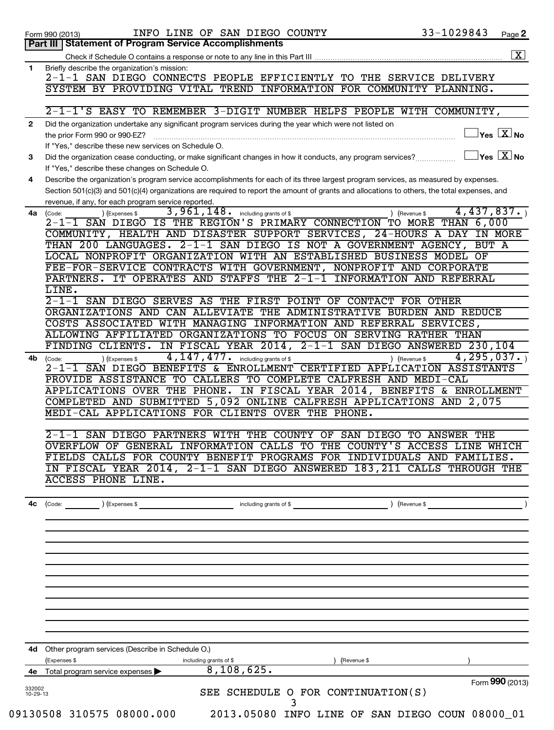|                    | INFO LINE OF SAN DIEGO COUNTY<br>Form 990 (2013)                                                                                                                | 33-1029843                    | Page 2                                                    |
|--------------------|-----------------------------------------------------------------------------------------------------------------------------------------------------------------|-------------------------------|-----------------------------------------------------------|
|                    | Part III   Statement of Program Service Accomplishments                                                                                                         |                               |                                                           |
|                    |                                                                                                                                                                 |                               | $\boxed{\textbf{X}}$                                      |
| 1                  | Briefly describe the organization's mission:<br>2-1-1 SAN DIEGO CONNECTS PEOPLE EFFICIENTLY TO THE SERVICE DELIVERY                                             |                               |                                                           |
|                    | SYSTEM BY PROVIDING VITAL TREND<br>INFORMATION FOR COMMUNITY PLANNING.                                                                                          |                               |                                                           |
|                    |                                                                                                                                                                 |                               |                                                           |
| $\mathbf{2}$       | 2-1-1'S EASY TO REMEMBER 3-DIGIT NUMBER HELPS PEOPLE WITH COMMUNITY,                                                                                            |                               |                                                           |
|                    | Did the organization undertake any significant program services during the year which were not listed on<br>the prior Form 990 or 990-EZ?                       |                               | $\vert$ Yes $\boxed{\text{X}}$ No                         |
|                    | If "Yes," describe these new services on Schedule O.                                                                                                            |                               |                                                           |
| 3                  | Did the organization cease conducting, or make significant changes in how it conducts, any program services?<br>If "Yes," describe these changes on Schedule O. |                               | $ {\mathsf Y}\mathsf{es}^\top\overline{{\mathbf{X}}} $ No |
| 4                  | Describe the organization's program service accomplishments for each of its three largest program services, as measured by expenses.                            |                               |                                                           |
|                    | Section 501(c)(3) and 501(c)(4) organizations are required to report the amount of grants and allocations to others, the total expenses, and                    |                               |                                                           |
|                    | revenue, if any, for each program service reported.                                                                                                             |                               |                                                           |
| 4a                 | 3,961,148.<br>) (Expenses \$<br>including grants of \$<br>(Code:<br>2-1-1 SAN DIEGO IS THE REGION'S PRIMARY CONNECTION TO MORE THAN 6,000                       | 4,437,837.<br>) (Revenue \$   |                                                           |
|                    | COMMUNITY, HEALTH AND DISASTER SUPPORT SERVICES, 24-HOURS A DAY IN MORE                                                                                         |                               |                                                           |
|                    | THAN 200 LANGUAGES.<br>2-1-1 SAN DIEGO IS NOT A GOVERNMENT AGENCY,                                                                                              | BUT A                         |                                                           |
|                    | LOCAL NONPROFIT ORGANIZATION WITH AN ESTABLISHED BUSINESS MODEL                                                                                                 | ΟF                            |                                                           |
|                    | FEE-FOR-SERVICE CONTRACTS WITH GOVERNMENT, NONPROFIT AND CORPORATE                                                                                              |                               |                                                           |
|                    | IT OPERATES AND STAFFS THE 2-1-1 INFORMATION AND REFERRAL<br>PARTNERS.                                                                                          |                               |                                                           |
|                    | LINE.                                                                                                                                                           |                               |                                                           |
|                    | 2-1-1 SAN DIEGO SERVES AS THE FIRST POINT OF CONTACT FOR OTHER                                                                                                  |                               |                                                           |
|                    | ORGANIZATIONS AND CAN ALLEVIATE THE ADMINISTRATIVE BURDEN AND REDUCE                                                                                            |                               |                                                           |
|                    | COSTS ASSOCIATED WITH MANAGING INFORMATION AND REFERRAL SERVICES,                                                                                               |                               |                                                           |
|                    | ALLOWING AFFILIATED ORGANIZATIONS TO FOCUS ON SERVING RATHER THAN                                                                                               |                               |                                                           |
|                    | IN FISCAL YEAR 2014,<br>2-1-1 SAN DIEGO ANSWERED 230, 104<br>FINDING CLIENTS.                                                                                   |                               |                                                           |
| 4b                 | 4, 147, 477.<br>including grants of \$<br>) (Expenses \$<br>(Code:                                                                                              | 4, 295, 037.<br>) (Revenue \$ |                                                           |
|                    | 2-1-1 SAN DIEGO BENEFITS & ENROLLMENT CERTIFIED APPLICATION ASSISTANTS                                                                                          |                               |                                                           |
|                    | PROVIDE ASSISTANCE TO CALLERS TO COMPLETE CALFRESH AND MEDI-CAL                                                                                                 |                               |                                                           |
|                    | IN FISCAL YEAR 2014, BENEFITS & ENROLLMENT<br>APPLICATIONS OVER THE PHONE.                                                                                      |                               |                                                           |
|                    | COMPLETED AND SUBMITTED 5,092 ONLINE CALFRESH APPLICATIONS AND 2,075                                                                                            |                               |                                                           |
|                    | MEDI-CAL APPLICATIONS FOR CLIENTS OVER THE PHONE.                                                                                                               |                               |                                                           |
|                    | 2-1-1 SAN DIEGO PARTNERS WITH THE COUNTY OF SAN DIEGO TO ANSWER THE                                                                                             |                               |                                                           |
|                    | OVERFLOW OF GENERAL INFORMATION CALLS TO THE COUNTY'S ACCESS LINE WHICH                                                                                         |                               |                                                           |
|                    | FIELDS CALLS FOR COUNTY BENEFIT PROGRAMS FOR INDIVIDUALS AND FAMILIES.                                                                                          |                               |                                                           |
|                    | IN FISCAL YEAR 2014, 2-1-1 SAN DIEGO ANSWERED 183, 211 CALLS THROUGH THE                                                                                        |                               |                                                           |
|                    | <b>ACCESS PHONE LINE.</b>                                                                                                                                       |                               |                                                           |
|                    |                                                                                                                                                                 |                               |                                                           |
| 4c                 | (Code: ) (Expenses \$ ) (Revenue \$ ) (Revenue \$ ) (Revenue \$ ) (Revenue \$ ) (Revenue \$ ) (Revenue \$ )                                                     |                               |                                                           |
|                    |                                                                                                                                                                 |                               |                                                           |
|                    |                                                                                                                                                                 |                               |                                                           |
|                    |                                                                                                                                                                 |                               |                                                           |
|                    |                                                                                                                                                                 |                               |                                                           |
|                    |                                                                                                                                                                 |                               |                                                           |
|                    |                                                                                                                                                                 |                               |                                                           |
|                    |                                                                                                                                                                 |                               |                                                           |
|                    | 4d Other program services (Describe in Schedule O.)                                                                                                             |                               |                                                           |
|                    | (Expenses \$<br>including grants of \$<br>(Revenue \$<br>8,108,625.                                                                                             |                               |                                                           |
|                    | 4e Total program service expenses                                                                                                                               | Form 990 (2013)               |                                                           |
| 332002<br>10-29-13 | SEE SCHEDULE O FOR CONTINUATION(S)<br>3                                                                                                                         |                               |                                                           |
|                    | 09130508 310575 08000.000<br>2013.05080 INFO LINE OF SAN DIEGO COUN 08000_01                                                                                    |                               |                                                           |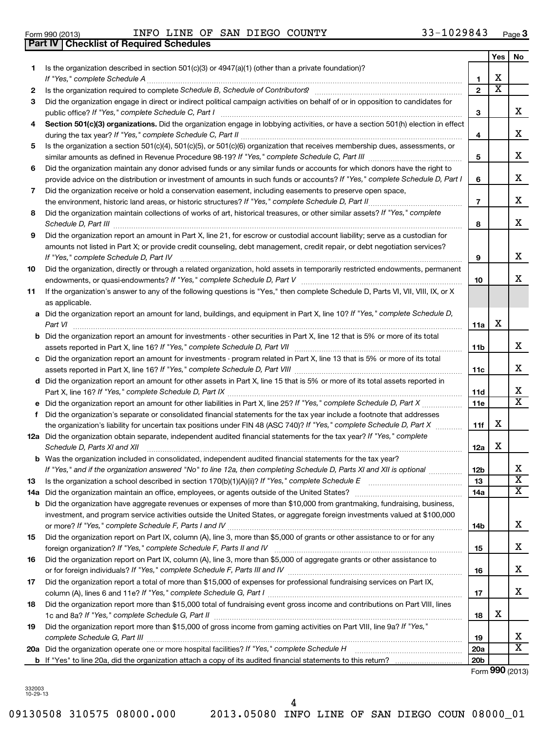## Form 990 (2013)  $I\!N\!F\!O$   $I\!N\!F\!O$   $I\!N\!F\!M$   $I\!N\!F\!G\!O}$   $C\!O\!U\!N\!T\!Y$   $33-1029843$   $P\!A\!O\!P\!O\!P\!O\!P\!O\!P\!O\!P\!O\!P\!O\!P\!O\!P\!O\!P\!O\!P\!O\!P\!O\!P\!O\!P\!O\!P\!O\!P\!O\!P\!O\!P\!O\!P\!O\$ **Part IV Checklist of Required Schedules**

**3**

|     |                                                                                                                                                                                         |                 | Yes                     | No                      |
|-----|-----------------------------------------------------------------------------------------------------------------------------------------------------------------------------------------|-----------------|-------------------------|-------------------------|
| 1.  | Is the organization described in section $501(c)(3)$ or $4947(a)(1)$ (other than a private foundation)?<br>If "Yes," complete Schedule A                                                | 1               | x                       |                         |
| 2   |                                                                                                                                                                                         | $\mathbf{2}$    | $\overline{\textbf{x}}$ |                         |
| 3   | Did the organization engage in direct or indirect political campaign activities on behalf of or in opposition to candidates for<br>public office? If "Yes," complete Schedule C, Part I | 3               |                         | x                       |
| 4   | Section 501(c)(3) organizations. Did the organization engage in lobbying activities, or have a section 501(h) election in effect                                                        | 4               |                         | х                       |
| 5   | Is the organization a section 501(c)(4), 501(c)(5), or 501(c)(6) organization that receives membership dues, assessments, or                                                            |                 |                         |                         |
|     |                                                                                                                                                                                         | 5               |                         | х                       |
| 6   | Did the organization maintain any donor advised funds or any similar funds or accounts for which donors have the right to                                                               |                 |                         |                         |
|     | provide advice on the distribution or investment of amounts in such funds or accounts? If "Yes," complete Schedule D, Part I                                                            | 6               |                         | x                       |
| 7   | Did the organization receive or hold a conservation easement, including easements to preserve open space,                                                                               |                 |                         |                         |
|     |                                                                                                                                                                                         | $\overline{7}$  |                         | x                       |
| 8   | Did the organization maintain collections of works of art, historical treasures, or other similar assets? If "Yes," complete<br>Schedule D, Part III                                    | 8               |                         | х                       |
| 9   | Did the organization report an amount in Part X, line 21, for escrow or custodial account liability; serve as a custodian for                                                           |                 |                         |                         |
|     | amounts not listed in Part X; or provide credit counseling, debt management, credit repair, or debt negotiation services?<br>If "Yes," complete Schedule D, Part IV                     | 9               |                         | х                       |
| 10  | Did the organization, directly or through a related organization, hold assets in temporarily restricted endowments, permanent                                                           | 10              |                         | x                       |
| 11  | If the organization's answer to any of the following questions is "Yes," then complete Schedule D, Parts VI, VII, VIII, IX, or X<br>as applicable.                                      |                 |                         |                         |
|     | a Did the organization report an amount for land, buildings, and equipment in Part X, line 10? If "Yes," complete Schedule D,<br>Part VI                                                | 11a             | х                       |                         |
|     | Did the organization report an amount for investments - other securities in Part X, line 12 that is 5% or more of its total                                                             |                 |                         |                         |
|     | assets reported in Part X, line 16? If "Yes," complete Schedule D, Part VII                                                                                                             | 11b             |                         | x                       |
|     | Did the organization report an amount for investments - program related in Part X, line 13 that is 5% or more of its total                                                              |                 |                         |                         |
|     |                                                                                                                                                                                         | 11c             |                         | х                       |
|     | Did the organization report an amount for other assets in Part X, line 15 that is 5% or more of its total assets reported in<br>Part X, line 16? If "Yes," complete Schedule D, Part IX | 11d             |                         | х                       |
|     |                                                                                                                                                                                         | 11e             |                         | X                       |
| f   | Did the organization's separate or consolidated financial statements for the tax year include a footnote that addresses                                                                 |                 |                         |                         |
|     | the organization's liability for uncertain tax positions under FIN 48 (ASC 740)? If "Yes," complete Schedule D, Part X                                                                  | 11f             | х                       |                         |
|     | 12a Did the organization obtain separate, independent audited financial statements for the tax year? If "Yes," complete<br>Schedule D, Parts XI and XII                                 | 12a             | х                       |                         |
|     | <b>b</b> Was the organization included in consolidated, independent audited financial statements for the tax year?                                                                      |                 |                         |                         |
|     | If "Yes," and if the organization answered "No" to line 12a, then completing Schedule D, Parts XI and XII is optional www.                                                              | 12 <sub>b</sub> |                         | х                       |
| 13  | Is the organization a school described in section $170(b)(1)(A)(ii)?$ If "Yes," complete Schedule E                                                                                     | 13              |                         | $\overline{\textbf{x}}$ |
| 14a | Did the organization maintain an office, employees, or agents outside of the United States?                                                                                             | 14a             |                         | х                       |
| b   | Did the organization have aggregate revenues or expenses of more than \$10,000 from grantmaking, fundraising, business,                                                                 |                 |                         |                         |
|     | investment, and program service activities outside the United States, or aggregate foreign investments valued at \$100,000                                                              |                 |                         |                         |
|     |                                                                                                                                                                                         | 14b             |                         | х                       |
| 15  | Did the organization report on Part IX, column (A), line 3, more than \$5,000 of grants or other assistance to or for any                                                               |                 |                         | х                       |
|     | foreign organization? If "Yes," complete Schedule F, Parts II and IV                                                                                                                    | 15              |                         |                         |
| 16  | Did the organization report on Part IX, column (A), line 3, more than \$5,000 of aggregate grants or other assistance to                                                                |                 |                         | х                       |
| 17  | Did the organization report a total of more than \$15,000 of expenses for professional fundraising services on Part IX,                                                                 | 16              |                         |                         |
|     | column (A), lines 6 and 11e? If "Yes," complete Schedule G, Part I                                                                                                                      | 17              |                         | х                       |
| 18  | Did the organization report more than \$15,000 total of fundraising event gross income and contributions on Part VIII, lines<br>1c and 8a? If "Yes," complete Schedule G, Part II       | 18              | х                       |                         |
| 19  | Did the organization report more than \$15,000 of gross income from gaming activities on Part VIII, line 9a? If "Yes,"                                                                  |                 |                         |                         |
|     |                                                                                                                                                                                         | 19              |                         | х<br>x                  |
|     |                                                                                                                                                                                         | <b>20a</b>      |                         |                         |
|     |                                                                                                                                                                                         | 20 <sub>b</sub> |                         |                         |

Form (2013) **990**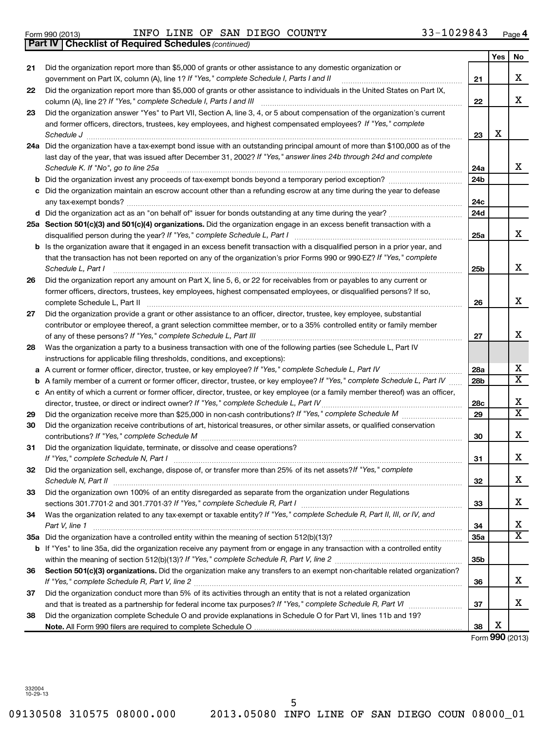**21**

**22**

**23**

**24 a**

**b c**

**25 a**

**d**

**b**

**26**

**27**

**28**

**a b c**

**29 30**

**31**

**32**

**33**

**34**

**35 a**

**b**

**36**

**37**

**38**

### Form 990 (2013)  $I\!N\!F\!O$   $I\!N\!F\!O$   $I\!N\!F\!M$   $I\!N\!F\!G\!O}$   $C\!O\!U\!N\!T\!Y$   $33-1029843$   $P\!A\!O\!P\!O\!P\!O\!P\!O\!P\!O\!P\!O\!P\!O\!P\!O\!P\!O\!P\!O\!P\!O\!P\!O\!P\!O\!P\!O\!P\!O\!P\!O\!P\!O\!P\!O\!P\!O\$

*(continued)* **Part IV Checklist of Required Schedules**

|                                                                                                                                 |                 | Yes | No                      |
|---------------------------------------------------------------------------------------------------------------------------------|-----------------|-----|-------------------------|
| Did the organization report more than \$5,000 of grants or other assistance to any domestic organization or                     |                 |     |                         |
| government on Part IX, column (A), line 1? If "Yes," complete Schedule I, Parts I and II                                        | 21              |     | х                       |
| Did the organization report more than \$5,000 of grants or other assistance to individuals in the United States on Part IX,     |                 |     |                         |
| column (A), line 2? If "Yes," complete Schedule I, Parts I and III                                                              | 22              |     | x                       |
| Did the organization answer "Yes" to Part VII, Section A, line 3, 4, or 5 about compensation of the organization's current      |                 |     |                         |
| and former officers, directors, trustees, key employees, and highest compensated employees? If "Yes," complete                  |                 |     |                         |
| Schedule J                                                                                                                      | 23              | х   |                         |
| Did the organization have a tax-exempt bond issue with an outstanding principal amount of more than \$100,000 as of the         |                 |     |                         |
| last day of the year, that was issued after December 31, 2002? If "Yes," answer lines 24b through 24d and complete              |                 |     |                         |
| Schedule K. If "No", go to line 25a                                                                                             | 24a             |     | x                       |
| Did the organization invest any proceeds of tax-exempt bonds beyond a temporary period exception?                               | 24b             |     |                         |
| Did the organization maintain an escrow account other than a refunding escrow at any time during the year to defease            |                 |     |                         |
|                                                                                                                                 | 24c             |     |                         |
|                                                                                                                                 | 24d             |     |                         |
| Section 501(c)(3) and 501(c)(4) organizations. Did the organization engage in an excess benefit transaction with a              |                 |     |                         |
| disqualified person during the year? If "Yes," complete Schedule L, Part I                                                      | 25a             |     | x                       |
| Is the organization aware that it engaged in an excess benefit transaction with a disqualified person in a prior year, and      |                 |     |                         |
| that the transaction has not been reported on any of the organization's prior Forms 990 or 990-EZ? If "Yes," complete           |                 |     | x                       |
| Schedule L, Part I                                                                                                              | 25b             |     |                         |
| Did the organization report any amount on Part X, line 5, 6, or 22 for receivables from or payables to any current or           |                 |     |                         |
| former officers, directors, trustees, key employees, highest compensated employees, or disqualified persons? If so,             |                 |     | x                       |
| complete Schedule L, Part II                                                                                                    | 26              |     |                         |
| Did the organization provide a grant or other assistance to an officer, director, trustee, key employee, substantial            |                 |     |                         |
| contributor or employee thereof, a grant selection committee member, or to a 35% controlled entity or family member             | 27              |     | x                       |
| Was the organization a party to a business transaction with one of the following parties (see Schedule L, Part IV               |                 |     |                         |
| instructions for applicable filing thresholds, conditions, and exceptions):                                                     |                 |     |                         |
| A current or former officer, director, trustee, or key employee? If "Yes," complete Schedule L, Part IV                         | 28a             |     | х                       |
| A family member of a current or former officer, director, trustee, or key employee? If "Yes," complete Schedule L, Part IV      | 28 <sub>b</sub> |     | X                       |
| An entity of which a current or former officer, director, trustee, or key employee (or a family member thereof) was an officer, |                 |     |                         |
| director, trustee, or direct or indirect owner? If "Yes," complete Schedule L, Part IV                                          | 28c             |     | х                       |
|                                                                                                                                 | 29              |     | $\overline{\textbf{x}}$ |
| Did the organization receive contributions of art, historical treasures, or other similar assets, or qualified conservation     |                 |     |                         |
|                                                                                                                                 | 30              |     | х                       |
| Did the organization liquidate, terminate, or dissolve and cease operations?                                                    |                 |     |                         |
|                                                                                                                                 | 31              |     | х                       |
| Did the organization sell, exchange, dispose of, or transfer more than 25% of its net assets? If "Yes," complete                |                 |     |                         |
| Schedule N, Part II                                                                                                             | 32              |     | X                       |
| Did the organization own 100% of an entity disregarded as separate from the organization under Regulations                      |                 |     |                         |
|                                                                                                                                 | 33              |     | x                       |
| Was the organization related to any tax-exempt or taxable entity? If "Yes," complete Schedule R, Part II, III, or IV, and       |                 |     |                         |
| Part V, line 1                                                                                                                  | 34              |     | х                       |
|                                                                                                                                 | 35a             |     | х                       |
| If "Yes" to line 35a, did the organization receive any payment from or engage in any transaction with a controlled entity       |                 |     |                         |
|                                                                                                                                 | 35 <sub>b</sub> |     |                         |
| Section 501(c)(3) organizations. Did the organization make any transfers to an exempt non-charitable related organization?      |                 |     |                         |

**38 Note.**  All Form 990 filers are required to complete Schedule O Form (2013) **990**

X

**36**

X

X

**37**

5

*If "Yes," complete Schedule R, Part V, line 2* ~~~~~~~~~~~~~~~~~~~~~~~~~~~~~~~~~~~~~~~~

Did the organization conduct more than 5% of its activities through an entity that is not a related organization

Did the organization complete Schedule O and provide explanations in Schedule O for Part VI, lines 11b and 19?

and that is treated as a partnership for federal income tax purposes? If "Yes," complete Schedule R, Part VI medi

09130508 310575 08000.000 2013.05080 INFO LINE OF SAN DIEGO COUN 08000\_01

332004 10-29-13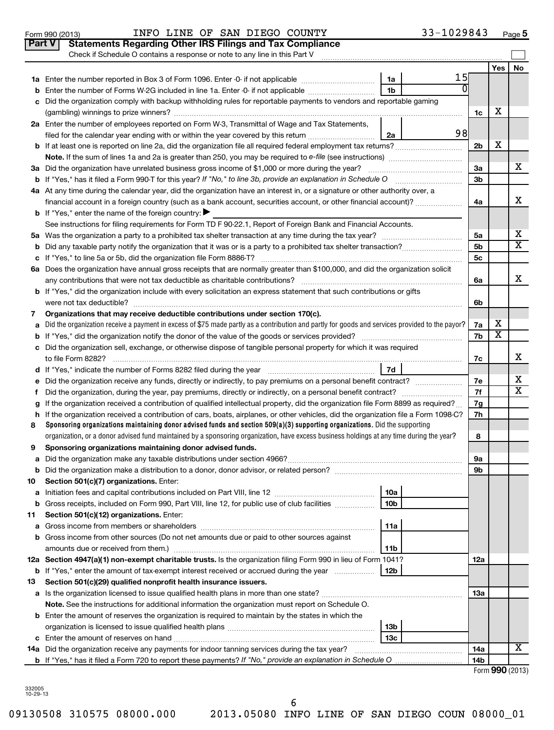|    | Part V<br><b>Statements Regarding Other IRS Filings and Tax Compliance</b>                                                                                                                                                |                |                         |                         |
|----|---------------------------------------------------------------------------------------------------------------------------------------------------------------------------------------------------------------------------|----------------|-------------------------|-------------------------|
|    | Check if Schedule O contains a response or note to any line in this Part V                                                                                                                                                |                |                         |                         |
|    |                                                                                                                                                                                                                           |                | Yes                     | No                      |
|    | 15<br>1a                                                                                                                                                                                                                  |                |                         |                         |
| b  | 1 <sub>b</sub><br>Enter the number of Forms W-2G included in line 1a. Enter -0- if not applicable                                                                                                                         |                |                         |                         |
| c  | Did the organization comply with backup withholding rules for reportable payments to vendors and reportable gaming                                                                                                        |                | х                       |                         |
|    |                                                                                                                                                                                                                           | 1c             |                         |                         |
|    | 2a Enter the number of employees reported on Form W-3, Transmittal of Wage and Tax Statements,<br>98                                                                                                                      |                |                         |                         |
|    | filed for the calendar year ending with or within the year covered by this return<br>2a                                                                                                                                   |                | х                       |                         |
|    | b If at least one is reported on line 2a, did the organization file all required federal employment tax returns?                                                                                                          | 2 <sub>b</sub> |                         |                         |
|    |                                                                                                                                                                                                                           | За             |                         | х                       |
|    | 3a Did the organization have unrelated business gross income of \$1,000 or more during the year?<br><b>b</b> If "Yes," has it filed a Form 990-T for this year? If "No," to line 3b, provide an explanation in Schedule O | 3 <sub>b</sub> |                         |                         |
|    | 4a At any time during the calendar year, did the organization have an interest in, or a signature or other authority over, a                                                                                              |                |                         |                         |
|    | financial account in a foreign country (such as a bank account, securities account, or other financial account)?                                                                                                          | 4a             |                         | X                       |
|    | <b>b</b> If "Yes," enter the name of the foreign country:                                                                                                                                                                 |                |                         |                         |
|    | See instructions for filing requirements for Form TD F 90-22.1, Report of Foreign Bank and Financial Accounts.                                                                                                            |                |                         |                         |
|    |                                                                                                                                                                                                                           | 5a             |                         | X                       |
| b  |                                                                                                                                                                                                                           | 5 <sub>b</sub> |                         | $\overline{\texttt{x}}$ |
|    |                                                                                                                                                                                                                           | 5c             |                         |                         |
|    | 6a Does the organization have annual gross receipts that are normally greater than \$100,000, and did the organization solicit                                                                                            |                |                         |                         |
|    |                                                                                                                                                                                                                           | 6a             |                         | х                       |
|    | <b>b</b> If "Yes," did the organization include with every solicitation an express statement that such contributions or gifts                                                                                             |                |                         |                         |
|    |                                                                                                                                                                                                                           | 6b             |                         |                         |
| 7  | Organizations that may receive deductible contributions under section 170(c).                                                                                                                                             |                |                         |                         |
| a  | Did the organization receive a payment in excess of \$75 made partly as a contribution and partly for goods and services provided to the payor?                                                                           | 7a             | х                       |                         |
| b  |                                                                                                                                                                                                                           | 7b             | $\overline{\textbf{x}}$ |                         |
|    | c Did the organization sell, exchange, or otherwise dispose of tangible personal property for which it was required                                                                                                       |                |                         |                         |
|    |                                                                                                                                                                                                                           | 7с             |                         | x                       |
|    | 7d                                                                                                                                                                                                                        |                |                         |                         |
|    |                                                                                                                                                                                                                           | 7е             |                         | х                       |
| f. |                                                                                                                                                                                                                           | 7f             |                         | $\overline{\texttt{x}}$ |
| g  | If the organization received a contribution of qualified intellectual property, did the organization file Form 8899 as required?                                                                                          | 7g             |                         |                         |
| h. | If the organization received a contribution of cars, boats, airplanes, or other vehicles, did the organization file a Form 1098-C?                                                                                        | 7h             |                         |                         |
| 8  | Sponsoring organizations maintaining donor advised funds and section $509(a)(3)$ supporting organizations. Did the supporting                                                                                             |                |                         |                         |
|    | organization, or a donor advised fund maintained by a sponsoring organization, have excess business holdings at any time during the year?                                                                                 | 8              |                         |                         |
| 9  | Sponsoring organizations maintaining donor advised funds.                                                                                                                                                                 |                |                         |                         |
|    |                                                                                                                                                                                                                           | эа<br>9b       |                         |                         |
| 10 | Section 501(c)(7) organizations. Enter:                                                                                                                                                                                   |                |                         |                         |
| а  | 10a                                                                                                                                                                                                                       |                |                         |                         |
| b  | 10 <sub>b</sub><br>Gross receipts, included on Form 990, Part VIII, line 12, for public use of club facilities                                                                                                            |                |                         |                         |
| 11 | Section 501(c)(12) organizations. Enter:                                                                                                                                                                                  |                |                         |                         |
| а  | 11a                                                                                                                                                                                                                       |                |                         |                         |
|    | b Gross income from other sources (Do not net amounts due or paid to other sources against                                                                                                                                |                |                         |                         |
|    | 11b                                                                                                                                                                                                                       |                |                         |                         |
|    | 12a Section 4947(a)(1) non-exempt charitable trusts. Is the organization filing Form 990 in lieu of Form 1041?                                                                                                            | 12a            |                         |                         |
|    | <b>b</b> If "Yes," enter the amount of tax-exempt interest received or accrued during the year<br>12b                                                                                                                     |                |                         |                         |
| 13 | Section 501(c)(29) qualified nonprofit health insurance issuers.                                                                                                                                                          |                |                         |                         |
|    | a Is the organization licensed to issue qualified health plans in more than one state?                                                                                                                                    | 13a            |                         |                         |
|    | Note. See the instructions for additional information the organization must report on Schedule O.                                                                                                                         |                |                         |                         |
|    | <b>b</b> Enter the amount of reserves the organization is required to maintain by the states in which the                                                                                                                 |                |                         |                         |
|    | 13 <sub>b</sub>                                                                                                                                                                                                           |                |                         |                         |
|    | 13c                                                                                                                                                                                                                       |                |                         |                         |
|    | 14a Did the organization receive any payments for indoor tanning services during the tax year?                                                                                                                            | 14a            |                         | x                       |
|    | <b>b</b> If "Yes," has it filed a Form 720 to report these payments? If "No," provide an explanation in Schedule O                                                                                                        | 14b            |                         | $\mathbf{A}$            |

Form 990 (2013)  $NFA$   $\blacksquare$   $\blacksquare$   $\blacksquare$   $\blacksquare$   $\blacksquare$   $\blacksquare$   $\blacksquare$   $\blacksquare$   $\blacksquare$   $\blacksquare$   $\blacksquare$   $\blacksquare$   $\blacksquare$   $\blacksquare$   $\blacksquare$   $\blacksquare$   $\blacksquare$   $\blacksquare$   $\blacksquare$   $\blacksquare$   $\blacksquare$   $\blacksquare$   $\blacksquare$   $\blacksquare$   $\blacksquare$   $\blacksquare$   $\blacksquare$   $\blacksquare$   $\blacks$ 

|  |  | Form 990 (2013) |
|--|--|-----------------|
|--|--|-----------------|

**5**

332005 10-29-13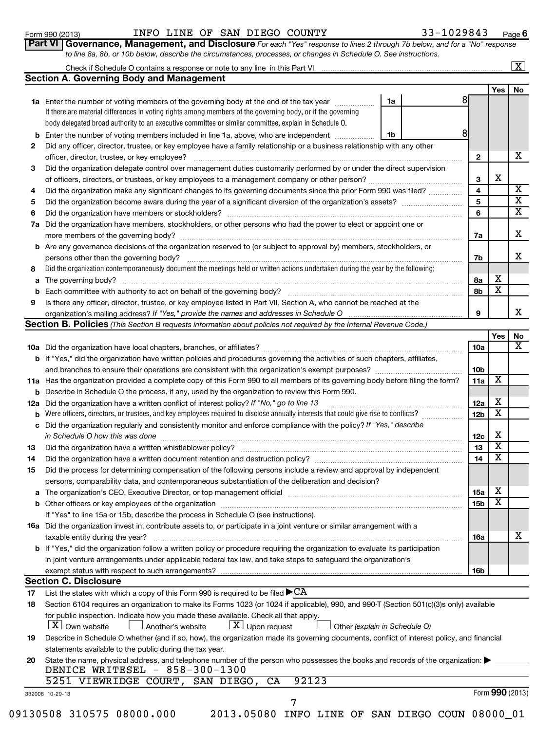### Form 990 (2013)  $I\!N\!F\!O$   $I\!N\!F\!O$   $I\!N\!F\!M$   $I\!N\!F\!G\!O}$   $C\!O\!U\!N\!T\!Y$   $33-1029843$   $P\!A\!O\!P\!O\!P\!O\!P\!O\!P\!O\!P\!O\!P\!O\!P\!O\!P\!O\!P\!O\!P\!O\!P\!O\!P\!O\!P\!O\!P\!O\!P\!O\!P\!O\!P\!O\!P\!O\$

**6**

|  | <b>t VI   Governance, Management, and Disclosure</b> For each "Yes" response to lines 2 through 7b below, and for a "No" response |  |  |
|--|-----------------------------------------------------------------------------------------------------------------------------------|--|--|
|  | to line 8a, 8b, or 10b below, describe the circumstances, processes, or changes in Schedule O. See instructions.                  |  |  |

### Check if Schedule O contains a response or note to any line in this Part VI **Section A. Governing Body and Management**  $\lfloor x \rfloor$

|     |                                                                                                                                     |    |  |                 | <b>Yes</b>              | <b>No</b>               |
|-----|-------------------------------------------------------------------------------------------------------------------------------------|----|--|-----------------|-------------------------|-------------------------|
|     | 1a Enter the number of voting members of the governing body at the end of the tax year                                              | 1a |  |                 |                         |                         |
|     | If there are material differences in voting rights among members of the governing body, or if the governing                         |    |  |                 |                         |                         |
|     | body delegated broad authority to an executive committee or similar committee, explain in Schedule O.                               |    |  |                 |                         |                         |
| b   | Enter the number of voting members included in line 1a, above, who are independent                                                  | 1b |  | 8               |                         |                         |
| 2   | Did any officer, director, trustee, or key employee have a family relationship or a business relationship with any other            |    |  |                 |                         |                         |
|     | officer, director, trustee, or key employee?                                                                                        |    |  | $\mathbf{2}$    |                         | X.                      |
| 3   | Did the organization delegate control over management duties customarily performed by or under the direct supervision               |    |  |                 |                         |                         |
|     | of officers, directors, or trustees, or key employees to a management company or other person?                                      |    |  | 3               | х                       |                         |
| 4   | Did the organization make any significant changes to its governing documents since the prior Form 990 was filed?                    |    |  |                 |                         | $\overline{\mathbf{X}}$ |
| 5   |                                                                                                                                     |    |  | 5               |                         | $\overline{\texttt{x}}$ |
| 6   | Did the organization have members or stockholders?                                                                                  |    |  | 6               |                         | $\overline{\textbf{x}}$ |
| 7a  | Did the organization have members, stockholders, or other persons who had the power to elect or appoint one or                      |    |  |                 |                         |                         |
|     | more members of the governing body?                                                                                                 |    |  | 7a              |                         | x                       |
|     | <b>b</b> Are any governance decisions of the organization reserved to (or subject to approval by) members, stockholders, or         |    |  |                 |                         |                         |
|     | persons other than the governing body?                                                                                              |    |  | 7b              |                         | x                       |
| 8   | Did the organization contemporaneously document the meetings held or written actions undertaken during the year by the following:   |    |  |                 |                         |                         |
| a   |                                                                                                                                     |    |  | 8а              | х                       |                         |
| b   | Each committee with authority to act on behalf of the governing body?                                                               |    |  | 8b              | x                       |                         |
| 9   | Is there any officer, director, trustee, or key employee listed in Part VII, Section A, who cannot be reached at the                |    |  |                 |                         |                         |
|     | organization's mailing address? If "Yes," provide the names and addresses in Schedule O                                             |    |  | 9               |                         | x                       |
|     | Section B. Policies (This Section B requests information about policies not required by the Internal Revenue Code.)                 |    |  |                 |                         |                         |
|     |                                                                                                                                     |    |  |                 | Yes                     | No                      |
|     |                                                                                                                                     |    |  | 10a             |                         | $\overline{\mathbf{x}}$ |
|     | <b>b</b> If "Yes," did the organization have written policies and procedures governing the activities of such chapters, affiliates, |    |  |                 |                         |                         |
|     | and branches to ensure their operations are consistent with the organization's exempt purposes?                                     |    |  | 10 <sub>b</sub> |                         |                         |
|     | 11a Has the organization provided a complete copy of this Form 990 to all members of its governing body before filing the form?     |    |  | 11a             | х                       |                         |
| b   | Describe in Schedule O the process, if any, used by the organization to review this Form 990.                                       |    |  |                 |                         |                         |
| 12a | Did the organization have a written conflict of interest policy? If "No," go to line 13                                             |    |  | 12a             | х                       |                         |
| b   | Were officers, directors, or trustees, and key employees required to disclose annually interests that could give rise to conflicts? |    |  | 12 <sub>b</sub> | $\overline{\texttt{x}}$ |                         |
| c   | Did the organization regularly and consistently monitor and enforce compliance with the policy? If "Yes," describe                  |    |  |                 |                         |                         |
|     | in Schedule O how this was done                                                                                                     |    |  | 12c             | х                       |                         |

|     | maio omooro, amoutoro, or traducto, and noy omployeed required to dictious anniquity musicous that begin give not to commute.                                                                                                                  | שב              |                             |
|-----|------------------------------------------------------------------------------------------------------------------------------------------------------------------------------------------------------------------------------------------------|-----------------|-----------------------------|
| c   | Did the organization regularly and consistently monitor and enforce compliance with the policy? If "Yes," describe<br>in Schedule O how this was done                                                                                          | 12 <sub>c</sub> | х                           |
| 13  |                                                                                                                                                                                                                                                | 13              | $\overline{\textnormal{x}}$ |
| 14  | Did the organization have a written document retention and destruction policy? [11] manufaction in the organization have a written document retention and destruction policy?                                                                  | 14              | Χ                           |
| 15  | Did the process for determining compensation of the following persons include a review and approval by independent                                                                                                                             |                 |                             |
|     | persons, comparability data, and contemporaneous substantiation of the deliberation and decision?                                                                                                                                              |                 | х                           |
| a   | The organization's CEO, Executive Director, or top management official                                                                                                                                                                         | 15a             |                             |
| b   |                                                                                                                                                                                                                                                | 15b             | х                           |
|     | If "Yes" to line 15a or 15b, describe the process in Schedule O (see instructions).                                                                                                                                                            |                 |                             |
| 16а | Did the organization invest in, contribute assets to, or participate in a joint venture or similar arrangement with a                                                                                                                          |                 |                             |
|     | taxable entity during the year?                                                                                                                                                                                                                | 16а             |                             |
|     | <b>b</b> If "Yes," did the organization follow a written policy or procedure requiring the organization to evaluate its participation                                                                                                          |                 |                             |
|     | in joint venture arrangements under applicable federal tax law, and take steps to safeguard the organization's                                                                                                                                 |                 |                             |
|     |                                                                                                                                                                                                                                                | <b>16b</b>      |                             |
|     | <b>Section C. Disclosure</b>                                                                                                                                                                                                                   |                 |                             |
| 17  | List the states with which a copy of this Form 990 is required to be filed $\blacktriangleright$ CA                                                                                                                                            |                 |                             |
| 18  | Section 6104 requires an organization to make its Forms 1023 (or 1024 if applicable), 990, and 990-T (Section 501(c)(3)s only) available                                                                                                       |                 |                             |
|     | for public inspection. Indicate how you made these available. Check all that apply.<br>$\lfloor \underline{X} \rfloor$ Upon request<br>$ \underline{X} $ Own website<br>Another's website<br>$\sim$ 100 $\pm$<br>Other (explain in Schedule O) |                 |                             |
| 19  | Describe in Schedule O whether (and if so, how), the organization made its governing documents, conflict of interest policy, and financial                                                                                                     |                 |                             |

| statements available to the public during the tax year.                                                                          |
|----------------------------------------------------------------------------------------------------------------------------------|
| 20 State the name, physical address, and telephone number of the person who possesses the books and records of the organization: |
| DENICE WRITESEL - 858-300-1300                                                                                                   |

7

| 5251 VIEWRIDGE COURT, SAN DIEGO, CA 92123 |  |  |  |
|-------------------------------------------|--|--|--|
|                                           |  |  |  |

 $\frac{1}{x}$ 

|  | 09130508 310575 08000.000 |  |
|--|---------------------------|--|
|  |                           |  |

332006 10-29-13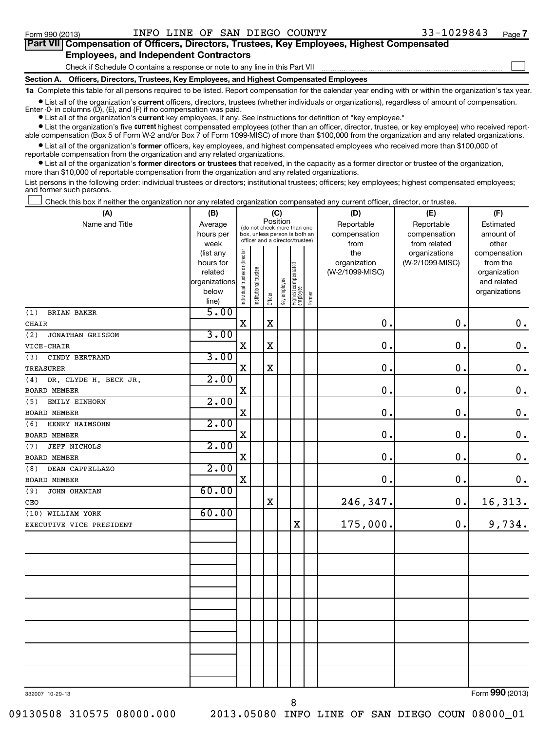| Part VII Compensation of Officers, Directors, Trustees, Key Employees, Highest Compensated                                                                 |
|------------------------------------------------------------------------------------------------------------------------------------------------------------|
| <b>Employees, and Independent Contractors</b>                                                                                                              |
| Check if Schedule O contains a response or note to any line in this Part VII                                                                               |
| Section A. Officers, Directors, Trustees, Key Employees, and Highest Compensated Employees                                                                 |
| 1a Complete this table for all persons required to be listed. Report compensation for the calendar year ending with or within the organization's tax year. |

• List all of the organization's current officers, directors, trustees (whether individuals or organizations), regardless of amount of compensation.

Enter -0- in columns  $(D)$ ,  $(E)$ , and  $(F)$  if no compensation was paid.

**•** List all of the organization's **current** key employees, if any. See instructions for definition of "key employee."

**•** List the organization's five *current* highest compensated employees (other than an officer, director, trustee, or key employee) who received reportable compensation (Box 5 of Form W-2 and/or Box 7 of Form 1099-MISC) of more than \$100,000 from the organization and any related organizations.

 $\bullet$  List all of the organization's former officers, key employees, and highest compensated employees who received more than \$100,000 of reportable compensation from the organization and any related organizations.

**•** List all of the organization's former directors or trustees that received, in the capacity as a former director or trustee of the organization, more than \$10,000 of reportable compensation from the organization and any related organizations.

List persons in the following order: individual trustees or directors; institutional trustees; officers; key employees; highest compensated employees; and former such persons.

Check this box if neither the organization nor any related organization compensated any current officer, director, or trustee.  $\left\vert \cdot\right\vert$ 

| (A)                          | (B)                                                                  |                                |                                                                                                 |             | (C)          |                                 |        | (D)                                    | (E)                                        | (F)                                                                      |
|------------------------------|----------------------------------------------------------------------|--------------------------------|-------------------------------------------------------------------------------------------------|-------------|--------------|---------------------------------|--------|----------------------------------------|--------------------------------------------|--------------------------------------------------------------------------|
| Name and Title               | Average<br>hours per<br>week                                         |                                | (do not check more than one<br>box, unless person is both an<br>officer and a director/trustee) | Position    |              |                                 |        | Reportable<br>compensation<br>from     | Reportable<br>compensation<br>from related | Estimated<br>amount of<br>other                                          |
|                              | (list any<br>hours for<br>related<br>organizations<br>below<br>line) | Individual trustee or director | Institutional trustee                                                                           | Officer     | Key employee | Highest compensated<br>employee | Former | the<br>organization<br>(W-2/1099-MISC) | organizations<br>(W-2/1099-MISC)           | compensation<br>from the<br>organization<br>and related<br>organizations |
| <b>BRIAN BAKER</b><br>(1)    | 5.00                                                                 |                                |                                                                                                 |             |              |                                 |        |                                        |                                            |                                                                          |
| <b>CHAIR</b>                 |                                                                      | $\mathbf X$                    |                                                                                                 | $\mathbf X$ |              |                                 |        | $\mathbf 0$ .                          | $\mathbf 0$ .                              | $\boldsymbol{0}$ .                                                       |
| (2)<br>JONATHAN GRISSOM      | 3.00                                                                 |                                |                                                                                                 |             |              |                                 |        |                                        |                                            |                                                                          |
| VICE-CHAIR                   |                                                                      | X                              |                                                                                                 | $\mathbf X$ |              |                                 |        | $\mathbf 0$ .                          | $\mathbf 0$ .                              | $\mathbf 0$ .                                                            |
| CINDY BERTRAND<br>(3)        | 3.00                                                                 |                                |                                                                                                 |             |              |                                 |        |                                        |                                            |                                                                          |
| <b>TREASURER</b>             |                                                                      | $\mathbf X$                    |                                                                                                 | $\mathbf X$ |              |                                 |        | $\mathbf 0$ .                          | $\mathbf 0$ .                              | $\mathbf 0$ .                                                            |
| (4)<br>DR. CLYDE H. BECK JR. | 2.00                                                                 |                                |                                                                                                 |             |              |                                 |        |                                        |                                            |                                                                          |
| <b>BOARD MEMBER</b>          |                                                                      | $\mathbf X$                    |                                                                                                 |             |              |                                 |        | $\mathbf 0$ .                          | $\mathbf 0$ .                              | $\mathbf 0$ .                                                            |
| EMILY EINHORN<br>(5)         | 2.00                                                                 |                                |                                                                                                 |             |              |                                 |        |                                        |                                            |                                                                          |
| <b>BOARD MEMBER</b>          |                                                                      | X                              |                                                                                                 |             |              |                                 |        | $\mathbf 0$ .                          | $\mathbf 0$ .                              | $\mathbf 0$ .                                                            |
| HENRY HAIMSOHN<br>(6)        | 2.00                                                                 |                                |                                                                                                 |             |              |                                 |        |                                        |                                            |                                                                          |
| BOARD MEMBER                 |                                                                      | $\mathbf x$                    |                                                                                                 |             |              |                                 |        | $\mathbf 0$ .                          | $\mathbf 0$ .                              | $\mathbf 0$ .                                                            |
| JEFF NICHOLS<br>(7)          | 2.00                                                                 |                                |                                                                                                 |             |              |                                 |        |                                        |                                            |                                                                          |
| <b>BOARD MEMBER</b>          |                                                                      | $\mathbf X$                    |                                                                                                 |             |              |                                 |        | $\mathbf 0$ .                          | $\mathbf 0$ .                              | $\mathbf 0$ .                                                            |
| (8)<br>DEAN CAPPELLAZO       | 2.00                                                                 |                                |                                                                                                 |             |              |                                 |        |                                        |                                            |                                                                          |
| BOARD MEMBER                 |                                                                      | $\mathbf X$                    |                                                                                                 |             |              |                                 |        | $\mathbf 0$ .                          | $\mathbf 0$ .                              | 0.                                                                       |
| (9)<br>JOHN OHANIAN          | 60.00                                                                |                                |                                                                                                 |             |              |                                 |        |                                        |                                            |                                                                          |
| CEO                          |                                                                      |                                |                                                                                                 | X           |              |                                 |        | 246,347.                               | $\mathbf 0$ .                              | 16,313.                                                                  |
| (10) WILLIAM YORK            | 60.00                                                                |                                |                                                                                                 |             |              |                                 |        |                                        |                                            |                                                                          |
| EXECUTIVE VICE PRESIDENT     |                                                                      |                                |                                                                                                 |             |              | $\mathbf X$                     |        | 175,000.                               | 0.                                         | 9,734.                                                                   |
|                              |                                                                      |                                |                                                                                                 |             |              |                                 |        |                                        |                                            |                                                                          |
|                              |                                                                      |                                |                                                                                                 |             |              |                                 |        |                                        |                                            |                                                                          |
|                              |                                                                      |                                |                                                                                                 |             |              |                                 |        |                                        |                                            |                                                                          |
|                              |                                                                      |                                |                                                                                                 |             |              |                                 |        |                                        |                                            |                                                                          |
|                              |                                                                      |                                |                                                                                                 |             |              |                                 |        |                                        |                                            |                                                                          |
|                              |                                                                      |                                |                                                                                                 |             |              |                                 |        |                                        |                                            |                                                                          |
|                              |                                                                      |                                |                                                                                                 |             |              |                                 |        |                                        |                                            |                                                                          |
|                              |                                                                      |                                |                                                                                                 |             |              |                                 |        |                                        |                                            | $\overline{\phantom{a}}$                                                 |

332007 10-29-13

Form (2013) **990**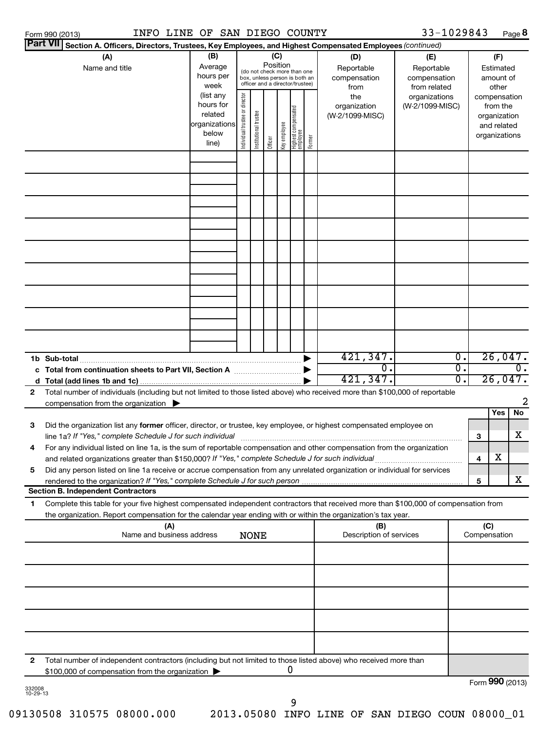|              | Form 990 (2013)                                                                                                                      | INFO LINE OF SAN DIEGO COUNTY |                                |                       |                 |              |                                                              |        |                                 | 33-1029843                 |                  |              |                          | Page 8           |
|--------------|--------------------------------------------------------------------------------------------------------------------------------------|-------------------------------|--------------------------------|-----------------------|-----------------|--------------|--------------------------------------------------------------|--------|---------------------------------|----------------------------|------------------|--------------|--------------------------|------------------|
|              | Part VII Section A. Officers, Directors, Trustees, Key Employees, and Highest Compensated Employees (continued)                      |                               |                                |                       |                 |              |                                                              |        |                                 |                            |                  |              |                          |                  |
|              | (A)                                                                                                                                  | (B)                           |                                |                       | (C)<br>Position |              |                                                              |        | (D)                             | (E)                        |                  |              | (F)                      |                  |
|              | Name and title                                                                                                                       | Average<br>hours per          |                                |                       |                 |              | (do not check more than one<br>box, unless person is both an |        | Reportable<br>compensation      | Reportable<br>compensation |                  |              | Estimated<br>amount of   |                  |
|              |                                                                                                                                      | week                          |                                |                       |                 |              | officer and a director/trustee)                              |        | from                            | from related               |                  |              | other                    |                  |
|              |                                                                                                                                      | (list any<br>hours for        |                                |                       |                 |              |                                                              |        | the                             | organizations              |                  |              | compensation             |                  |
|              |                                                                                                                                      | related                       |                                |                       |                 |              |                                                              |        | organization<br>(W-2/1099-MISC) | (W-2/1099-MISC)            |                  |              | from the<br>organization |                  |
|              |                                                                                                                                      | organizations                 |                                |                       |                 |              |                                                              |        |                                 |                            |                  |              | and related              |                  |
|              |                                                                                                                                      | below<br>line)                | Individual trustee or director | Institutional trustee | Officer         | Key employee | Highest compensated<br>employee                              | Former |                                 |                            |                  |              | organizations            |                  |
|              |                                                                                                                                      |                               |                                |                       |                 |              |                                                              |        |                                 |                            |                  |              |                          |                  |
|              |                                                                                                                                      |                               |                                |                       |                 |              |                                                              |        |                                 |                            |                  |              |                          |                  |
|              |                                                                                                                                      |                               |                                |                       |                 |              |                                                              |        |                                 |                            |                  |              |                          |                  |
|              |                                                                                                                                      |                               |                                |                       |                 |              |                                                              |        |                                 |                            |                  |              |                          |                  |
|              |                                                                                                                                      |                               |                                |                       |                 |              |                                                              |        |                                 |                            |                  |              |                          |                  |
|              |                                                                                                                                      |                               |                                |                       |                 |              |                                                              |        |                                 |                            |                  |              |                          |                  |
|              |                                                                                                                                      |                               |                                |                       |                 |              |                                                              |        |                                 |                            |                  |              |                          |                  |
|              |                                                                                                                                      |                               |                                |                       |                 |              |                                                              |        |                                 |                            |                  |              |                          |                  |
|              |                                                                                                                                      |                               |                                |                       |                 |              |                                                              |        |                                 |                            |                  |              |                          |                  |
|              |                                                                                                                                      |                               |                                |                       |                 |              |                                                              |        |                                 |                            |                  |              |                          |                  |
|              |                                                                                                                                      |                               |                                |                       |                 |              |                                                              |        |                                 |                            |                  |              |                          |                  |
|              |                                                                                                                                      |                               |                                |                       |                 |              |                                                              |        |                                 |                            |                  |              |                          |                  |
|              |                                                                                                                                      |                               |                                |                       |                 |              |                                                              |        |                                 |                            |                  |              |                          |                  |
|              |                                                                                                                                      |                               |                                |                       |                 |              |                                                              |        |                                 |                            |                  |              |                          |                  |
|              |                                                                                                                                      |                               |                                |                       |                 |              |                                                              |        |                                 |                            |                  |              |                          |                  |
|              |                                                                                                                                      |                               |                                |                       |                 |              |                                                              |        | 421,347.                        |                            | $\overline{0}$ . |              |                          | 26,047.          |
|              | c Total from continuation sheets to Part VII, Section A manufactured by                                                              |                               |                                |                       |                 |              |                                                              |        | $\overline{0}$ .                |                            | σ.               |              |                          | $\overline{0}$ . |
|              |                                                                                                                                      |                               |                                |                       |                 |              |                                                              |        | 421,347.                        |                            | σ.               |              |                          | 26,047.          |
| $\mathbf{2}$ | Total number of individuals (including but not limited to those listed above) who received more than \$100,000 of reportable         |                               |                                |                       |                 |              |                                                              |        |                                 |                            |                  |              |                          |                  |
|              | compensation from the organization $\blacktriangleright$                                                                             |                               |                                |                       |                 |              |                                                              |        |                                 |                            |                  |              | Yes                      | 2<br>No          |
| з            | Did the organization list any former officer, director, or trustee, key employee, or highest compensated employee on                 |                               |                                |                       |                 |              |                                                              |        |                                 |                            |                  |              |                          |                  |
|              | line 1a? If "Yes," complete Schedule J for such individual                                                                           |                               |                                |                       |                 |              |                                                              |        |                                 |                            |                  | з            |                          | x                |
| 4            | For any individual listed on line 1a, is the sum of reportable compensation and other compensation from the organization             |                               |                                |                       |                 |              |                                                              |        |                                 |                            |                  |              |                          |                  |
|              |                                                                                                                                      |                               |                                |                       |                 |              |                                                              |        |                                 |                            |                  | 4            | х                        |                  |
| 5            | Did any person listed on line 1a receive or accrue compensation from any unrelated organization or individual for services           |                               |                                |                       |                 |              |                                                              |        |                                 |                            |                  |              |                          |                  |
|              | <b>Section B. Independent Contractors</b>                                                                                            |                               |                                |                       |                 |              |                                                              |        |                                 |                            |                  | 5            |                          | X                |
| 1            | Complete this table for your five highest compensated independent contractors that received more than \$100,000 of compensation from |                               |                                |                       |                 |              |                                                              |        |                                 |                            |                  |              |                          |                  |
|              | the organization. Report compensation for the calendar year ending with or within the organization's tax year.                       |                               |                                |                       |                 |              |                                                              |        |                                 |                            |                  |              |                          |                  |
|              | (A)                                                                                                                                  |                               |                                |                       |                 |              |                                                              |        | (B)                             |                            |                  | (C)          |                          |                  |
|              | Name and business address                                                                                                            |                               |                                | <b>NONE</b>           |                 |              |                                                              |        | Description of services         |                            |                  | Compensation |                          |                  |
|              |                                                                                                                                      |                               |                                |                       |                 |              |                                                              |        |                                 |                            |                  |              |                          |                  |
|              |                                                                                                                                      |                               |                                |                       |                 |              |                                                              |        |                                 |                            |                  |              |                          |                  |
|              |                                                                                                                                      |                               |                                |                       |                 |              |                                                              |        |                                 |                            |                  |              |                          |                  |
|              |                                                                                                                                      |                               |                                |                       |                 |              |                                                              |        |                                 |                            |                  |              |                          |                  |
|              |                                                                                                                                      |                               |                                |                       |                 |              |                                                              |        |                                 |                            |                  |              |                          |                  |
|              |                                                                                                                                      |                               |                                |                       |                 |              |                                                              |        |                                 |                            |                  |              |                          |                  |
|              |                                                                                                                                      |                               |                                |                       |                 |              |                                                              |        |                                 |                            |                  |              |                          |                  |
| 2            | Total number of independent contractors (including but not limited to those listed above) who received more than                     |                               |                                |                       |                 |              |                                                              |        |                                 |                            |                  |              |                          |                  |
|              | \$100,000 of compensation from the organization >                                                                                    |                               |                                |                       |                 |              | 0                                                            |        |                                 |                            |                  |              |                          | $000$ $(0010)$   |

332008 10-29-13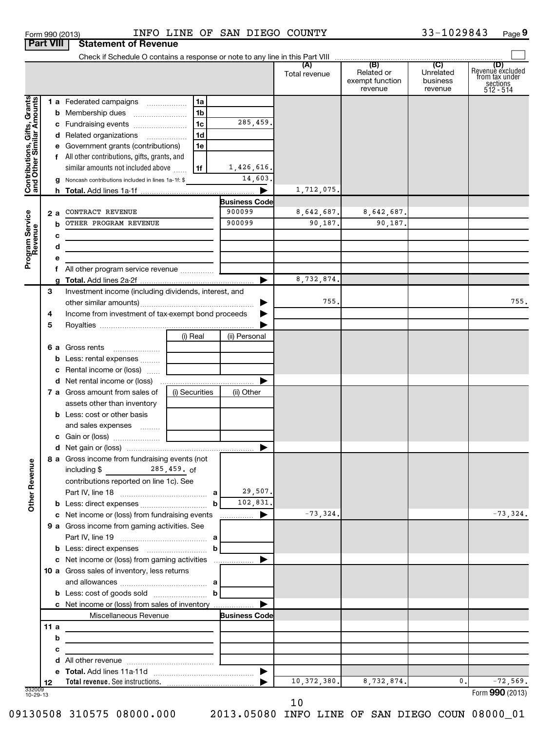| Form 990 (2013) |                                         | TNEO TI |  |
|-----------------|-----------------------------------------|---------|--|
|                 | <b>Part VIII   Statement of Revenue</b> |         |  |

### Form 990 (2013) Page INFO LINE OF SAN DIEGO COUNTY 33-1029843

33-1029843 Page 9

|                                                           |      | Check if Schedule O contains a response or note to any line in this Part VIII |                |                                |               |                                                 |                                         |                                                                             |
|-----------------------------------------------------------|------|-------------------------------------------------------------------------------|----------------|--------------------------------|---------------|-------------------------------------------------|-----------------------------------------|-----------------------------------------------------------------------------|
|                                                           |      |                                                                               |                |                                | Total revenue | (B)<br>Related or<br>exempt function<br>revenue | (C)<br>Unrelated<br>business<br>revenue | (D)<br>Revenue excluded<br>from tax under<br>$sec$<br>sections<br>512 - 514 |
|                                                           |      | 1 a Federated campaigns                                                       | 1a             |                                |               |                                                 |                                         |                                                                             |
| Contributions, Gifts, Grants<br>and Other Similar Amounts | b    | Membership dues                                                               | 1 <sub>b</sub> |                                |               |                                                 |                                         |                                                                             |
|                                                           |      | c Fundraising events                                                          | 1 <sub>c</sub> | 285,459.                       |               |                                                 |                                         |                                                                             |
|                                                           |      | d Related organizations                                                       | 1 <sub>d</sub> |                                |               |                                                 |                                         |                                                                             |
|                                                           |      | e Government grants (contributions)                                           | 1e             |                                |               |                                                 |                                         |                                                                             |
|                                                           |      | f All other contributions, gifts, grants, and                                 |                |                                |               |                                                 |                                         |                                                                             |
|                                                           |      | similar amounts not included above                                            | 1f             | 1,426,616.                     |               |                                                 |                                         |                                                                             |
|                                                           |      |                                                                               |                | 14,603.                        |               |                                                 |                                         |                                                                             |
|                                                           |      | g Noncash contributions included in lines 1a-1f: \$                           |                |                                |               |                                                 |                                         |                                                                             |
|                                                           |      |                                                                               |                |                                | 1,712,075.    |                                                 |                                         |                                                                             |
|                                                           |      | CONTRACT REVENUE                                                              |                | <b>Business Code</b><br>900099 | 8,642,687.    | 8,642,687.                                      |                                         |                                                                             |
|                                                           | 2а   | OTHER PROGRAM REVENUE                                                         |                | 900099                         | 90,187.       | 90,187.                                         |                                         |                                                                             |
|                                                           | h    |                                                                               |                |                                |               |                                                 |                                         |                                                                             |
| Program Service<br>Revenue                                | с    |                                                                               |                |                                |               |                                                 |                                         |                                                                             |
|                                                           | d    |                                                                               |                |                                |               |                                                 |                                         |                                                                             |
|                                                           | е    |                                                                               |                |                                |               |                                                 |                                         |                                                                             |
|                                                           |      |                                                                               |                |                                |               |                                                 |                                         |                                                                             |
|                                                           | g    |                                                                               |                |                                | 8,732,874.    |                                                 |                                         |                                                                             |
|                                                           | 3    | Investment income (including dividends, interest, and                         |                |                                | 755.          |                                                 |                                         | 755.                                                                        |
|                                                           |      |                                                                               |                |                                |               |                                                 |                                         |                                                                             |
|                                                           | 4    | Income from investment of tax-exempt bond proceeds                            |                |                                |               |                                                 |                                         |                                                                             |
|                                                           | 5    |                                                                               |                |                                |               |                                                 |                                         |                                                                             |
|                                                           |      | (i) Real                                                                      |                | (ii) Personal                  |               |                                                 |                                         |                                                                             |
|                                                           |      | 6 a Gross rents<br>$\overline{\phantom{a}}$                                   |                |                                |               |                                                 |                                         |                                                                             |
|                                                           | b    | Less: rental expenses                                                         |                |                                |               |                                                 |                                         |                                                                             |
|                                                           |      | <b>c</b> Rental income or (loss) $\ldots$                                     |                |                                |               |                                                 |                                         |                                                                             |
|                                                           |      |                                                                               |                |                                |               |                                                 |                                         |                                                                             |
|                                                           |      | (i) Securities<br><b>7 a</b> Gross amount from sales of                       |                | (ii) Other                     |               |                                                 |                                         |                                                                             |
|                                                           |      | assets other than inventory                                                   |                |                                |               |                                                 |                                         |                                                                             |
|                                                           |      | <b>b</b> Less: cost or other basis                                            |                |                                |               |                                                 |                                         |                                                                             |
|                                                           |      | and sales expenses                                                            |                |                                |               |                                                 |                                         |                                                                             |
|                                                           |      |                                                                               |                |                                |               |                                                 |                                         |                                                                             |
|                                                           |      |                                                                               |                | ▶                              |               |                                                 |                                         |                                                                             |
| g                                                         |      | 8 a Gross income from fundraising events (not                                 |                |                                |               |                                                 |                                         |                                                                             |
| Other Reven                                               |      | including $\frac{285}{125}$ , 459. of                                         |                |                                |               |                                                 |                                         |                                                                             |
|                                                           |      | contributions reported on line 1c). See                                       |                | 29,507.                        |               |                                                 |                                         |                                                                             |
|                                                           |      |                                                                               |                | 102,831.                       |               |                                                 |                                         |                                                                             |
|                                                           |      |                                                                               |                |                                |               |                                                 |                                         |                                                                             |
|                                                           |      | c Net income or (loss) from fundraising events                                |                | $\blacktriangleright$          | $-73, 324.$   |                                                 |                                         | $-73, 324.$                                                                 |
|                                                           |      | 9 a Gross income from gaming activities. See                                  |                |                                |               |                                                 |                                         |                                                                             |
|                                                           |      |                                                                               |                |                                |               |                                                 |                                         |                                                                             |
|                                                           |      | <b>b</b> Less: direct expenses <b>contained b</b>                             |                |                                |               |                                                 |                                         |                                                                             |
|                                                           |      | c Net income or (loss) from gaming activities                                 |                |                                |               |                                                 |                                         |                                                                             |
|                                                           |      | 10 a Gross sales of inventory, less returns                                   |                |                                |               |                                                 |                                         |                                                                             |
|                                                           |      |                                                                               |                |                                |               |                                                 |                                         |                                                                             |
|                                                           |      |                                                                               |                |                                |               |                                                 |                                         |                                                                             |
|                                                           |      | c Net income or (loss) from sales of inventory                                |                |                                |               |                                                 |                                         |                                                                             |
|                                                           |      | Miscellaneous Revenue                                                         |                | <b>Business Code</b>           |               |                                                 |                                         |                                                                             |
|                                                           | 11 a | the control of the control of the control                                     |                |                                |               |                                                 |                                         |                                                                             |
|                                                           | b    |                                                                               |                |                                |               |                                                 |                                         |                                                                             |
|                                                           | с    |                                                                               |                |                                |               |                                                 |                                         |                                                                             |
|                                                           | d    |                                                                               |                | $\blacktriangleright$          |               |                                                 |                                         |                                                                             |
|                                                           |      | Total revenue. See instructions.                                              |                |                                | 10, 372, 380. | 8,732,874.                                      | 0.                                      | $-72,569.$                                                                  |
| 332009<br>10-29-13                                        | 12   |                                                                               |                |                                |               |                                                 |                                         | Form 990 (2013)                                                             |
|                                                           |      |                                                                               |                |                                | 10            |                                                 |                                         |                                                                             |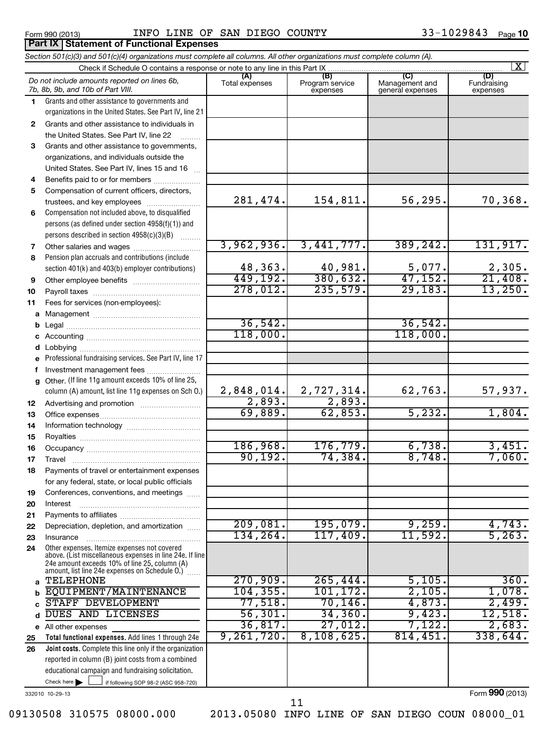**Part IX Statement of Functional Expenses**

### Form 990 (2013)  $I\!N\!F\!O$   $I\!N\!N\!E$  OF SAN DIEGO COUNTY  $33-1029843$  Page

### If following SOP 98-2 (ASC 958-720) **Total functional expenses.**  Add lines 1 through 24e **Joint costs.** Complete this line only if the organization **(A) (B) (C) (D) 1 2 3 4 5 6 7 8 9 10 11 a** Management ~~~~~~~~~~~~~~~~ **b c d e f g 12 13 14 15 16 17 18 19 20 21 22 23 24 a b c d e 25 26** *Section 501(c)(3) and 501(c)(4) organizations must complete all columns. All other organizations must complete column (A).* Grants and other assistance to governments and organizations in the United States. See Part IV, line 21 Compensation not included above, to disqualified persons (as defined under section 4958(f)(1)) and persons described in section 4958(c)(3)(B)  $\quad \quad \ldots \ldots \ldots$ Pension plan accruals and contributions (include section 401(k) and 403(b) employer contributions) Professional fundraising services. See Part IV, line 17 Other. (If line 11g amount exceeds 10% of line 25, column (A) amount, list line 11g expenses on Sch O.) Other expenses. Itemize expenses not covered above. (List miscellaneous expenses in line 24e. If line 24e amount exceeds 10% of line 25, column (A) amount, list line 24e expenses on Schedule O.)  $\, \ldots \,$ reported in column (B) joint costs from a combined educational campaign and fundraising solicitation. Check if Schedule O contains a response or note to any line in this Part IX [11] CONCORDITY CONCORDITY CONCORDI<br>
CONCORDITY CONCORDITY CONCORDITY CONCORDITY CONCORDITY CONCORDITY CONCORDITY CONCORDITY CONCORDITY CONCORDITY (A) (B)<br>Total expenses Program service expenses Management and general expenses Fundraising expenses Grants and other assistance to individuals in the United States. See Part IV, line 22 Grants and other assistance to governments, organizations, and individuals outside the United States. See Part IV, lines 15 and 16 ~ Benefits paid to or for members .................... Compensation of current officers, directors, trustees, and key employees ......................... Other salaries and wages ~~~~~~~~~~ Other employee benefits ~~~~~~~~~~ Payroll taxes ~~~~~~~~~~~~~~~~ Fees for services (non-employees): Legal ~~~~~~~~~~~~~~~~~~~~ Accounting ~~~~~~~~~~~~~~~~~ Lobbying ~~~~~~~~~~~~~~~~~~ Investment management fees ........................ Advertising and promotion ~~~~~~~~~ Office expenses ~~~~~~~~~~~~~~~ Information technology ~~~~~~~~~~~ Royalties ~~~~~~~~~~~~~~~~~~ Occupancy ~~~~~~~~~~~~~~~~~ Travel ………………………………………………… Payments of travel or entertainment expenses for any federal, state, or local public officials Conferences, conventions, and meetings ...... Interest Payments to affiliates ~~~~~~~~~~~~ ~~~~~~~~~~~~~~~~~~ Depreciation, depletion, and amortization ...... Insurance ~~~~~~~~~~~~~~~~~ All other expenses Check here  $\blacktriangleright$ *Do not include amounts reported on lines 6b, 7b, 8b, 9b, and 10b of Part VIII.*  $\lfloor x \rfloor$  $\Box$ 281,474. 154,811. 56,295. 70,368. 3,962,936. 3,441,777. 389,242. 131,917. 48,363. 40,981. 5,077. 2,305. 449,192. 380,632. 47,152. 21,408. 278,012. 235,579. 29,183. 13,250. 36,542. 36,542.  $118,000.$  118,000. 2,848,014. 2,727,314. 62,763. 57,937. 2,893. 2,893. 69,889. 62,853. 5,232. 1,804. 186,968. 176,779. 6,738. 3,451. 90,192. 74,384. 8,748. 7,060. 209,081. 195,079. 9,259. 4,743. 134,264. 117,409. 11,592. 5,263. TELEPHONE 270,909. 265,444. 5,105. 360. EQUIPMENT/MAINTENANCE 104,355. 101,172. 2,105. 1,078. STAFF DEVELOPMENT 77,518. 70,146. 4,873. 2,499.<br>DUES AND LICENSES 56,301. 34,360. 9,423. 12,518. DUES AND LICENSES 56,301. 34,360. 9,423. 12,518. 36,817. 27,012. 7,122. 2,683. 9,261,720. 8,108,625. 814,451. 338,644.

332010 10-29-13

Form **990** (2013)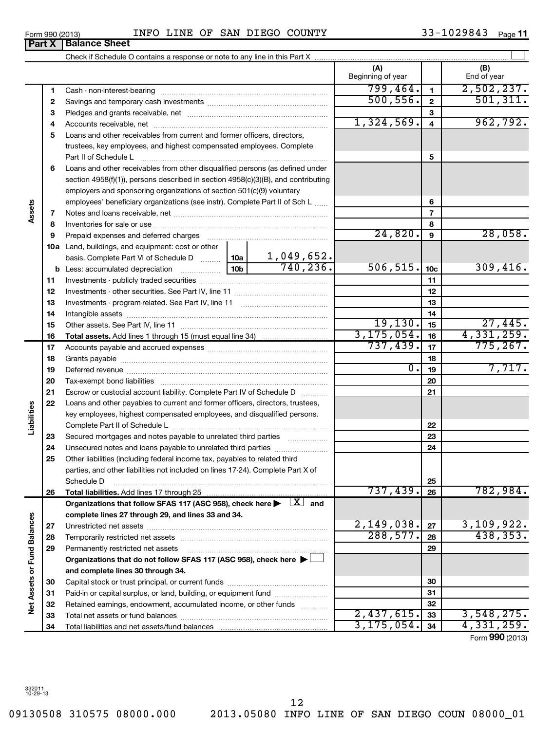$\overline{\phantom{0}}$ 

09130508 310575 08000.000 2013.05080 INFO LINE OF SAN DIEGO COUN 08000\_01

| Form 990 (2013) |                               | INFO | LINE | OF | SAN | DIEGO | COUNTY | 1029843<br>-- | Page |
|-----------------|-------------------------------|------|------|----|-----|-------|--------|---------------|------|
|                 | <b>Part X   Balance Sheet</b> |      |      |    |     |       |        |               |      |

|                             |    |                                                                                                                         |                  |                               | (A)<br>Beginning of year |                         | (B)<br>End of year      |
|-----------------------------|----|-------------------------------------------------------------------------------------------------------------------------|------------------|-------------------------------|--------------------------|-------------------------|-------------------------|
|                             | 1  |                                                                                                                         |                  |                               | 799,464.                 | $\mathbf{1}$            | 2,502,237.              |
|                             | 2  |                                                                                                                         |                  |                               | 500, 556.                | $\overline{2}$          | 501, 311.               |
|                             | З  |                                                                                                                         |                  |                               |                          | 3                       |                         |
|                             | 4  |                                                                                                                         |                  |                               | 1,324,569.               | $\overline{\mathbf{4}}$ | 962,792.                |
|                             | 5  | Loans and other receivables from current and former officers, directors,                                                |                  |                               |                          |                         |                         |
|                             |    | trustees, key employees, and highest compensated employees. Complete                                                    |                  |                               |                          |                         |                         |
|                             |    |                                                                                                                         |                  |                               |                          | 5                       |                         |
|                             | 6  | Loans and other receivables from other disqualified persons (as defined under                                           |                  |                               |                          |                         |                         |
|                             |    | section 4958(f)(1)), persons described in section 4958(c)(3)(B), and contributing                                       |                  |                               |                          |                         |                         |
|                             |    | employers and sponsoring organizations of section 501(c)(9) voluntary                                                   |                  |                               |                          |                         |                         |
|                             |    | employees' beneficiary organizations (see instr). Complete Part II of Sch L                                             |                  |                               |                          | 6                       |                         |
| Assets                      | 7  |                                                                                                                         |                  |                               | $\overline{7}$           |                         |                         |
|                             | 8  |                                                                                                                         |                  |                               | 8                        |                         |                         |
|                             | 9  | Prepaid expenses and deferred charges                                                                                   |                  |                               | 24,820.                  | $\mathbf{9}$            | 28,058.                 |
|                             |    | 10a Land, buildings, and equipment: cost or other                                                                       |                  |                               |                          |                         |                         |
|                             |    | basis. Complete Part VI of Schedule D  10a                                                                              |                  | $\frac{1,049,652.}{740,236.}$ |                          |                         |                         |
|                             |    |                                                                                                                         |                  |                               | 506, 515.                | 10 <sub>c</sub>         | 309,416.                |
|                             | 11 |                                                                                                                         |                  |                               |                          | 11                      |                         |
|                             | 12 |                                                                                                                         |                  |                               |                          | 12                      |                         |
|                             | 13 |                                                                                                                         |                  |                               |                          | 13                      |                         |
|                             | 14 |                                                                                                                         |                  |                               |                          | 14                      |                         |
|                             | 15 |                                                                                                                         |                  |                               | 19, 130.                 | 15                      | 27,445.                 |
|                             | 16 | <b>Total assets.</b> Add lines 1 through 15 (must equal line 34) <i></i>                                                |                  |                               | 3, 175, 054.<br>737,439. | 16                      | 4,331,259.<br>775, 267. |
|                             | 17 |                                                                                                                         |                  | 17                            |                          |                         |                         |
|                             | 18 |                                                                                                                         | $\overline{0}$ . | 18                            | 7,717.                   |                         |                         |
|                             | 19 |                                                                                                                         |                  | 19                            |                          |                         |                         |
|                             | 20 |                                                                                                                         |                  |                               | 20                       |                         |                         |
|                             | 21 | Escrow or custodial account liability. Complete Part IV of Schedule D                                                   |                  | 21                            |                          |                         |                         |
| Liabilities                 | 22 | Loans and other payables to current and former officers, directors, trustees,                                           |                  |                               |                          |                         |                         |
|                             |    | key employees, highest compensated employees, and disqualified persons.                                                 |                  |                               |                          | 22                      |                         |
|                             | 23 | Secured mortgages and notes payable to unrelated third parties                                                          |                  |                               |                          | 23                      |                         |
|                             | 24 |                                                                                                                         |                  |                               |                          | 24                      |                         |
|                             | 25 | Other liabilities (including federal income tax, payables to related third                                              |                  |                               |                          |                         |                         |
|                             |    | parties, and other liabilities not included on lines 17-24). Complete Part X of                                         |                  |                               |                          |                         |                         |
|                             |    | Schedule D                                                                                                              |                  |                               |                          | 25                      |                         |
|                             | 26 |                                                                                                                         |                  |                               | 737,439.                 | 26                      | 782,984.                |
|                             |    | Organizations that follow SFAS 117 (ASC 958), check here $\blacktriangleright \begin{array}{c} \perp X \end{array}$ and |                  |                               |                          |                         |                         |
|                             |    | complete lines 27 through 29, and lines 33 and 34.                                                                      |                  |                               |                          |                         |                         |
|                             | 27 |                                                                                                                         |                  |                               | 2,149,038.               | 27                      | 3,109,922.              |
|                             | 28 |                                                                                                                         |                  |                               | 288,577.                 | 28                      | 438, 353.               |
|                             | 29 | Permanently restricted net assets                                                                                       |                  | 29                            |                          |                         |                         |
|                             |    | Organizations that do not follow SFAS 117 (ASC 958), check here $\blacktriangleright$                                   |                  |                               |                          |                         |                         |
| Net Assets or Fund Balances |    | and complete lines 30 through 34.                                                                                       |                  |                               |                          |                         |                         |
|                             | 30 |                                                                                                                         |                  |                               |                          | 30                      |                         |
|                             | 31 | Paid-in or capital surplus, or land, building, or equipment fund                                                        |                  |                               |                          | 31                      |                         |
|                             | 32 | Retained earnings, endowment, accumulated income, or other funds                                                        |                  |                               |                          | 32                      |                         |
|                             | 33 |                                                                                                                         |                  |                               | 2,437,615.               | 33                      | 3,548,275.              |
|                             | 34 |                                                                                                                         |                  |                               | 3, 175, 054.             | 34                      | 4,331,259.              |

Form (2013) **990**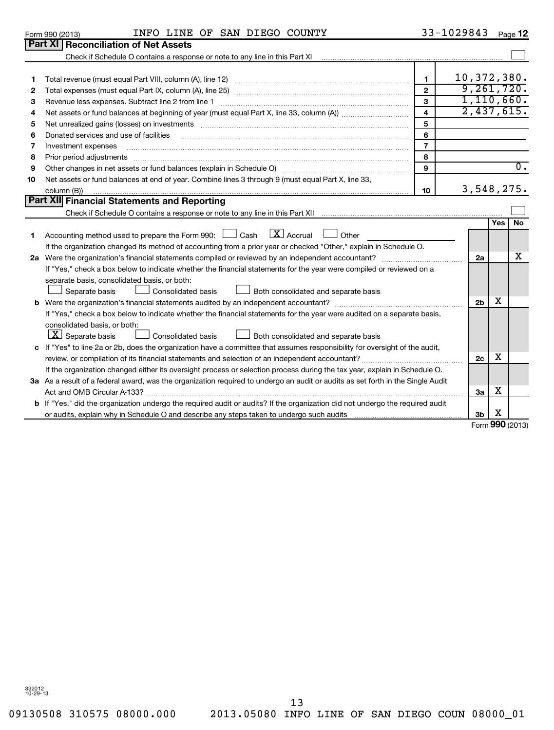### Form 990 (2013)  $I\!N\!F\!O$   $I\!N\!N\!E$  OF SAN DIEGO COUNTY  $33-1029843$  Page

33-1029843 Page 12

|    | 01111 UUU 140 IU                                                                                                                |                         |             |                |     |                  |
|----|---------------------------------------------------------------------------------------------------------------------------------|-------------------------|-------------|----------------|-----|------------------|
|    | Part XI   Reconciliation of Net Assets                                                                                          |                         |             |                |     |                  |
|    | Check if Schedule O contains a response or note to any line in this Part XI                                                     |                         |             |                |     |                  |
|    |                                                                                                                                 |                         |             |                |     |                  |
| 1  |                                                                                                                                 | $\mathbf{1}$            | 10,372,380. |                |     |                  |
| 2  |                                                                                                                                 | $\mathbf{2}$            |             |                |     | 9,261,720.       |
| 3  | Revenue less expenses. Subtract line 2 from line 1                                                                              | 3                       |             |                |     | 1,110,660.       |
| 4  |                                                                                                                                 | $\overline{\mathbf{4}}$ |             |                |     | 2,437,615.       |
| 5  | Net unrealized gains (losses) on investments [111] www.martime.community.community.community.community.com                      | 5                       |             |                |     |                  |
| 6  | Donated services and use of facilities                                                                                          | 6                       |             |                |     |                  |
| 7  | Investment expenses                                                                                                             | $\overline{7}$          |             |                |     |                  |
| 8  | Prior period adjustments                                                                                                        | 8                       |             |                |     |                  |
| 9  |                                                                                                                                 | 9                       |             |                |     | $\overline{0}$ . |
| 10 | Net assets or fund balances at end of year. Combine lines 3 through 9 (must equal Part X, line 33,                              |                         |             |                |     |                  |
|    | column (B))                                                                                                                     | 10                      |             |                |     | 3,548,275.       |
|    | Part XII Financial Statements and Reporting                                                                                     |                         |             |                |     |                  |
|    |                                                                                                                                 |                         |             |                |     |                  |
|    |                                                                                                                                 |                         |             |                | Yes | No               |
| 1  | $\lfloor x \rfloor$ Accrual<br>Accounting method used to prepare the Form 990: $\Box$ Cash<br>Other                             |                         |             |                |     |                  |
|    | If the organization changed its method of accounting from a prior year or checked "Other," explain in Schedule O.               |                         |             |                |     |                  |
|    |                                                                                                                                 |                         |             | 2a             |     | х                |
|    | If "Yes," check a box below to indicate whether the financial statements for the year were compiled or reviewed on a            |                         |             |                |     |                  |
|    | separate basis, consolidated basis, or both:                                                                                    |                         |             |                |     |                  |
|    | <b>Consolidated basis</b><br>Both consolidated and separate basis<br>Separate basis                                             |                         |             |                |     |                  |
|    |                                                                                                                                 |                         |             | 2 <sub>b</sub> | х   |                  |
|    | If "Yes," check a box below to indicate whether the financial statements for the year were audited on a separate basis,         |                         |             |                |     |                  |
|    | consolidated basis, or both:                                                                                                    |                         |             |                |     |                  |
|    | $\lfloor \underline{X} \rfloor$ Separate basis<br><b>Consolidated basis</b><br>Both consolidated and separate basis             |                         |             |                |     |                  |
|    | c If "Yes" to line 2a or 2b, does the organization have a committee that assumes responsibility for oversight of the audit,     |                         |             |                |     |                  |
|    |                                                                                                                                 |                         |             | 2c             | х   |                  |
|    | If the organization changed either its oversight process or selection process during the tax year, explain in Schedule O.       |                         |             |                |     |                  |
|    | 3a As a result of a federal award, was the organization required to undergo an audit or audits as set forth in the Single Audit |                         |             |                |     |                  |
|    |                                                                                                                                 |                         |             | 3a             | х   |                  |
|    | b If "Yes," did the organization undergo the required audit or audits? If the organization did not undergo the required audit   |                         |             |                |     |                  |
|    |                                                                                                                                 |                         |             | 3b             | х   |                  |

Form **990** (2013)

09130508 310575 08000.000 2013.05080 INFO LINE OF SAN DIEGO COUN 08000\_01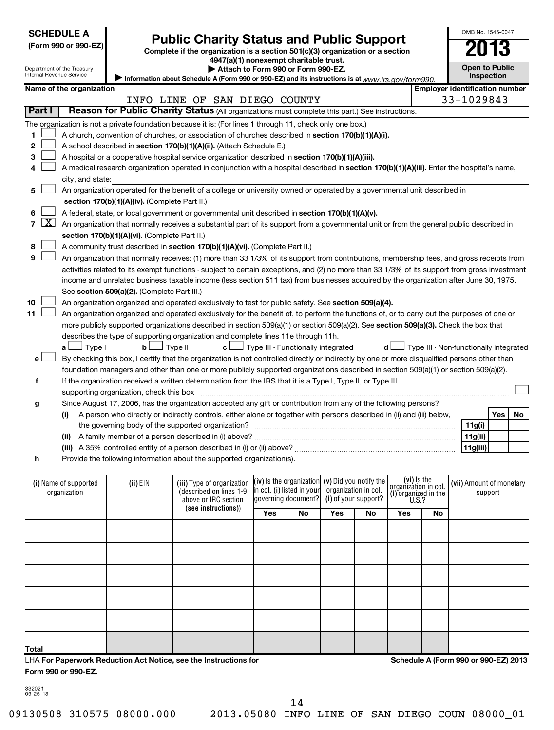|--|

| (Form 990 or 990-EZ |  |  |  |  |
|---------------------|--|--|--|--|
|---------------------|--|--|--|--|

# **Public Charity Status and Public Support**<br> **Addition is a section 501(c)(3) organization or a section**<br>  $4947(a)(1)$  nonexempt charitable trust.

**(Form 990 or 990-EZ) Complete if the organization is a section 501(c)(3) organization or a section**

**| Attach to Form 990 or Form 990-EZ.** 

OMB No. 1545-0047

**Open to Public**

|                                       | Department of the Treasury<br>Internal Revenue Service               |                                               |                                                                                                                                               | Attach to Form 990 or Form 990-EZ.                  |         |                                     | <b>Open to Public</b><br>Inspection    |  |  |
|---------------------------------------|----------------------------------------------------------------------|-----------------------------------------------|-----------------------------------------------------------------------------------------------------------------------------------------------|-----------------------------------------------------|---------|-------------------------------------|----------------------------------------|--|--|
|                                       | Name of the organization                                             |                                               | Information about Schedule A (Form 990 or 990-EZ) and its instructions is at www.irs.gov/form990.                                             |                                                     |         |                                     | <b>Employer identification number</b>  |  |  |
|                                       |                                                                      |                                               |                                                                                                                                               |                                                     |         |                                     |                                        |  |  |
| Part I                                |                                                                      |                                               | INFO LINE OF SAN DIEGO COUNTY<br>Reason for Public Charity Status (All organizations must complete this part.) See instructions.              |                                                     |         |                                     | 33-1029843                             |  |  |
|                                       |                                                                      |                                               |                                                                                                                                               |                                                     |         |                                     |                                        |  |  |
|                                       |                                                                      |                                               | The organization is not a private foundation because it is: (For lines 1 through 11, check only one box.)                                     |                                                     |         |                                     |                                        |  |  |
| 1                                     |                                                                      |                                               | A church, convention of churches, or association of churches described in section 170(b)(1)(A)(i).                                            |                                                     |         |                                     |                                        |  |  |
| 2                                     | A school described in section 170(b)(1)(A)(ii). (Attach Schedule E.) |                                               |                                                                                                                                               |                                                     |         |                                     |                                        |  |  |
| 3                                     |                                                                      |                                               | A hospital or a cooperative hospital service organization described in section 170(b)(1)(A)(iii).                                             |                                                     |         |                                     |                                        |  |  |
| 4                                     |                                                                      |                                               | A medical research organization operated in conjunction with a hospital described in section 170(b)(1)(A)(iii). Enter the hospital's name,    |                                                     |         |                                     |                                        |  |  |
|                                       | city, and state:                                                     |                                               |                                                                                                                                               |                                                     |         |                                     |                                        |  |  |
| 5                                     |                                                                      |                                               | An organization operated for the benefit of a college or university owned or operated by a governmental unit described in                     |                                                     |         |                                     |                                        |  |  |
|                                       |                                                                      | section 170(b)(1)(A)(iv). (Complete Part II.) |                                                                                                                                               |                                                     |         |                                     |                                        |  |  |
| 6                                     |                                                                      |                                               | A federal, state, or local government or governmental unit described in section 170(b)(1)(A)(v).                                              |                                                     |         |                                     |                                        |  |  |
| $\lfloor x \rfloor$<br>$\overline{ }$ |                                                                      |                                               | An organization that normally receives a substantial part of its support from a governmental unit or from the general public described in     |                                                     |         |                                     |                                        |  |  |
|                                       |                                                                      | section 170(b)(1)(A)(vi). (Complete Part II.) |                                                                                                                                               |                                                     |         |                                     |                                        |  |  |
| 8                                     |                                                                      |                                               | A community trust described in section 170(b)(1)(A)(vi). (Complete Part II.)                                                                  |                                                     |         |                                     |                                        |  |  |
| 9                                     |                                                                      |                                               | An organization that normally receives: (1) more than 33 1/3% of its support from contributions, membership fees, and gross receipts from     |                                                     |         |                                     |                                        |  |  |
|                                       |                                                                      |                                               | activities related to its exempt functions - subject to certain exceptions, and (2) no more than 33 1/3% of its support from gross investment |                                                     |         |                                     |                                        |  |  |
|                                       |                                                                      |                                               | income and unrelated business taxable income (less section 511 tax) from businesses acquired by the organization after June 30, 1975.         |                                                     |         |                                     |                                        |  |  |
|                                       |                                                                      | See section 509(a)(2). (Complete Part III.)   |                                                                                                                                               |                                                     |         |                                     |                                        |  |  |
| 10                                    |                                                                      |                                               | An organization organized and operated exclusively to test for public safety. See section 509(a)(4).                                          |                                                     |         |                                     |                                        |  |  |
| 11                                    |                                                                      |                                               | An organization organized and operated exclusively for the benefit of, to perform the functions of, or to carry out the purposes of one or    |                                                     |         |                                     |                                        |  |  |
|                                       |                                                                      |                                               | more publicly supported organizations described in section 509(a)(1) or section 509(a)(2). See section 509(a)(3). Check the box that          |                                                     |         |                                     |                                        |  |  |
|                                       |                                                                      |                                               | describes the type of supporting organization and complete lines 11e through 11h.                                                             |                                                     |         |                                     |                                        |  |  |
|                                       | Type I<br>a L                                                        | bl                                            | Type II<br>c L                                                                                                                                | J Type III - Functionally integrated                | d l     |                                     | Type III - Non-functionally integrated |  |  |
| e l                                   |                                                                      |                                               | By checking this box, I certify that the organization is not controlled directly or indirectly by one or more disqualified persons other than |                                                     |         |                                     |                                        |  |  |
|                                       |                                                                      |                                               | foundation managers and other than one or more publicly supported organizations described in section 509(a)(1) or section 509(a)(2).          |                                                     |         |                                     |                                        |  |  |
| f                                     |                                                                      |                                               | If the organization received a written determination from the IRS that it is a Type I, Type II, or Type III                                   |                                                     |         |                                     |                                        |  |  |
|                                       |                                                                      | supporting organization, check this box       |                                                                                                                                               |                                                     |         |                                     |                                        |  |  |
| g                                     |                                                                      |                                               | Since August 17, 2006, has the organization accepted any gift or contribution from any of the following persons?                              |                                                     |         |                                     |                                        |  |  |
|                                       | (i)                                                                  |                                               | A person who directly or indirectly controls, either alone or together with persons described in (ii) and (iii) below,                        |                                                     |         |                                     | Yes<br>No.                             |  |  |
|                                       |                                                                      |                                               | the governing body of the supported organization?                                                                                             |                                                     |         |                                     | 11g(i)                                 |  |  |
|                                       |                                                                      |                                               |                                                                                                                                               |                                                     |         |                                     | 11g(ii)                                |  |  |
|                                       |                                                                      |                                               |                                                                                                                                               |                                                     |         |                                     | 11g(iii)                               |  |  |
| h                                     |                                                                      |                                               | Provide the following information about the supported organization(s).                                                                        |                                                     |         |                                     |                                        |  |  |
|                                       |                                                                      |                                               |                                                                                                                                               |                                                     |         |                                     |                                        |  |  |
|                                       | (i) Name of supported                                                | (ii) EIN                                      | (iii) Type of organization                                                                                                                    | $(iv)$ is the organization $(v)$ Did you notify the |         | (vi) is the<br>organizátion in col. | (vii) Amount of monetary               |  |  |
|                                       | organization                                                         |                                               | (described on lines 1-9)                                                                                                                      | in col. (i) listed in your organization in col.     | $\cdot$ | (i) organized in the                | support                                |  |  |

| (i) Name of supported<br>organization                                     | $(ii)$ EIN | (iii) Type of organization<br>(described on lines 1-9<br>above or IRC section |     |     | (iv) Is the organization (v) Did you notify the<br>$\left  \right $ n col. (i) listed in your organization in col.<br>governing document? (i) of your support? |    | (vi) is the<br>organization in col.<br>(i) organized in the<br>U.S.? |    | (vii) Amount of monetary<br>support  |
|---------------------------------------------------------------------------|------------|-------------------------------------------------------------------------------|-----|-----|----------------------------------------------------------------------------------------------------------------------------------------------------------------|----|----------------------------------------------------------------------|----|--------------------------------------|
|                                                                           |            | (see instructions))                                                           | Yes | No. | Yes                                                                                                                                                            | No | Yes                                                                  | No |                                      |
|                                                                           |            |                                                                               |     |     |                                                                                                                                                                |    |                                                                      |    |                                      |
|                                                                           |            |                                                                               |     |     |                                                                                                                                                                |    |                                                                      |    |                                      |
|                                                                           |            |                                                                               |     |     |                                                                                                                                                                |    |                                                                      |    |                                      |
|                                                                           |            |                                                                               |     |     |                                                                                                                                                                |    |                                                                      |    |                                      |
|                                                                           |            |                                                                               |     |     |                                                                                                                                                                |    |                                                                      |    |                                      |
| Total<br>LUA For Danorwork Poduction Act Notice, see the Instructions for |            |                                                                               |     |     |                                                                                                                                                                |    |                                                                      |    | Schodule A (Form 990 or 990-E7) 2013 |

LHA **For Paperwork Reduction Act Notice, see the Instructions for Form 990 or 990-EZ.**

**Schedule A (Form 990 or 990-EZ) 2013**

332021 09-25-13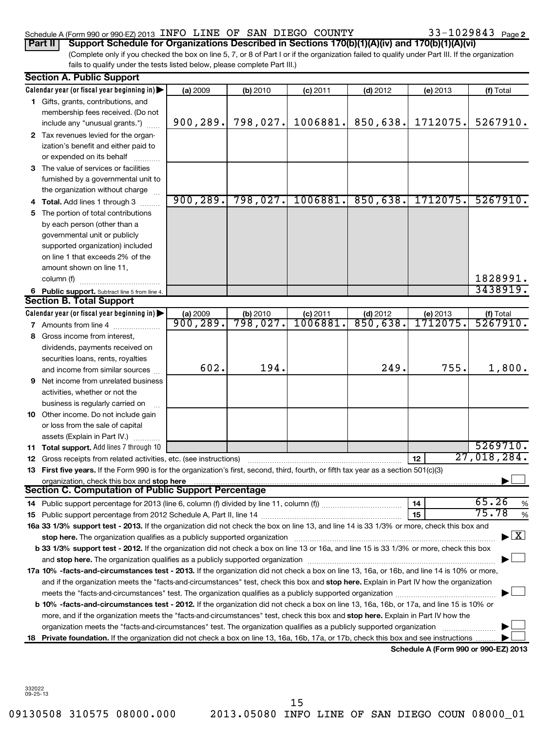### Schedule A (Form 990 or 990-EZ) 2013 INFO LINE OF SAN DIEGO COUNTY  $33-1029843$  Page

33-1029843 Page 2

(Complete only if you checked the box on line 5, 7, or 8 of Part I or if the organization failed to qualify under Part III. If the organization fails to qualify under the tests listed below, please complete Part III.) **Part II Support Schedule for Organizations Described in Sections 170(b)(1)(A)(iv) and 170(b)(1)(A)(vi)**

|   | <b>Section A. Public Support</b>                                                                                                                                                                                               |           |          |            |            |                                      |                                          |
|---|--------------------------------------------------------------------------------------------------------------------------------------------------------------------------------------------------------------------------------|-----------|----------|------------|------------|--------------------------------------|------------------------------------------|
|   | Calendar year (or fiscal year beginning in)                                                                                                                                                                                    | (a) 2009  | (b) 2010 | $(c)$ 2011 | $(d)$ 2012 | (e) 2013                             | (f) Total                                |
|   | 1 Gifts, grants, contributions, and                                                                                                                                                                                            |           |          |            |            |                                      |                                          |
|   | membership fees received. (Do not                                                                                                                                                                                              |           |          |            |            |                                      |                                          |
|   | include any "unusual grants.")                                                                                                                                                                                                 | 900, 289. | 798,027. | 1006881.   | 850,638.   | 1712075.                             | 5267910.                                 |
|   | 2 Tax revenues levied for the organ-                                                                                                                                                                                           |           |          |            |            |                                      |                                          |
|   | ization's benefit and either paid to                                                                                                                                                                                           |           |          |            |            |                                      |                                          |
|   | or expended on its behalf                                                                                                                                                                                                      |           |          |            |            |                                      |                                          |
|   | 3 The value of services or facilities                                                                                                                                                                                          |           |          |            |            |                                      |                                          |
|   | furnished by a governmental unit to                                                                                                                                                                                            |           |          |            |            |                                      |                                          |
|   | the organization without charge                                                                                                                                                                                                |           |          |            |            |                                      |                                          |
|   | Total. Add lines 1 through 3                                                                                                                                                                                                   | 900, 289. | 798,027. | 1006881.   | 850,638.   | 1712075.                             | 5267910.                                 |
| 5 | The portion of total contributions                                                                                                                                                                                             |           |          |            |            |                                      |                                          |
|   | by each person (other than a                                                                                                                                                                                                   |           |          |            |            |                                      |                                          |
|   | governmental unit or publicly                                                                                                                                                                                                  |           |          |            |            |                                      |                                          |
|   | supported organization) included                                                                                                                                                                                               |           |          |            |            |                                      |                                          |
|   | on line 1 that exceeds 2% of the                                                                                                                                                                                               |           |          |            |            |                                      |                                          |
|   | amount shown on line 11,                                                                                                                                                                                                       |           |          |            |            |                                      |                                          |
|   | column (f)                                                                                                                                                                                                                     |           |          |            |            |                                      | 1828991.                                 |
|   | 6 Public support. Subtract line 5 from line 4.                                                                                                                                                                                 |           |          |            |            |                                      | 3438919.                                 |
|   | <b>Section B. Total Support</b>                                                                                                                                                                                                |           |          |            |            |                                      |                                          |
|   | Calendar year (or fiscal year beginning in)                                                                                                                                                                                    | (a) 2009  | (b) 2010 | $(c)$ 2011 | $(d)$ 2012 | (e) 2013                             | (f) Total                                |
|   | <b>7</b> Amounts from line 4                                                                                                                                                                                                   | 900, 289. | 798,027. | 1006881    | 850,638.   | 1712075                              | 5267910.                                 |
| 8 | Gross income from interest,                                                                                                                                                                                                    |           |          |            |            |                                      |                                          |
|   | dividends, payments received on                                                                                                                                                                                                |           |          |            |            |                                      |                                          |
|   | securities loans, rents, royalties                                                                                                                                                                                             |           |          |            |            |                                      |                                          |
|   | and income from similar sources                                                                                                                                                                                                | 602.      | 194.     |            | 249.       | 755.                                 | 1,800.                                   |
| 9 | Net income from unrelated business                                                                                                                                                                                             |           |          |            |            |                                      |                                          |
|   | activities, whether or not the                                                                                                                                                                                                 |           |          |            |            |                                      |                                          |
|   | business is regularly carried on                                                                                                                                                                                               |           |          |            |            |                                      |                                          |
|   | 10 Other income. Do not include gain                                                                                                                                                                                           |           |          |            |            |                                      |                                          |
|   | or loss from the sale of capital                                                                                                                                                                                               |           |          |            |            |                                      |                                          |
|   | assets (Explain in Part IV.)                                                                                                                                                                                                   |           |          |            |            |                                      |                                          |
|   | 11 Total support. Add lines 7 through 10                                                                                                                                                                                       |           |          |            |            |                                      | 5269710.                                 |
|   | 12 Gross receipts from related activities, etc. (see instructions)                                                                                                                                                             |           |          |            |            | 12 <sup>2</sup>                      | 27,018,284.                              |
|   | 13 First five years. If the Form 990 is for the organization's first, second, third, fourth, or fifth tax year as a section 501(c)(3)                                                                                          |           |          |            |            |                                      |                                          |
|   | organization, check this box and stop here<br><b>Section C. Computation of Public Support Percentage</b>                                                                                                                       |           |          |            |            |                                      |                                          |
|   |                                                                                                                                                                                                                                |           |          |            |            |                                      |                                          |
|   |                                                                                                                                                                                                                                |           |          |            |            | 14                                   | 65.26<br>%<br>75.78                      |
|   |                                                                                                                                                                                                                                |           |          |            |            | 15                                   | %                                        |
|   | 16a 33 1/3% support test - 2013. If the organization did not check the box on line 13, and line 14 is 33 1/3% or more, check this box and                                                                                      |           |          |            |            |                                      | $\blacktriangleright$ $\boxed{\text{X}}$ |
|   | stop here. The organization qualifies as a publicly supported organization [11] manuscription manuscription manuscription manuscription manuscription manuscription and the state of the state of the state of the state of th |           |          |            |            |                                      |                                          |
|   | b 33 1/3% support test - 2012. If the organization did not check a box on line 13 or 16a, and line 15 is 33 1/3% or more, check this box                                                                                       |           |          |            |            |                                      |                                          |
|   | and stop here. The organization qualifies as a publicly supported organization manufaction manufacture content                                                                                                                 |           |          |            |            |                                      |                                          |
|   | 17a 10% -facts-and-circumstances test - 2013. If the organization did not check a box on line 13, 16a, or 16b, and line 14 is 10% or more,                                                                                     |           |          |            |            |                                      |                                          |
|   | and if the organization meets the "facts-and-circumstances" test, check this box and stop here. Explain in Part IV how the organization                                                                                        |           |          |            |            |                                      |                                          |
|   |                                                                                                                                                                                                                                |           |          |            |            |                                      |                                          |
|   | b 10% -facts-and-circumstances test - 2012. If the organization did not check a box on line 13, 16a, 16b, or 17a, and line 15 is 10% or                                                                                        |           |          |            |            |                                      |                                          |
|   | more, and if the organization meets the "facts-and-circumstances" test, check this box and stop here. Explain in Part IV how the                                                                                               |           |          |            |            |                                      |                                          |
|   | organization meets the "facts-and-circumstances" test. The organization qualifies as a publicly supported organization                                                                                                         |           |          |            |            |                                      |                                          |
|   | 18 Private foundation. If the organization did not check a box on line 13, 16a, 16b, 17a, or 17b, check this box and see instructions.                                                                                         |           |          |            |            | Schedule A (Form 990 or 990-EZ) 2013 |                                          |
|   |                                                                                                                                                                                                                                |           |          |            |            |                                      |                                          |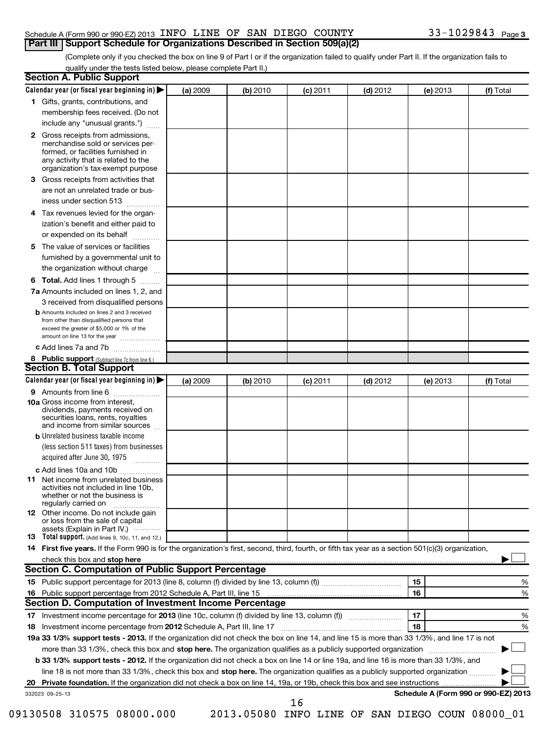### Schedule A (Form 990 or 990-EZ) 2013 INFO LINE OF SAN DIEGO COUNTY  $33-1029843$  Page **Part III Support Schedule for Organizations Described in Section 509(a)(2)**

(Complete only if you checked the box on line 9 of Part I or if the organization failed to qualify under Part II. If the organization fails to qualify under the tests listed below, please complete Part II.)

| <b>Section A. Public Support</b>                                                                                                                                                                                                                          |          |          |            |            |          |                                      |
|-----------------------------------------------------------------------------------------------------------------------------------------------------------------------------------------------------------------------------------------------------------|----------|----------|------------|------------|----------|--------------------------------------|
| Calendar year (or fiscal year beginning in)                                                                                                                                                                                                               | (a) 2009 | (b) 2010 | (c) 2011   | $(d)$ 2012 | (e) 2013 | (f) Total                            |
| 1 Gifts, grants, contributions, and                                                                                                                                                                                                                       |          |          |            |            |          |                                      |
| membership fees received. (Do not                                                                                                                                                                                                                         |          |          |            |            |          |                                      |
| include any "unusual grants.")                                                                                                                                                                                                                            |          |          |            |            |          |                                      |
| <b>2</b> Gross receipts from admissions,<br>merchandise sold or services per-<br>formed, or facilities furnished in<br>any activity that is related to the<br>organization's tax-exempt purpose                                                           |          |          |            |            |          |                                      |
| 3 Gross receipts from activities that<br>are not an unrelated trade or bus-                                                                                                                                                                               |          |          |            |            |          |                                      |
| iness under section 513                                                                                                                                                                                                                                   |          |          |            |            |          |                                      |
| Tax revenues levied for the organ-<br>4<br>ization's benefit and either paid to<br>or expended on its behalf                                                                                                                                              |          |          |            |            |          |                                      |
| 5 The value of services or facilities                                                                                                                                                                                                                     |          |          |            |            |          |                                      |
| furnished by a governmental unit to<br>the organization without charge                                                                                                                                                                                    |          |          |            |            |          |                                      |
| <b>6 Total.</b> Add lines 1 through 5                                                                                                                                                                                                                     |          |          |            |            |          |                                      |
| 7a Amounts included on lines 1, 2, and<br>3 received from disqualified persons                                                                                                                                                                            |          |          |            |            |          |                                      |
| <b>b</b> Amounts included on lines 2 and 3 received<br>from other than disqualified persons that<br>exceed the greater of \$5,000 or 1% of the<br>amount on line 13 for the year                                                                          |          |          |            |            |          |                                      |
| c Add lines 7a and 7b                                                                                                                                                                                                                                     |          |          |            |            |          |                                      |
| 8 Public support (Subtract line 7c from line 6.)                                                                                                                                                                                                          |          |          |            |            |          |                                      |
| <b>Section B. Total Support</b>                                                                                                                                                                                                                           |          |          |            |            |          |                                      |
| Calendar year (or fiscal year beginning in)                                                                                                                                                                                                               | (a) 2009 | (b) 2010 | $(c)$ 2011 | $(d)$ 2012 | (e) 2013 | (f) Total                            |
| 9 Amounts from line 6                                                                                                                                                                                                                                     |          |          |            |            |          |                                      |
| <b>10a</b> Gross income from interest,<br>dividends, payments received on<br>securities loans, rents, royalties<br>and income from similar sources                                                                                                        |          |          |            |            |          |                                      |
| <b>b</b> Unrelated business taxable income                                                                                                                                                                                                                |          |          |            |            |          |                                      |
| (less section 511 taxes) from businesses<br>acquired after June 30, 1975<br>$\overline{\phantom{a}}$                                                                                                                                                      |          |          |            |            |          |                                      |
| c Add lines 10a and 10b                                                                                                                                                                                                                                   |          |          |            |            |          |                                      |
| <b>11</b> Net income from unrelated business<br>activities not included in line 10b,<br>whether or not the business is<br>regularly carried on                                                                                                            |          |          |            |            |          |                                      |
| 12 Other income. Do not include gain<br>or loss from the sale of capital<br>assets (Explain in Part IV.)                                                                                                                                                  |          |          |            |            |          |                                      |
| <b>13</b> Total support. (Add lines 9, 10c, 11, and 12.)                                                                                                                                                                                                  |          |          |            |            |          |                                      |
| 14 First five years. If the Form 990 is for the organization's first, second, third, fourth, or fifth tax year as a section 501(c)(3) organization,                                                                                                       |          |          |            |            |          |                                      |
| check this box and stop here manufactured and content to the state of the state of the state of the state of the state of the state of the state of the state of the state of the state of the state of the state of the state                            |          |          |            |            |          |                                      |
| Section C. Computation of Public Support Percentage                                                                                                                                                                                                       |          |          |            |            |          |                                      |
|                                                                                                                                                                                                                                                           |          |          |            |            | 15       | %                                    |
| Section D. Computation of Investment Income Percentage                                                                                                                                                                                                    |          |          |            |            | 16       | %                                    |
|                                                                                                                                                                                                                                                           |          |          |            |            | 17       |                                      |
| 18 Investment income percentage from 2012 Schedule A, Part III, line 17                                                                                                                                                                                   |          |          |            |            | 18       | %<br>%                               |
| 19a 33 1/3% support tests - 2013. If the organization did not check the box on line 14, and line 15 is more than 33 1/3%, and line 17 is not                                                                                                              |          |          |            |            |          |                                      |
|                                                                                                                                                                                                                                                           |          |          |            |            |          |                                      |
| more than 33 1/3%, check this box and stop here. The organization qualifies as a publicly supported organization<br>b 33 1/3% support tests - 2012. If the organization did not check a box on line 14 or line 19a, and line 16 is more than 33 1/3%, and |          |          |            |            |          |                                      |
| line 18 is not more than 33 1/3%, check this box and stop here. The organization qualifies as a publicly supported organization                                                                                                                           |          |          |            |            |          |                                      |
| 20                                                                                                                                                                                                                                                        |          |          |            |            |          |                                      |
| 332023 09-25-13                                                                                                                                                                                                                                           |          |          |            |            |          | Schedule A (Form 990 or 990-EZ) 2013 |
|                                                                                                                                                                                                                                                           |          |          | 16         |            |          |                                      |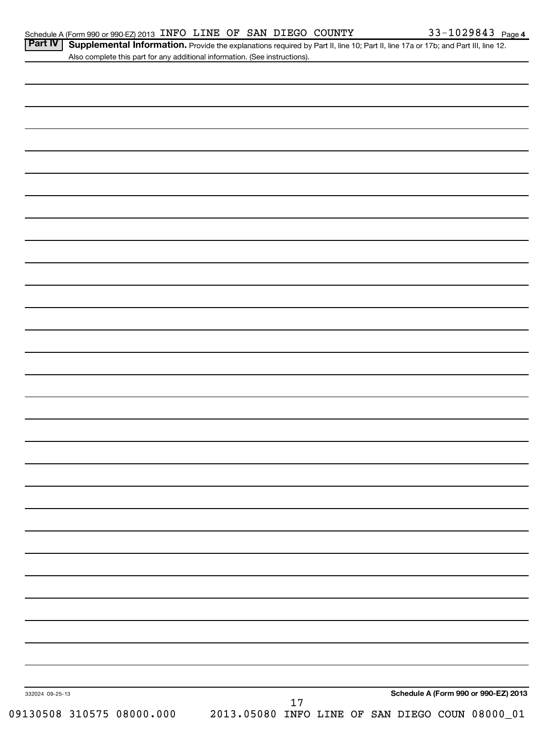Part IV | Supplemental Information. Provide the explanations required by Part II, line 10; Part II, line 17a or 17b; and Part III, line 12. Also complete this part for any additional information. (See instructions).

| 332024 09-25-13 |        | Schedule A (Form 990 or 990-EZ) 2013 |
|-----------------|--------|--------------------------------------|
|                 | $17\,$ |                                      |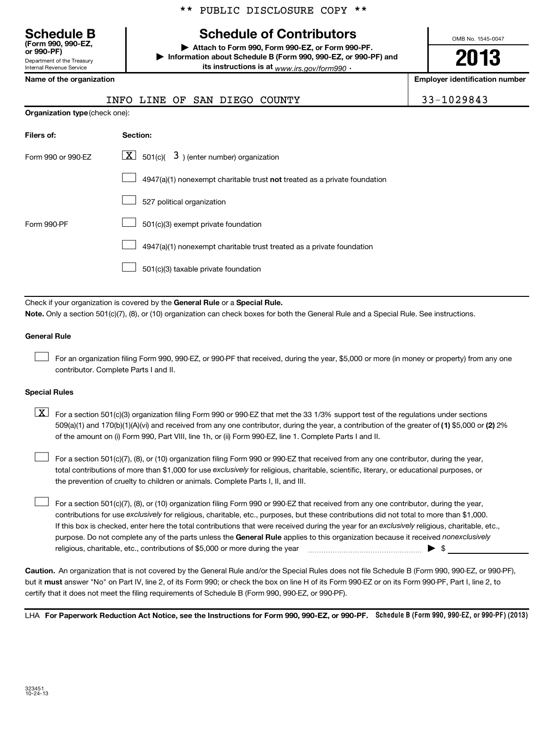## **Schedule B Schedule of Contributors**

**or 990-PF) | Attach to Form 990, Form 990-EZ, or Form 990-PF. | Information about Schedule B (Form 990, 990-EZ, or 990-PF) and its instructions is at** <sub>www.irs.gov/form990  $\cdot$ </sub>

OMB No. 1545-0047

# **2013**

**Name of the organization Employer identification number**

Department of the Treasury Internal Revenue Service

**(Form 990, 990-EZ,**

|                                | INFO LINE OF SAN DIEGO<br>COUNTY                                          | 33-1029843 |
|--------------------------------|---------------------------------------------------------------------------|------------|
| Organization type (check one): |                                                                           |            |
| Filers of:                     | Section:                                                                  |            |
| Form 990 or 990-EZ             | $\lfloor \underline{X} \rfloor$ 501(c)( 3) (enter number) organization    |            |
|                                | 4947(a)(1) nonexempt charitable trust not treated as a private foundation |            |
|                                | 527 political organization                                                |            |
| Form 990-PF                    | 501(c)(3) exempt private foundation                                       |            |
|                                | 4947(a)(1) nonexempt charitable trust treated as a private foundation     |            |
|                                | 501(c)(3) taxable private foundation                                      |            |

Check if your organization is covered by the General Rule or a Special Rule. **Note.**  Only a section 501(c)(7), (8), or (10) organization can check boxes for both the General Rule and a Special Rule. See instructions.

### **General Rule**

For an organization filing Form 990, 990-EZ, or 990-PF that received, during the year, \$5,000 or more (in money or property) from any one contributor. Complete Parts I and II.  $\left\vert \cdot\right\vert$ 

### **Special Rules**

509(a)(1) and 170(b)(1)(A)(vi) and received from any one contributor, during the year, a contribution of the greater of (1**)** \$5,000 or (**2**) 2%  $\boxed{\textbf{X}}$  For a section 501(c)(3) organization filing Form 990 or 990-EZ that met the 33 1/3% support test of the regulations under sections of the amount on (i) Form 990, Part VIII, line 1h, or (ii) Form 990-EZ, line 1. Complete Parts I and II.

total contributions of more than \$1,000 for use exclusively for religious, charitable, scientific, literary, or educational purposes, or For a section 501(c)(7), (8), or (10) organization filing Form 990 or 990-EZ that received from any one contributor, during the year, the prevention of cruelty to children or animals. Complete Parts I, II, and III.  $\left\vert \cdot\right\vert$ 

purpose. Do not complete any of the parts unless the General Rule applies to this organization because it received nonexclusively contributions for use exclusively for religious, charitable, etc., purposes, but these contributions did not total to more than \$1,000. If this box is checked, enter here the total contributions that were received during the year for an exclusively religious, charitable, etc., For a section 501(c)(7), (8), or (10) organization filing Form 990 or 990-EZ that received from any one contributor, during the year, religious, charitable, etc., contributions of \$5,000 or more during the year  $\ldots$   $\ldots$   $\ldots$   $\ldots$   $\ldots$   $\ldots$   $\ldots$   $\ldots$   $\blacktriangleright$   $\uparrow$  $\left\vert \cdot\right\vert$ 

**Caution.** An organization that is not covered by the General Rule and/or the Special Rules does not file Schedule B (Form 990, 990-EZ, or 990-PF),  **must** but it answer "No" on Part IV, line 2, of its Form 990; or check the box on line H of its Form 990-EZ or on its Form 990-PF, Part I, line 2, to certify that it does not meet the filing requirements of Schedule B (Form 990, 990-EZ, or 990-PF).

LHA For Paperwork Reduction Act Notice, see the Instructions for Form 990, 990-EZ, or 990-PF. Schedule B (Form 990, 990-EZ, or 990-PF) (2013)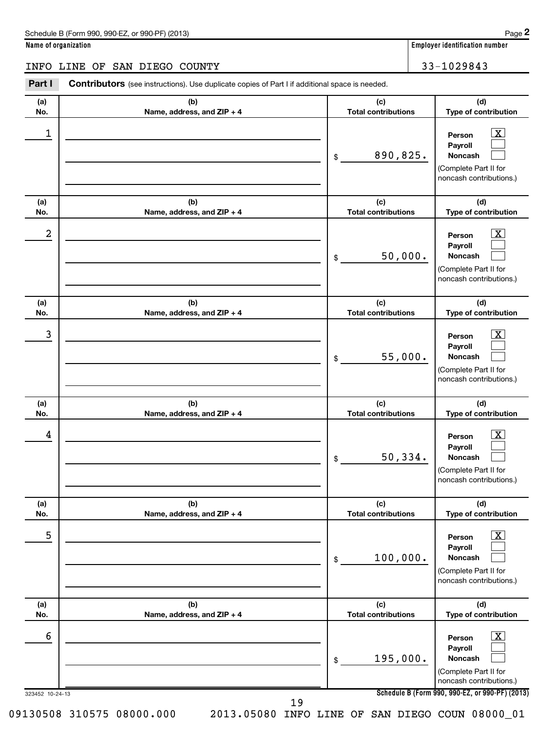$|\mathbf{X}|$  $\Box$  $\Box$ 

 $\lfloor x \rfloor$  $\Box$  $\Box$ 

 $\boxed{\text{X}}$  $\Box$  $\Box$ 

 $\overline{X}$  $\Box$  $\Box$ 

**Name of organization Employer identification number (a) No. (b) Name, address, and ZIP + 4 (c) Total contributions (d) Type of contribution Person Payroll Noncash (a) No. (b) Name, address, and ZIP + 4 (c) Total contributions (d) Type of contribution Person Payroll Noncash (a) No. (b) Name, address, and ZIP + 4 (c) Total contributions (d) Type of contribution Person Payroll Noncash (a) No. (b) Name, address, and ZIP + 4 (c) Total contributions (d) Type of contribution Person Payroll Noncash** Part I Contributors (see instructions). Use duplicate copies of Part I if additional space is needed. \$ (Complete Part II for noncash contributions.) \$ (Complete Part II for noncash contributions.) \$ (Complete Part II for noncash contributions.) \$ (Complete Part II for noncash contributions.) INFO LINE OF SAN DIEGO COUNTY 33-1029843 1 X 890,825.  $2$  Person  $\overline{\text{X}}$ 50,000. 3 X 55,000.  $\begin{array}{|c|c|c|c|c|}\hline \text{4} & \text{Person} & \text{X} \ \hline \end{array}$ 50,334.

| (a) | (b)                          | (c)                        | (d)                                                                                                                |
|-----|------------------------------|----------------------------|--------------------------------------------------------------------------------------------------------------------|
| No. | Name, address, and ZIP + 4   | <b>Total contributions</b> | Type of contribution                                                                                               |
| 5   |                              | 100,000.<br>\$             | $\overline{\mathbf{X}}$<br>Person<br><b>Payroll</b><br>Noncash<br>(Complete Part II for<br>noncash contributions.) |
| (a) | (b)                          | (c)                        | (d)                                                                                                                |
| No. | Name, address, and $ZIP + 4$ | <b>Total contributions</b> | Type of contribution                                                                                               |
| 6   |                              | 195,000.<br>\$             | $\mathbf{X}$<br>Person<br>Payroll<br><b>Noncash</b><br>(Complete Part II for<br>noncash contributions.)            |

323452 10-24-13

19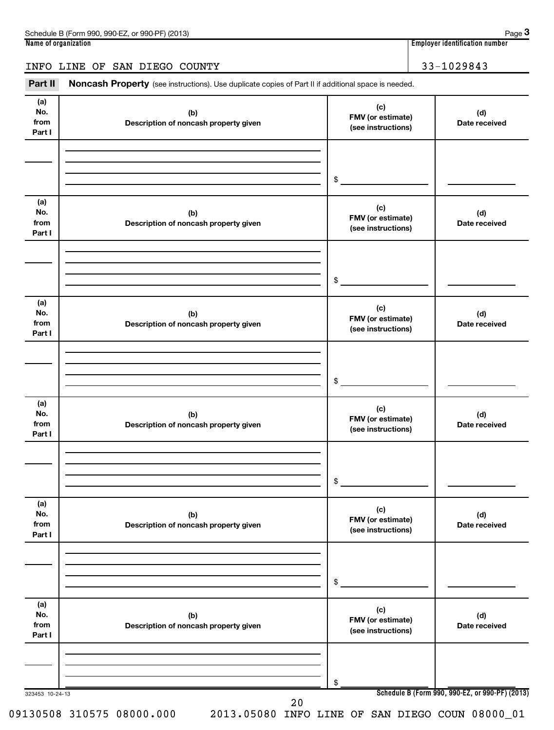| 990-FZ<br>(2013)<br>Schedule B (Form 990,<br>$990-PE$<br>or | Page                                    |
|-------------------------------------------------------------|-----------------------------------------|
| Name of organization                                        | <br>identification number :<br>Emplover |

**3**

### INFO LINE OF SAN DIEGO COUNTY 1999 120 133-1029843

Part II Noncash Property (see instructions). Use duplicate copies of Part II if additional space is needed.

| (a)<br>No.<br>from<br>Part I | (b)<br>Description of noncash property given | (c)<br>FMV (or estimate)<br>(see instructions) | (d)<br>Date received                            |
|------------------------------|----------------------------------------------|------------------------------------------------|-------------------------------------------------|
|                              |                                              |                                                |                                                 |
|                              |                                              | \$                                             |                                                 |
|                              |                                              |                                                |                                                 |
| (a)<br>No.                   | (b)                                          | (c)<br>FMV (or estimate)                       | (d)                                             |
| from<br>Part I               | Description of noncash property given        | (see instructions)                             | Date received                                   |
|                              |                                              |                                                |                                                 |
|                              |                                              |                                                |                                                 |
|                              |                                              | \$                                             |                                                 |
| (a)<br>No.                   | (b)                                          | (c)                                            | (d)                                             |
| from<br>Part I               | Description of noncash property given        | FMV (or estimate)<br>(see instructions)        | Date received                                   |
|                              |                                              |                                                |                                                 |
|                              |                                              |                                                |                                                 |
|                              |                                              | \$                                             |                                                 |
| (a)                          |                                              | (c)                                            |                                                 |
| No.<br>from                  | (b)<br>Description of noncash property given | FMV (or estimate)<br>(see instructions)        | (d)<br>Date received                            |
| Part I                       |                                              |                                                |                                                 |
|                              |                                              |                                                |                                                 |
|                              |                                              | \$                                             |                                                 |
| (a)                          |                                              |                                                |                                                 |
| No.<br>from                  | (b)<br>Description of noncash property given | (c)<br>FMV (or estimate)                       | (d)<br>Date received                            |
| Part I                       |                                              | (see instructions)                             |                                                 |
|                              |                                              |                                                |                                                 |
|                              |                                              | \$                                             |                                                 |
| (a)                          |                                              |                                                |                                                 |
| No.                          | (b)                                          | (c)<br>FMV (or estimate)                       | (d)                                             |
| from<br>Part I               | Description of noncash property given        | (see instructions)                             | Date received                                   |
|                              |                                              |                                                |                                                 |
|                              |                                              |                                                |                                                 |
| 323453 10-24-13              |                                              | \$                                             | Schedule B (Form 990, 990-EZ, or 990-PF) (2013) |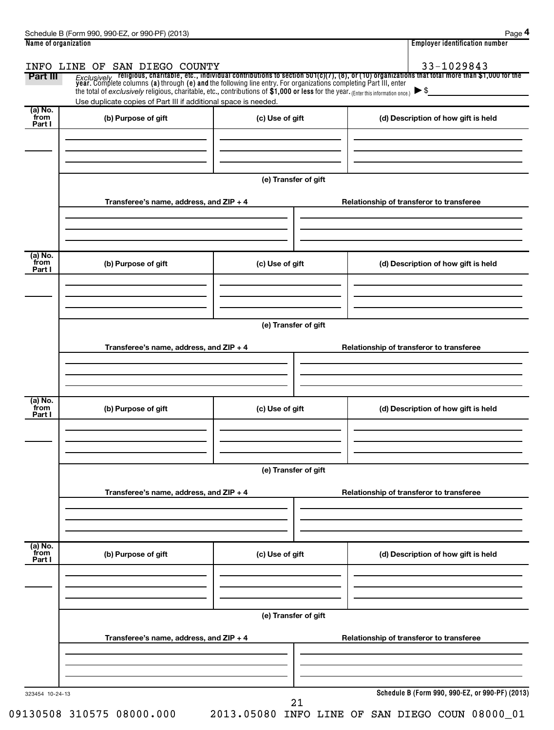| Name of organization      |                                                                                                                                                                                                                                         |                      | <b>Employer identification number</b>                                                                                                                                                                                                            |
|---------------------------|-----------------------------------------------------------------------------------------------------------------------------------------------------------------------------------------------------------------------------------------|----------------------|--------------------------------------------------------------------------------------------------------------------------------------------------------------------------------------------------------------------------------------------------|
| Part III                  | INFO LINE OF SAN DIEGO COUNTY<br>the total of exclusively religious, charitable, etc., contributions of \$1,000 or less for the year. (Enter this information once.)<br>Use duplicate copies of Part III if additional space is needed. |                      | 33-1029843<br>Exclusively religious, charitable, etc., individual contributions to section 501(c)(7), (8), or (10) organizations that total more than \$1,000 for the<br>year. Complete columns (a) through (e) and the following line entry. Fo |
| (a) No.<br>from<br>Part I | (b) Purpose of gift                                                                                                                                                                                                                     | (c) Use of gift      | (d) Description of how gift is held                                                                                                                                                                                                              |
|                           |                                                                                                                                                                                                                                         | (e) Transfer of gift |                                                                                                                                                                                                                                                  |
|                           | Transferee's name, address, and ZIP + 4                                                                                                                                                                                                 |                      | Relationship of transferor to transferee                                                                                                                                                                                                         |
| (a) No.<br>from<br>Part I | (b) Purpose of gift                                                                                                                                                                                                                     | (c) Use of gift      | (d) Description of how gift is held                                                                                                                                                                                                              |
|                           | Transferee's name, address, and ZIP + 4                                                                                                                                                                                                 | (e) Transfer of gift | Relationship of transferor to transferee                                                                                                                                                                                                         |
| (a) No.<br>from<br>Part I | (b) Purpose of gift                                                                                                                                                                                                                     | (c) Use of gift      | (d) Description of how gift is held                                                                                                                                                                                                              |
|                           | Transferee's name, address, and ZIP + 4                                                                                                                                                                                                 | (e) Transfer of gift | Relationship of transferor to transferee                                                                                                                                                                                                         |
| (a) No.                   |                                                                                                                                                                                                                                         |                      |                                                                                                                                                                                                                                                  |
| from<br>Part I            | (b) Purpose of gift                                                                                                                                                                                                                     | (c) Use of gift      | (d) Description of how gift is held                                                                                                                                                                                                              |
|                           | Transferee's name, address, and ZIP + 4                                                                                                                                                                                                 | (e) Transfer of gift | Relationship of transferor to transferee                                                                                                                                                                                                         |
| 323454 10-24-13           |                                                                                                                                                                                                                                         | າ 1                  | Schedule B (Form 990, 990-EZ, or 990-PF) (2013)                                                                                                                                                                                                  |

09130508 310575 08000.000 2013.05080 INFO LINE OF SAN DIEGO COUN 08000\_01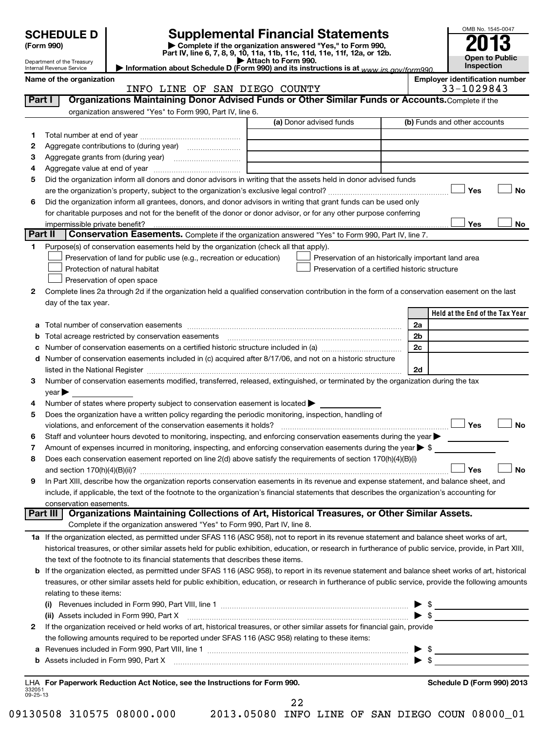|                | <b>SCHEDULE D</b>                                    |                                                                                                        | <b>Supplemental Financial Statements</b>                                                                                                                                                                                                | OMB No. 1545-0047                     |
|----------------|------------------------------------------------------|--------------------------------------------------------------------------------------------------------|-----------------------------------------------------------------------------------------------------------------------------------------------------------------------------------------------------------------------------------------|---------------------------------------|
|                | (Form 990)                                           |                                                                                                        | Complete if the organization answered "Yes," to Form 990,<br>Part IV, line 6, 7, 8, 9, 10, 11a, 11b, 11c, 11d, 11e, 11f, 12a, or 12b.                                                                                                   |                                       |
|                | Department of the Treasury                           |                                                                                                        | Attach to Form 990.                                                                                                                                                                                                                     | Open to Public<br>Inspection          |
|                | Internal Revenue Service<br>Name of the organization |                                                                                                        | Information about Schedule D (Form 990) and its instructions is at www irs gov/form990                                                                                                                                                  | <b>Employer identification number</b> |
|                |                                                      | INFO LINE OF SAN DIEGO COUNTY                                                                          |                                                                                                                                                                                                                                         | 33-1029843                            |
| <b>Part I</b>  |                                                      |                                                                                                        | Organizations Maintaining Donor Advised Funds or Other Similar Funds or Accounts. Complete if the                                                                                                                                       |                                       |
|                |                                                      | organization answered "Yes" to Form 990, Part IV, line 6.                                              |                                                                                                                                                                                                                                         |                                       |
|                |                                                      |                                                                                                        | (a) Donor advised funds                                                                                                                                                                                                                 | (b) Funds and other accounts          |
| 1.             |                                                      |                                                                                                        |                                                                                                                                                                                                                                         |                                       |
| 2              |                                                      |                                                                                                        |                                                                                                                                                                                                                                         |                                       |
| з              |                                                      |                                                                                                        |                                                                                                                                                                                                                                         |                                       |
| 4              |                                                      |                                                                                                        |                                                                                                                                                                                                                                         |                                       |
| 5              |                                                      |                                                                                                        | Did the organization inform all donors and donor advisors in writing that the assets held in donor advised funds                                                                                                                        |                                       |
|                |                                                      |                                                                                                        |                                                                                                                                                                                                                                         | Yes<br><b>No</b>                      |
| 6              |                                                      |                                                                                                        | Did the organization inform all grantees, donors, and donor advisors in writing that grant funds can be used only<br>for charitable purposes and not for the benefit of the donor or donor advisor, or for any other purpose conferring |                                       |
|                | impermissible private benefit?                       |                                                                                                        |                                                                                                                                                                                                                                         | Yes<br>No                             |
| <b>Part II</b> |                                                      |                                                                                                        | <b>Conservation Easements.</b> Complete if the organization answered "Yes" to Form 990, Part IV, line 7.                                                                                                                                |                                       |
| 1.             |                                                      | Purpose(s) of conservation easements held by the organization (check all that apply).                  |                                                                                                                                                                                                                                         |                                       |
|                |                                                      | Preservation of land for public use (e.g., recreation or education)                                    | Preservation of an historically important land area                                                                                                                                                                                     |                                       |
|                |                                                      | Protection of natural habitat                                                                          | Preservation of a certified historic structure                                                                                                                                                                                          |                                       |
|                |                                                      | Preservation of open space                                                                             |                                                                                                                                                                                                                                         |                                       |
| 2              |                                                      |                                                                                                        | Complete lines 2a through 2d if the organization held a qualified conservation contribution in the form of a conservation easement on the last                                                                                          |                                       |
|                | day of the tax year.                                 |                                                                                                        |                                                                                                                                                                                                                                         |                                       |
|                |                                                      |                                                                                                        |                                                                                                                                                                                                                                         | Held at the End of the Tax Year       |
| а              |                                                      |                                                                                                        |                                                                                                                                                                                                                                         | 2a                                    |
| b              |                                                      | Total acreage restricted by conservation easements                                                     |                                                                                                                                                                                                                                         | 2b                                    |
| c<br>d         |                                                      |                                                                                                        | Number of conservation easements included in (c) acquired after 8/17/06, and not on a historic structure                                                                                                                                | 2c                                    |
|                |                                                      |                                                                                                        | listed in the National Register [111] [12] states and the National Property of the National Register [11] [12]                                                                                                                          | 2d                                    |
| 3              |                                                      |                                                                                                        | Number of conservation easements modified, transferred, released, extinguished, or terminated by the organization during the tax                                                                                                        |                                       |
|                | $year \triangleright$                                |                                                                                                        |                                                                                                                                                                                                                                         |                                       |
|                |                                                      | Number of states where property subject to conservation easement is located >                          |                                                                                                                                                                                                                                         |                                       |
| 5              |                                                      | Does the organization have a written policy regarding the periodic monitoring, inspection, handling of |                                                                                                                                                                                                                                         |                                       |
|                |                                                      | violations, and enforcement of the conservation easements it holds?                                    |                                                                                                                                                                                                                                         | Yes<br><b>No</b>                      |
| 6              |                                                      |                                                                                                        | Staff and volunteer hours devoted to monitoring, inspecting, and enforcing conservation easements during the year                                                                                                                       |                                       |
| 7              |                                                      |                                                                                                        | Amount of expenses incurred in monitoring, inspecting, and enforcing conservation easements during the year $\triangleright$ \$                                                                                                         |                                       |
| 8              |                                                      |                                                                                                        | Does each conservation easement reported on line 2(d) above satisfy the requirements of section 170(h)(4)(B)(i)                                                                                                                         |                                       |
|                |                                                      |                                                                                                        |                                                                                                                                                                                                                                         | Yes<br><b>No</b>                      |
| 9              |                                                      |                                                                                                        | In Part XIII, describe how the organization reports conservation easements in its revenue and expense statement, and balance sheet, and                                                                                                 |                                       |
|                | conservation easements.                              |                                                                                                        | include, if applicable, the text of the footnote to the organization's financial statements that describes the organization's accounting for                                                                                            |                                       |
|                | Part III                                             |                                                                                                        | Organizations Maintaining Collections of Art, Historical Treasures, or Other Similar Assets.                                                                                                                                            |                                       |
|                |                                                      | Complete if the organization answered "Yes" to Form 990, Part IV, line 8.                              |                                                                                                                                                                                                                                         |                                       |
|                |                                                      |                                                                                                        | 1a If the organization elected, as permitted under SFAS 116 (ASC 958), not to report in its revenue statement and balance sheet works of art,                                                                                           |                                       |
|                |                                                      |                                                                                                        | historical treasures, or other similar assets held for public exhibition, education, or research in furtherance of public service, provide, in Part XIII,                                                                               |                                       |
|                |                                                      | the text of the footnote to its financial statements that describes these items.                       |                                                                                                                                                                                                                                         |                                       |
|                |                                                      |                                                                                                        | b If the organization elected, as permitted under SFAS 116 (ASC 958), to report in its revenue statement and balance sheet works of art, historical                                                                                     |                                       |
|                |                                                      |                                                                                                        | treasures, or other similar assets held for public exhibition, education, or research in furtherance of public service, provide the following amounts                                                                                   |                                       |
|                | relating to these items:                             |                                                                                                        |                                                                                                                                                                                                                                         |                                       |
|                | (i)                                                  |                                                                                                        |                                                                                                                                                                                                                                         |                                       |
|                |                                                      |                                                                                                        |                                                                                                                                                                                                                                         |                                       |
| 2              |                                                      |                                                                                                        | If the organization received or held works of art, historical treasures, or other similar assets for financial gain, provide                                                                                                            |                                       |
|                |                                                      | the following amounts required to be reported under SFAS 116 (ASC 958) relating to these items:        |                                                                                                                                                                                                                                         |                                       |
| а              |                                                      |                                                                                                        | Revenues included in Form 990, Part VIII, line 1 $\ldots$ $\ldots$ $\ldots$ $\ldots$ $\ldots$ $\ldots$ $\ldots$ $\ldots$ $\ldots$ $\ldots$ $\ldots$ $\ldots$ $\ldots$ $\ldots$                                                          |                                       |
| b              |                                                      |                                                                                                        |                                                                                                                                                                                                                                         |                                       |
|                |                                                      |                                                                                                        |                                                                                                                                                                                                                                         |                                       |

332051 09-25-13 **For Paperwork Reduction Act Notice, see the Instructions for Form 990. Schedule D (Form 990) 2013** LHA 22

<sup>09130508 310575 08000.000 2013.05080</sup> INFO LINE OF SAN DIEGO COUN 08000\_01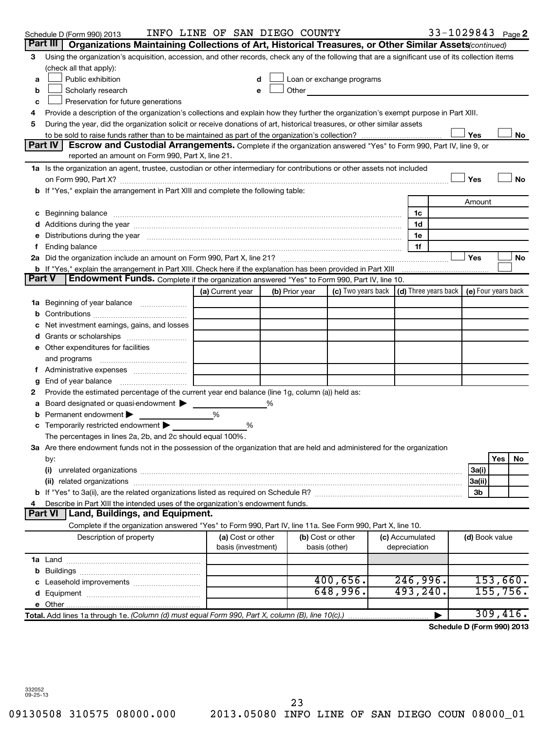|               | Schedule D (Form 990) 2013                                                                                                                                                     | INFO LINE OF SAN DIEGO COUNTY |   |                |                                                                                                                                                                                                                                |                 | 33-1029843 Page 2          |                |     |           |
|---------------|--------------------------------------------------------------------------------------------------------------------------------------------------------------------------------|-------------------------------|---|----------------|--------------------------------------------------------------------------------------------------------------------------------------------------------------------------------------------------------------------------------|-----------------|----------------------------|----------------|-----|-----------|
|               | Part III   Organizations Maintaining Collections of Art, Historical Treasures, or Other Similar Assets (continued)                                                             |                               |   |                |                                                                                                                                                                                                                                |                 |                            |                |     |           |
| 3             | Using the organization's acquisition, accession, and other records, check any of the following that are a significant use of its collection items                              |                               |   |                |                                                                                                                                                                                                                                |                 |                            |                |     |           |
|               | (check all that apply):                                                                                                                                                        |                               |   |                |                                                                                                                                                                                                                                |                 |                            |                |     |           |
| a             | Public exhibition                                                                                                                                                              |                               | d |                | Loan or exchange programs                                                                                                                                                                                                      |                 |                            |                |     |           |
| b             | Scholarly research                                                                                                                                                             |                               | e |                | Other and the control of the control of the control of the control of the control of the control of the control of the control of the control of the control of the control of the control of the control of the control of th |                 |                            |                |     |           |
| c             | Preservation for future generations                                                                                                                                            |                               |   |                |                                                                                                                                                                                                                                |                 |                            |                |     |           |
| 4             | Provide a description of the organization's collections and explain how they further the organization's exempt purpose in Part XIII.                                           |                               |   |                |                                                                                                                                                                                                                                |                 |                            |                |     |           |
| 5             | During the year, did the organization solicit or receive donations of art, historical treasures, or other similar assets                                                       |                               |   |                |                                                                                                                                                                                                                                |                 |                            |                |     |           |
|               |                                                                                                                                                                                |                               |   |                |                                                                                                                                                                                                                                |                 |                            | Yes            |     | No        |
|               | Part IV<br>Escrow and Custodial Arrangements. Complete if the organization answered "Yes" to Form 990, Part IV, line 9, or<br>reported an amount on Form 990, Part X, line 21. |                               |   |                |                                                                                                                                                                                                                                |                 |                            |                |     |           |
|               | 1a Is the organization an agent, trustee, custodian or other intermediary for contributions or other assets not included                                                       |                               |   |                |                                                                                                                                                                                                                                |                 |                            |                |     |           |
|               |                                                                                                                                                                                |                               |   |                |                                                                                                                                                                                                                                |                 |                            | Yes            |     | <b>No</b> |
|               | b If "Yes," explain the arrangement in Part XIII and complete the following table:                                                                                             |                               |   |                |                                                                                                                                                                                                                                |                 |                            |                |     |           |
|               |                                                                                                                                                                                |                               |   |                |                                                                                                                                                                                                                                |                 |                            | Amount         |     |           |
|               |                                                                                                                                                                                |                               |   |                |                                                                                                                                                                                                                                | 1c              |                            |                |     |           |
|               |                                                                                                                                                                                |                               |   |                |                                                                                                                                                                                                                                | 1d              |                            |                |     |           |
|               | e Distributions during the year measurement contained and all the year measurement of the year measurement of                                                                  |                               |   |                |                                                                                                                                                                                                                                | 1e              |                            |                |     |           |
|               |                                                                                                                                                                                |                               |   |                |                                                                                                                                                                                                                                | 1f              |                            |                |     |           |
|               |                                                                                                                                                                                |                               |   |                |                                                                                                                                                                                                                                |                 |                            | Yes            |     | No        |
| <b>Part V</b> | Endowment Funds. Complete if the organization answered "Yes" to Form 990, Part IV, line 10.                                                                                    |                               |   |                |                                                                                                                                                                                                                                |                 |                            |                |     |           |
|               |                                                                                                                                                                                |                               |   |                | (c) Two years back $ (d)$ Three years back $ e $ Four years back                                                                                                                                                               |                 |                            |                |     |           |
|               |                                                                                                                                                                                | (a) Current year              |   | (b) Prior year |                                                                                                                                                                                                                                |                 |                            |                |     |           |
|               |                                                                                                                                                                                |                               |   |                |                                                                                                                                                                                                                                |                 |                            |                |     |           |
|               |                                                                                                                                                                                |                               |   |                |                                                                                                                                                                                                                                |                 |                            |                |     |           |
|               | Net investment earnings, gains, and losses                                                                                                                                     |                               |   |                |                                                                                                                                                                                                                                |                 |                            |                |     |           |
|               |                                                                                                                                                                                |                               |   |                |                                                                                                                                                                                                                                |                 |                            |                |     |           |
|               | e Other expenditures for facilities                                                                                                                                            |                               |   |                |                                                                                                                                                                                                                                |                 |                            |                |     |           |
|               |                                                                                                                                                                                |                               |   |                |                                                                                                                                                                                                                                |                 |                            |                |     |           |
|               |                                                                                                                                                                                |                               |   |                |                                                                                                                                                                                                                                |                 |                            |                |     |           |
| 2             | Provide the estimated percentage of the current year end balance (line 1g, column (a)) held as:                                                                                |                               |   |                |                                                                                                                                                                                                                                |                 |                            |                |     |           |
|               | Board designated or quasi-endowment                                                                                                                                            |                               | % |                |                                                                                                                                                                                                                                |                 |                            |                |     |           |
|               | Permanent endowment                                                                                                                                                            | %                             |   |                |                                                                                                                                                                                                                                |                 |                            |                |     |           |
|               | <b>c</b> Temporarily restricted endowment $\blacktriangleright$                                                                                                                | %                             |   |                |                                                                                                                                                                                                                                |                 |                            |                |     |           |
|               | The percentages in lines 2a, 2b, and 2c should equal 100%.                                                                                                                     |                               |   |                |                                                                                                                                                                                                                                |                 |                            |                |     |           |
|               | 3a Are there endowment funds not in the possession of the organization that are held and administered for the organization                                                     |                               |   |                |                                                                                                                                                                                                                                |                 |                            |                |     |           |
|               | by:                                                                                                                                                                            |                               |   |                |                                                                                                                                                                                                                                |                 |                            |                | Yes | No        |
|               | (i)                                                                                                                                                                            |                               |   |                |                                                                                                                                                                                                                                |                 |                            | 3a(i)          |     |           |
|               | (ii) related organizations                                                                                                                                                     |                               |   |                |                                                                                                                                                                                                                                |                 |                            | 3a(ii)         |     |           |
|               |                                                                                                                                                                                |                               |   |                |                                                                                                                                                                                                                                |                 |                            | 3b             |     |           |
|               | Describe in Part XIII the intended uses of the organization's endowment funds.                                                                                                 |                               |   |                |                                                                                                                                                                                                                                |                 |                            |                |     |           |
|               | Land, Buildings, and Equipment.<br><b>Part VI</b>                                                                                                                              |                               |   |                |                                                                                                                                                                                                                                |                 |                            |                |     |           |
|               | Complete if the organization answered "Yes" to Form 990, Part IV, line 11a. See Form 990, Part X, line 10.                                                                     |                               |   |                |                                                                                                                                                                                                                                |                 |                            |                |     |           |
|               | Description of property                                                                                                                                                        | (a) Cost or other             |   |                | (b) Cost or other                                                                                                                                                                                                              | (c) Accumulated |                            | (d) Book value |     |           |
|               |                                                                                                                                                                                | basis (investment)            |   |                | basis (other)                                                                                                                                                                                                                  | depreciation    |                            |                |     |           |
|               |                                                                                                                                                                                |                               |   |                |                                                                                                                                                                                                                                |                 |                            |                |     |           |
|               |                                                                                                                                                                                |                               |   |                |                                                                                                                                                                                                                                |                 |                            |                |     |           |
|               |                                                                                                                                                                                |                               |   |                | 400,656.                                                                                                                                                                                                                       | 246,996.        |                            |                |     | 153,660.  |
|               |                                                                                                                                                                                |                               |   |                | 648,996.                                                                                                                                                                                                                       | 493, 240.       |                            |                |     | 155,756.  |
|               |                                                                                                                                                                                |                               |   |                |                                                                                                                                                                                                                                |                 |                            |                |     |           |
|               | Total. Add lines 1a through 1e. (Column (d) must equal Form 990, Part X, column (B), line 10(c).)                                                                              |                               |   |                |                                                                                                                                                                                                                                |                 |                            |                |     | 309,416.  |
|               |                                                                                                                                                                                |                               |   |                |                                                                                                                                                                                                                                |                 | Schedule D (Form 990) 2013 |                |     |           |

332052 09-25-13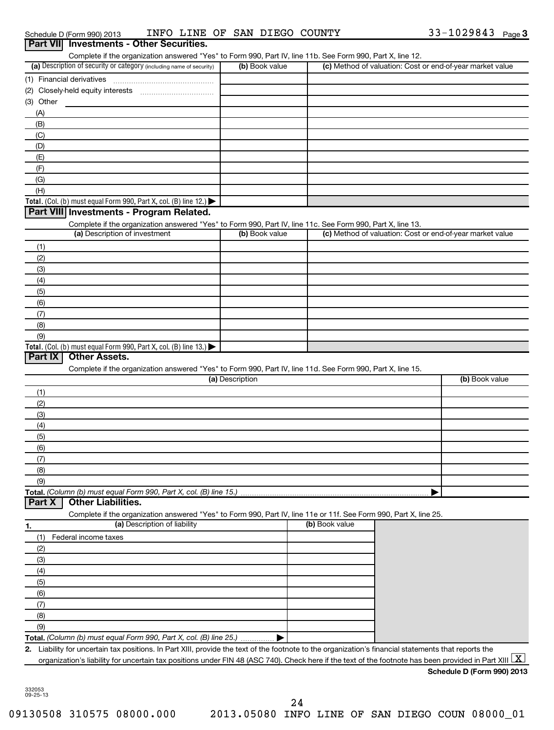|            | Part VII Investments - Other Securities.                                                                                                                                                                                                                                                                                                |                 |                |                                                           |
|------------|-----------------------------------------------------------------------------------------------------------------------------------------------------------------------------------------------------------------------------------------------------------------------------------------------------------------------------------------|-----------------|----------------|-----------------------------------------------------------|
|            | Complete if the organization answered "Yes" to Form 990, Part IV, line 11b. See Form 990, Part X, line 12.<br>(a) Description of security or category (including name of security)                                                                                                                                                      | (b) Book value  |                | (c) Method of valuation: Cost or end-of-year market value |
|            |                                                                                                                                                                                                                                                                                                                                         |                 |                |                                                           |
|            |                                                                                                                                                                                                                                                                                                                                         |                 |                |                                                           |
| (3) Other  |                                                                                                                                                                                                                                                                                                                                         |                 |                |                                                           |
| (A)        |                                                                                                                                                                                                                                                                                                                                         |                 |                |                                                           |
| (B)        |                                                                                                                                                                                                                                                                                                                                         |                 |                |                                                           |
| (C)        |                                                                                                                                                                                                                                                                                                                                         |                 |                |                                                           |
| (D)        |                                                                                                                                                                                                                                                                                                                                         |                 |                |                                                           |
| (E)        |                                                                                                                                                                                                                                                                                                                                         |                 |                |                                                           |
| (F)        |                                                                                                                                                                                                                                                                                                                                         |                 |                |                                                           |
| (G)        |                                                                                                                                                                                                                                                                                                                                         |                 |                |                                                           |
| (H)        |                                                                                                                                                                                                                                                                                                                                         |                 |                |                                                           |
|            | Total. (Col. (b) must equal Form 990, Part X, col. (B) line 12.)                                                                                                                                                                                                                                                                        |                 |                |                                                           |
|            | Part VIII Investments - Program Related.                                                                                                                                                                                                                                                                                                |                 |                |                                                           |
|            | Complete if the organization answered "Yes" to Form 990, Part IV, line 11c. See Form 990, Part X, line 13.<br>(a) Description of investment                                                                                                                                                                                             | (b) Book value  |                | (c) Method of valuation: Cost or end-of-year market value |
| (1)        |                                                                                                                                                                                                                                                                                                                                         |                 |                |                                                           |
| (2)        |                                                                                                                                                                                                                                                                                                                                         |                 |                |                                                           |
| (3)        |                                                                                                                                                                                                                                                                                                                                         |                 |                |                                                           |
| (4)        |                                                                                                                                                                                                                                                                                                                                         |                 |                |                                                           |
| (5)        |                                                                                                                                                                                                                                                                                                                                         |                 |                |                                                           |
| (6)        |                                                                                                                                                                                                                                                                                                                                         |                 |                |                                                           |
| (7)        |                                                                                                                                                                                                                                                                                                                                         |                 |                |                                                           |
| (8)        |                                                                                                                                                                                                                                                                                                                                         |                 |                |                                                           |
| (9)        |                                                                                                                                                                                                                                                                                                                                         |                 |                |                                                           |
|            | Total. (Col. (b) must equal Form 990, Part X, col. (B) line 13.) $\blacktriangleright$                                                                                                                                                                                                                                                  |                 |                |                                                           |
| Part IX    | <b>Other Assets.</b>                                                                                                                                                                                                                                                                                                                    |                 |                |                                                           |
|            | Complete if the organization answered "Yes" to Form 990, Part IV, line 11d. See Form 990, Part X, line 15.                                                                                                                                                                                                                              |                 |                |                                                           |
|            |                                                                                                                                                                                                                                                                                                                                         | (a) Description |                | (b) Book value                                            |
| (1)        |                                                                                                                                                                                                                                                                                                                                         |                 |                |                                                           |
| (2)        |                                                                                                                                                                                                                                                                                                                                         |                 |                |                                                           |
| (3)<br>(4) |                                                                                                                                                                                                                                                                                                                                         |                 |                |                                                           |
| (5)        |                                                                                                                                                                                                                                                                                                                                         |                 |                |                                                           |
| (6)        |                                                                                                                                                                                                                                                                                                                                         |                 |                |                                                           |
| (7)        |                                                                                                                                                                                                                                                                                                                                         |                 |                |                                                           |
| (8)        |                                                                                                                                                                                                                                                                                                                                         |                 |                |                                                           |
| (9)        |                                                                                                                                                                                                                                                                                                                                         |                 |                |                                                           |
|            | Total. (Column (b) must equal Form 990, Part X, col. (B) line 15.).                                                                                                                                                                                                                                                                     |                 |                |                                                           |
| Part X     | <b>Other Liabilities.</b>                                                                                                                                                                                                                                                                                                               |                 |                |                                                           |
|            | Complete if the organization answered "Yes" to Form 990, Part IV, line 11e or 11f. See Form 990, Part X, line 25.                                                                                                                                                                                                                       |                 |                |                                                           |
| 1.         | (a) Description of liability                                                                                                                                                                                                                                                                                                            |                 | (b) Book value |                                                           |
| (1)        | Federal income taxes                                                                                                                                                                                                                                                                                                                    |                 |                |                                                           |
|            |                                                                                                                                                                                                                                                                                                                                         |                 |                |                                                           |
| (2)        |                                                                                                                                                                                                                                                                                                                                         |                 |                |                                                           |
| (3)        |                                                                                                                                                                                                                                                                                                                                         |                 |                |                                                           |
| (4)        |                                                                                                                                                                                                                                                                                                                                         |                 |                |                                                           |
| (5)        |                                                                                                                                                                                                                                                                                                                                         |                 |                |                                                           |
| (6)        |                                                                                                                                                                                                                                                                                                                                         |                 |                |                                                           |
| (7)        |                                                                                                                                                                                                                                                                                                                                         |                 |                |                                                           |
| (8)        |                                                                                                                                                                                                                                                                                                                                         |                 |                |                                                           |
| (9)        |                                                                                                                                                                                                                                                                                                                                         |                 |                |                                                           |
|            | Total. (Column (b) must equal Form 990, Part X, col. (B) line 25.)                                                                                                                                                                                                                                                                      |                 |                |                                                           |
|            | 2. Liability for uncertain tax positions. In Part XIII, provide the text of the footnote to the organization's financial statements that reports the<br>organization's liability for uncertain tax positions under FIN 48 (ASC 740). Check here if the text of the footnote has been provided in Part XIII $\lfloor \texttt{X} \rfloor$ |                 |                |                                                           |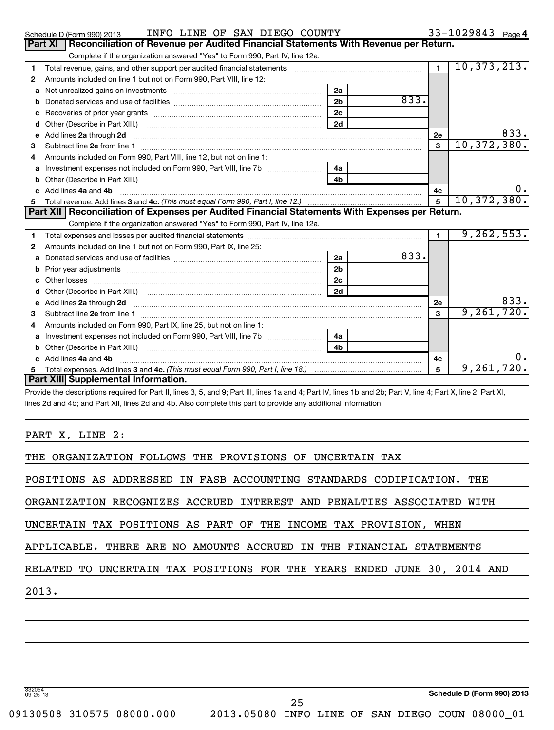|    | INFO LINE OF SAN DIEGO COUNTY<br>Schedule D (Form 990) 2013                                                             |      |              | 33-1029843 Page 4 |
|----|-------------------------------------------------------------------------------------------------------------------------|------|--------------|-------------------|
|    | Reconciliation of Revenue per Audited Financial Statements With Revenue per Return.<br><b>Part XI</b>                   |      |              |                   |
|    | Complete if the organization answered "Yes" to Form 990, Part IV, line 12a.                                             |      |              |                   |
| 1  |                                                                                                                         |      | $\mathbf{1}$ | 10, 373, 213.     |
| 2  | Amounts included on line 1 but not on Form 990, Part VIII, line 12:                                                     |      |              |                   |
| a  | 2a<br>Net unrealized gains on investments [11] matter contracts and the unrealized gains on investments [11] matter     |      |              |                   |
| b  | 2 <sub>b</sub>                                                                                                          | 833. |              |                   |
|    | 2c                                                                                                                      |      |              |                   |
| d  | 2d                                                                                                                      |      |              |                   |
| е  | Add lines 2a through 2d                                                                                                 |      | 2e           | 833.              |
| З  |                                                                                                                         |      | $\mathbf{3}$ | 10,372,380.       |
| 4  | Amounts included on Form 990. Part VIII. line 12, but not on line 1:                                                    |      |              |                   |
| a  | 4a                                                                                                                      |      |              |                   |
| b  | 4 <sub>b</sub>                                                                                                          |      |              |                   |
| c. | Add lines 4a and 4b                                                                                                     |      | 4c           | υ.                |
|    |                                                                                                                         |      | $\mathbf{5}$ | 10, 372, 380.     |
|    | Part XII   Reconciliation of Expenses per Audited Financial Statements With Expenses per Return.                        |      |              |                   |
|    |                                                                                                                         |      |              |                   |
|    | Complete if the organization answered "Yes" to Form 990, Part IV, line 12a.                                             |      |              |                   |
| 1  |                                                                                                                         |      | $\mathbf{1}$ | 9, 262, 553.      |
| 2  | Amounts included on line 1 but not on Form 990, Part IX, line 25:                                                       |      |              |                   |
| a  | 2a                                                                                                                      | 833. |              |                   |
| b  | 2 <sub>b</sub>                                                                                                          |      |              |                   |
|    | 2c                                                                                                                      |      |              |                   |
| d  | 2d                                                                                                                      |      |              |                   |
| е  |                                                                                                                         |      | 2e           | 833.              |
| з  | Add lines 2a through 2d <b>contract and a contract and a contract a</b> contract a contract and a contract a contract a |      | 3            | 9,261,720.        |
| 4  | Amounts included on Form 990, Part IX, line 25, but not on line 1:                                                      |      |              |                   |
| a  | 4а                                                                                                                      |      |              |                   |
| b  | 4 <sub>b</sub><br>Other (Describe in Part XIII.)                                                                        |      |              |                   |

| Provide the descriptions required for Part II, lines 3, 5, and 9; Part III, lines 1a and 4; Part IV, lines 1b and 2b; Part V, line 4; Part X, line 2; Part XI, |
|----------------------------------------------------------------------------------------------------------------------------------------------------------------|
| lines 2d and 4b; and Part XII, lines 2d and 4b. Also complete this part to provide any additional information.                                                 |

PART X, LINE 2:

**Part XIII Supplemental Information.**

|  | THE ORGANIZATION FOLLOWS THE PROVISIONS OF UNCERTAIN TAX |  |
|--|----------------------------------------------------------|--|
|--|----------------------------------------------------------|--|

**Total expenses. Add lines 3 and 4c.** (This must equal Form 990, Part I, line 18.) *macure increases. Add lines 3 and 4c.* (This must equal Form 990, Part I, line 18.)

POSITIONS AS ADDRESSED IN FASB ACCOUNTING STANDARDS CODIFICATION. THE

ORGANIZATION RECOGNIZES ACCRUED INTEREST AND PENALTIES ASSOCIATED WITH

UNCERTAIN TAX POSITIONS AS PART OF THE INCOME TAX PROVISION, WHEN

| APPLICABLE. THERE ARE NO AMOUNTS ACCRUED IN THE FINANCIAL STATEMENTS |  |  |  |  |  |  |  |  |  |
|----------------------------------------------------------------------|--|--|--|--|--|--|--|--|--|
|----------------------------------------------------------------------|--|--|--|--|--|--|--|--|--|

RELATED TO UNCERTAIN TAX POSITIONS FOR THE YEARS ENDED JUNE 30, 2014 AND

2013.

**5**

332054 09-25-13

**Schedule D (Form 990) 2013**

25

**5**

9,261,720.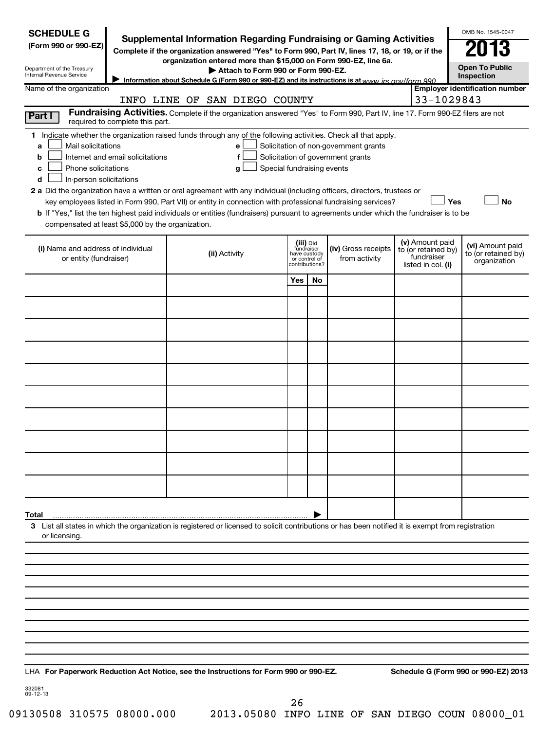| <b>SCHEDULE G</b><br>(Form 990 or 990-EZ)<br>Department of the Treasury<br>Internal Revenue Service                                                                               | Supplemental Information Regarding Fundraising or Gaming Activities<br>Complete if the organization answered "Yes" to Form 990, Part IV, lines 17, 18, or 19, or if the<br>organization entered more than \$15,000 on Form 990-EZ, line 6a.<br>Attach to Form 990 or Form 990-EZ.<br>Information about Schedule G (Form 990 or 990-EZ) and its instructions is at www irs gov/form 990                                                                                                                                                             |                                                                            |    |                                                                            |                                                                            | OMB No. 1545-0047<br><b>Open To Public</b><br>Inspection |
|-----------------------------------------------------------------------------------------------------------------------------------------------------------------------------------|----------------------------------------------------------------------------------------------------------------------------------------------------------------------------------------------------------------------------------------------------------------------------------------------------------------------------------------------------------------------------------------------------------------------------------------------------------------------------------------------------------------------------------------------------|----------------------------------------------------------------------------|----|----------------------------------------------------------------------------|----------------------------------------------------------------------------|----------------------------------------------------------|
| Name of the organization                                                                                                                                                          |                                                                                                                                                                                                                                                                                                                                                                                                                                                                                                                                                    |                                                                            |    |                                                                            |                                                                            | <b>Employer identification number</b>                    |
|                                                                                                                                                                                   | INFO LINE OF SAN DIEGO COUNTY<br>Fundraising Activities. Complete if the organization answered "Yes" to Form 990, Part IV, line 17. Form 990-EZ filers are not                                                                                                                                                                                                                                                                                                                                                                                     |                                                                            |    |                                                                            | 33-1029843                                                                 |                                                          |
| Part I<br>required to complete this part.                                                                                                                                         |                                                                                                                                                                                                                                                                                                                                                                                                                                                                                                                                                    |                                                                            |    |                                                                            |                                                                            |                                                          |
| Mail solicitations<br>a<br>Internet and email solicitations<br>b<br>Phone solicitations<br>c<br>In-person solicitations<br>d<br>compensated at least \$5,000 by the organization. | 1 Indicate whether the organization raised funds through any of the following activities. Check all that apply.<br>е<br>f<br>Special fundraising events<br>g<br>2 a Did the organization have a written or oral agreement with any individual (including officers, directors, trustees or<br>key employees listed in Form 990, Part VII) or entity in connection with professional fundraising services?<br>b If "Yes," list the ten highest paid individuals or entities (fundraisers) pursuant to agreements under which the fundraiser is to be |                                                                            |    | Solicitation of non-government grants<br>Solicitation of government grants |                                                                            | Yes<br><b>No</b>                                         |
| (i) Name and address of individual<br>or entity (fundraiser)                                                                                                                      | (ii) Activity                                                                                                                                                                                                                                                                                                                                                                                                                                                                                                                                      | (iii) Did<br>fundraiser<br>have custody<br>or control of<br>contributions? |    | (iv) Gross receipts<br>from activity                                       | (v) Amount paid<br>to (or retained by)<br>fundraiser<br>listed in col. (i) | (vi) Amount paid<br>to (or retained by)<br>organization  |
|                                                                                                                                                                                   |                                                                                                                                                                                                                                                                                                                                                                                                                                                                                                                                                    | Yes                                                                        | No |                                                                            |                                                                            |                                                          |
|                                                                                                                                                                                   |                                                                                                                                                                                                                                                                                                                                                                                                                                                                                                                                                    |                                                                            |    |                                                                            |                                                                            |                                                          |
|                                                                                                                                                                                   |                                                                                                                                                                                                                                                                                                                                                                                                                                                                                                                                                    |                                                                            |    |                                                                            |                                                                            |                                                          |
|                                                                                                                                                                                   |                                                                                                                                                                                                                                                                                                                                                                                                                                                                                                                                                    |                                                                            |    |                                                                            |                                                                            |                                                          |
|                                                                                                                                                                                   |                                                                                                                                                                                                                                                                                                                                                                                                                                                                                                                                                    |                                                                            |    |                                                                            |                                                                            |                                                          |
|                                                                                                                                                                                   |                                                                                                                                                                                                                                                                                                                                                                                                                                                                                                                                                    |                                                                            |    |                                                                            |                                                                            |                                                          |
|                                                                                                                                                                                   |                                                                                                                                                                                                                                                                                                                                                                                                                                                                                                                                                    |                                                                            |    |                                                                            |                                                                            |                                                          |
|                                                                                                                                                                                   |                                                                                                                                                                                                                                                                                                                                                                                                                                                                                                                                                    |                                                                            |    |                                                                            |                                                                            |                                                          |
|                                                                                                                                                                                   |                                                                                                                                                                                                                                                                                                                                                                                                                                                                                                                                                    |                                                                            |    |                                                                            |                                                                            |                                                          |
|                                                                                                                                                                                   |                                                                                                                                                                                                                                                                                                                                                                                                                                                                                                                                                    |                                                                            |    |                                                                            |                                                                            |                                                          |
|                                                                                                                                                                                   |                                                                                                                                                                                                                                                                                                                                                                                                                                                                                                                                                    |                                                                            |    |                                                                            |                                                                            |                                                          |
|                                                                                                                                                                                   |                                                                                                                                                                                                                                                                                                                                                                                                                                                                                                                                                    |                                                                            |    |                                                                            |                                                                            |                                                          |
|                                                                                                                                                                                   |                                                                                                                                                                                                                                                                                                                                                                                                                                                                                                                                                    |                                                                            |    |                                                                            |                                                                            |                                                          |
| Total                                                                                                                                                                             |                                                                                                                                                                                                                                                                                                                                                                                                                                                                                                                                                    |                                                                            |    |                                                                            |                                                                            |                                                          |
| or licensing.                                                                                                                                                                     | 3 List all states in which the organization is registered or licensed to solicit contributions or has been notified it is exempt from registration                                                                                                                                                                                                                                                                                                                                                                                                 |                                                                            |    |                                                                            |                                                                            |                                                          |
|                                                                                                                                                                                   |                                                                                                                                                                                                                                                                                                                                                                                                                                                                                                                                                    |                                                                            |    |                                                                            |                                                                            |                                                          |
|                                                                                                                                                                                   |                                                                                                                                                                                                                                                                                                                                                                                                                                                                                                                                                    |                                                                            |    |                                                                            |                                                                            |                                                          |
|                                                                                                                                                                                   |                                                                                                                                                                                                                                                                                                                                                                                                                                                                                                                                                    |                                                                            |    |                                                                            |                                                                            |                                                          |
|                                                                                                                                                                                   |                                                                                                                                                                                                                                                                                                                                                                                                                                                                                                                                                    |                                                                            |    |                                                                            |                                                                            |                                                          |
|                                                                                                                                                                                   |                                                                                                                                                                                                                                                                                                                                                                                                                                                                                                                                                    |                                                                            |    |                                                                            |                                                                            |                                                          |
|                                                                                                                                                                                   |                                                                                                                                                                                                                                                                                                                                                                                                                                                                                                                                                    |                                                                            |    |                                                                            |                                                                            |                                                          |
|                                                                                                                                                                                   | LHA For Paperwork Reduction Act Notice, see the Instructions for Form 990 or 990-EZ.                                                                                                                                                                                                                                                                                                                                                                                                                                                               |                                                                            |    |                                                                            |                                                                            | Schedule G (Form 990 or 990-EZ) 2013                     |
| 332081<br>09-12-13                                                                                                                                                                |                                                                                                                                                                                                                                                                                                                                                                                                                                                                                                                                                    |                                                                            |    |                                                                            |                                                                            |                                                          |

26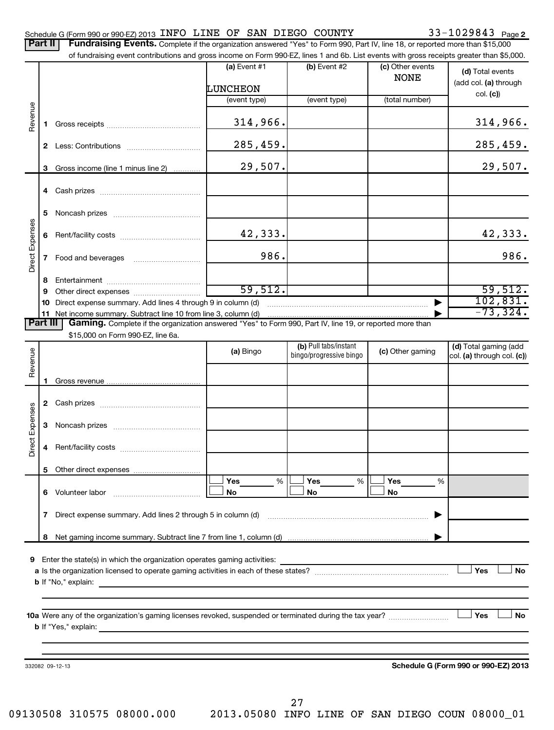### Schedule G (Form 990 or 990-EZ) 2013 INFO LINE OF SAN DIEGO COUNTY 33-1029843 Page 2

| <b>Part II</b>  |    | Fundraising Events. Complete if the organization answered "Yes" to Form 990, Part IV, line 18, or reported more than \$15,000                                               |                            |                                                  |                                 |                                                     |
|-----------------|----|-----------------------------------------------------------------------------------------------------------------------------------------------------------------------------|----------------------------|--------------------------------------------------|---------------------------------|-----------------------------------------------------|
|                 |    | of fundraising event contributions and gross income on Form 990-EZ, lines 1 and 6b. List events with gross receipts greater than \$5,000.                                   |                            |                                                  |                                 |                                                     |
|                 |    |                                                                                                                                                                             | $(a)$ Event #1<br>LUNCHEON | $(b)$ Event #2                                   | (c) Other events<br><b>NONE</b> | (d) Total events<br>(add col. (a) through           |
|                 |    |                                                                                                                                                                             | (event type)               | (event type)                                     | (total number)                  | col. (c)                                            |
| Revenue         | 1. |                                                                                                                                                                             | 314,966.                   |                                                  |                                 | 314,966.                                            |
|                 |    |                                                                                                                                                                             | 285,459.                   |                                                  |                                 | 285,459.                                            |
|                 | 3  | Gross income (line 1 minus line 2)                                                                                                                                          | 29,507.                    |                                                  |                                 | 29,507.                                             |
|                 |    |                                                                                                                                                                             |                            |                                                  |                                 |                                                     |
|                 | 5  |                                                                                                                                                                             |                            |                                                  |                                 |                                                     |
|                 | 6  |                                                                                                                                                                             | 42,333.                    |                                                  |                                 | 42,333.                                             |
| Direct Expenses |    |                                                                                                                                                                             | 986.                       |                                                  |                                 | 986.                                                |
|                 | 8  |                                                                                                                                                                             |                            |                                                  |                                 |                                                     |
|                 | 9  |                                                                                                                                                                             | 59,512.                    |                                                  |                                 | 59,512.                                             |
|                 | 10 | Direct expense summary. Add lines 4 through 9 in column (d)                                                                                                                 |                            |                                                  |                                 | 102,831.<br>$-73, 324.$                             |
| <b>Part III</b> |    | 11 Net income summary. Subtract line 10 from line 3, column (d)<br>Gaming. Complete if the organization answered "Yes" to Form 990, Part IV, line 19, or reported more than |                            |                                                  |                                 |                                                     |
|                 |    | \$15,000 on Form 990-EZ, line 6a.                                                                                                                                           |                            |                                                  |                                 |                                                     |
| Revenue         |    |                                                                                                                                                                             | (a) Bingo                  | (b) Pull tabs/instant<br>bingo/progressive bingo | (c) Other gaming                | (d) Total gaming (add<br>col. (a) through col. (c)) |
|                 | 1. |                                                                                                                                                                             |                            |                                                  |                                 |                                                     |
|                 |    |                                                                                                                                                                             |                            |                                                  |                                 |                                                     |
| Direct Expenses | 3  |                                                                                                                                                                             |                            |                                                  |                                 |                                                     |
|                 |    |                                                                                                                                                                             |                            |                                                  |                                 |                                                     |
|                 |    |                                                                                                                                                                             |                            |                                                  |                                 |                                                     |
|                 |    |                                                                                                                                                                             | Yes<br>%                   | Yes<br>%                                         | Yes<br>%                        |                                                     |
|                 |    | 6 Volunteer labor                                                                                                                                                           | No                         | No                                               | No                              |                                                     |
|                 | 7  | Direct expense summary. Add lines 2 through 5 in column (d)                                                                                                                 |                            |                                                  |                                 |                                                     |
|                 | 8  |                                                                                                                                                                             |                            |                                                  |                                 |                                                     |
|                 |    | 9 Enter the state(s) in which the organization operates gaming activities:                                                                                                  |                            |                                                  |                                 |                                                     |
|                 |    | <b>b</b> If "No," explain:<br>the control of the control of the control of the control of the control of the control of                                                     |                            |                                                  |                                 | Yes<br>No                                           |
|                 |    |                                                                                                                                                                             |                            |                                                  |                                 | l Yes<br>No                                         |
|                 |    | 332082 09-12-13                                                                                                                                                             |                            |                                                  |                                 | Schedule G (Form 990 or 990-EZ) 2013                |
|                 |    |                                                                                                                                                                             |                            |                                                  |                                 |                                                     |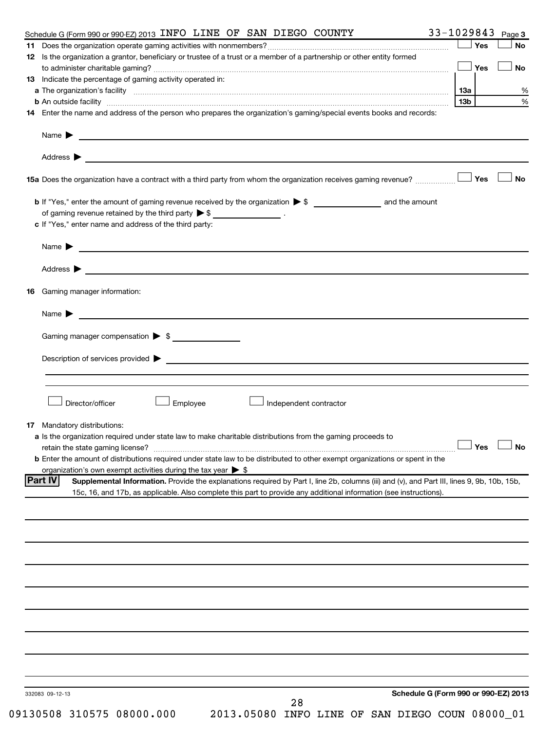| 33-1029843<br>Schedule G (Form 990 or 990-EZ) 2013 INFO LINE OF SAN DIEGO COUNTY                                                                                                                                                                                      |                 |     | Page 3    |
|-----------------------------------------------------------------------------------------------------------------------------------------------------------------------------------------------------------------------------------------------------------------------|-----------------|-----|-----------|
|                                                                                                                                                                                                                                                                       |                 | Yes | <b>No</b> |
| 12 Is the organization a grantor, beneficiary or trustee of a trust or a member of a partnership or other entity formed                                                                                                                                               |                 |     |           |
|                                                                                                                                                                                                                                                                       |                 | Yes | No        |
| <b>13</b> Indicate the percentage of gaming activity operated in:                                                                                                                                                                                                     |                 |     |           |
| a The organization's facility www.communication.communications.com/www.communication.com/www.communication/stacility                                                                                                                                                  | 13a             |     | %         |
| <b>b</b> An outside facility <i>www.communicality.communicality.communicality www.communicality.communicality.communicality</i>                                                                                                                                       | 13 <sub>b</sub> |     | %         |
| 14 Enter the name and address of the person who prepares the organization's gaming/special events books and records:                                                                                                                                                  |                 |     |           |
|                                                                                                                                                                                                                                                                       |                 |     |           |
|                                                                                                                                                                                                                                                                       |                 |     |           |
| Address $\blacktriangleright$<br><u>state and the state of the state of the state of the state of the state of the state of the state of the state of the state of the state of the state of the state of the state of the state of the state of the state of the</u> |                 |     |           |
|                                                                                                                                                                                                                                                                       |                 |     | No        |
|                                                                                                                                                                                                                                                                       |                 |     |           |
| of gaming revenue retained by the third party $\triangleright$ \$ _________________.                                                                                                                                                                                  |                 |     |           |
| c If "Yes," enter name and address of the third party:                                                                                                                                                                                                                |                 |     |           |
| Name $\blacktriangleright$ $\lrcorner$                                                                                                                                                                                                                                |                 |     |           |
|                                                                                                                                                                                                                                                                       |                 |     |           |
| <b>16</b> Gaming manager information:                                                                                                                                                                                                                                 |                 |     |           |
| Name $\blacktriangleright$                                                                                                                                                                                                                                            |                 |     |           |
|                                                                                                                                                                                                                                                                       |                 |     |           |
| Gaming manager compensation > \$                                                                                                                                                                                                                                      |                 |     |           |
| $Description of services provided$ $\triangleright$                                                                                                                                                                                                                   |                 |     |           |
|                                                                                                                                                                                                                                                                       |                 |     |           |
|                                                                                                                                                                                                                                                                       |                 |     |           |
|                                                                                                                                                                                                                                                                       |                 |     |           |
| Director/officer<br>Employee<br>Independent contractor                                                                                                                                                                                                                |                 |     |           |
|                                                                                                                                                                                                                                                                       |                 |     |           |
| 17 Mandatory distributions:                                                                                                                                                                                                                                           |                 |     |           |
| a Is the organization required under state law to make charitable distributions from the gaming proceeds to                                                                                                                                                           |                 |     |           |
| retain the state gaming license? $\Box$ No                                                                                                                                                                                                                            |                 |     |           |
| b Enter the amount of distributions required under state law to be distributed to other exempt organizations or spent in the                                                                                                                                          |                 |     |           |
| organization's own exempt activities during the tax year $\triangleright$ \$                                                                                                                                                                                          |                 |     |           |
| Supplemental Information. Provide the explanations required by Part I, line 2b, columns (iii) and (v), and Part III, lines 9, 9b, 10b, 15b,<br><b>Part IV</b>                                                                                                         |                 |     |           |
| 15c, 16, and 17b, as applicable. Also complete this part to provide any additional information (see instructions).                                                                                                                                                    |                 |     |           |
|                                                                                                                                                                                                                                                                       |                 |     |           |
|                                                                                                                                                                                                                                                                       |                 |     |           |
|                                                                                                                                                                                                                                                                       |                 |     |           |
|                                                                                                                                                                                                                                                                       |                 |     |           |
|                                                                                                                                                                                                                                                                       |                 |     |           |
|                                                                                                                                                                                                                                                                       |                 |     |           |
|                                                                                                                                                                                                                                                                       |                 |     |           |
|                                                                                                                                                                                                                                                                       |                 |     |           |
|                                                                                                                                                                                                                                                                       |                 |     |           |
|                                                                                                                                                                                                                                                                       |                 |     |           |
| Schedule G (Form 990 or 990-EZ) 2013<br>332083 09-12-13                                                                                                                                                                                                               |                 |     |           |
| 28<br>09130508 310575 08000.000<br>2013.05080 INFO LINE OF SAN DIEGO COUN 08000_01                                                                                                                                                                                    |                 |     |           |
|                                                                                                                                                                                                                                                                       |                 |     |           |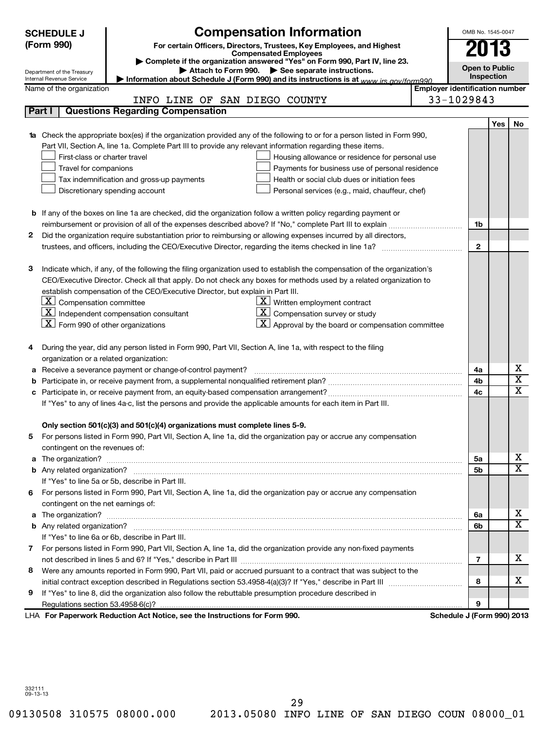|   | <b>SCHEDULE J</b>                                      | <b>Compensation Information</b>                                                                                                                                                              |                                       | OMB No. 1545-0047     |     |                         |  |  |
|---|--------------------------------------------------------|----------------------------------------------------------------------------------------------------------------------------------------------------------------------------------------------|---------------------------------------|-----------------------|-----|-------------------------|--|--|
|   | (Form 990)                                             | For certain Officers, Directors, Trustees, Key Employees, and Highest                                                                                                                        |                                       | 2013                  |     |                         |  |  |
|   |                                                        | <b>Compensated Employees</b><br>Complete if the organization answered "Yes" on Form 990, Part IV, line 23.                                                                                   |                                       |                       |     |                         |  |  |
|   | Department of the Treasury                             | Attach to Form 990. See separate instructions.                                                                                                                                               |                                       | <b>Open to Public</b> |     |                         |  |  |
|   | Internal Revenue Service                               | Information about Schedule J (Form 990) and its instructions is at www.jrs.gov/form990                                                                                                       |                                       | Inspection            |     |                         |  |  |
|   | Name of the organization                               |                                                                                                                                                                                              | <b>Employer identification number</b> |                       |     |                         |  |  |
|   |                                                        | INFO LINE OF SAN DIEGO COUNTY                                                                                                                                                                | 33-1029843                            |                       |     |                         |  |  |
|   | Part I                                                 | <b>Questions Regarding Compensation</b>                                                                                                                                                      |                                       |                       |     |                         |  |  |
|   |                                                        |                                                                                                                                                                                              |                                       |                       | Yes | No                      |  |  |
|   |                                                        | <b>1a</b> Check the appropriate box(es) if the organization provided any of the following to or for a person listed in Form 990,                                                             |                                       |                       |     |                         |  |  |
|   |                                                        | Part VII, Section A, line 1a. Complete Part III to provide any relevant information regarding these items.                                                                                   |                                       |                       |     |                         |  |  |
|   | First-class or charter travel                          | Housing allowance or residence for personal use                                                                                                                                              |                                       |                       |     |                         |  |  |
|   | Travel for companions                                  | Payments for business use of personal residence                                                                                                                                              |                                       |                       |     |                         |  |  |
|   |                                                        | Tax indemnification and gross-up payments<br>Health or social club dues or initiation fees                                                                                                   |                                       |                       |     |                         |  |  |
|   |                                                        | Discretionary spending account<br>Personal services (e.g., maid, chauffeur, chef)                                                                                                            |                                       |                       |     |                         |  |  |
|   |                                                        |                                                                                                                                                                                              |                                       |                       |     |                         |  |  |
|   |                                                        | <b>b</b> If any of the boxes on line 1a are checked, did the organization follow a written policy regarding payment or                                                                       |                                       |                       |     |                         |  |  |
|   |                                                        | reimbursement or provision of all of the expenses described above? If "No," complete Part III to explain                                                                                     |                                       | 1b                    |     |                         |  |  |
| 2 |                                                        | Did the organization require substantiation prior to reimbursing or allowing expenses incurred by all directors,                                                                             |                                       |                       |     |                         |  |  |
|   |                                                        | trustees, and officers, including the CEO/Executive Director, regarding the items checked in line 1a?                                                                                        |                                       | $\mathbf{2}$          |     |                         |  |  |
|   |                                                        |                                                                                                                                                                                              |                                       |                       |     |                         |  |  |
| з |                                                        | Indicate which, if any, of the following the filing organization used to establish the compensation of the organization's                                                                    |                                       |                       |     |                         |  |  |
|   |                                                        | CEO/Executive Director. Check all that apply. Do not check any boxes for methods used by a related organization to                                                                           |                                       |                       |     |                         |  |  |
|   |                                                        | establish compensation of the CEO/Executive Director, but explain in Part III.                                                                                                               |                                       |                       |     |                         |  |  |
|   | $\lfloor \underline{x} \rfloor$ Compensation committee | $\underline{\mathbf{X}}$ Written employment contract                                                                                                                                         |                                       |                       |     |                         |  |  |
|   | $\boxed{\textbf{X}}$ Form 990 of other organizations   | $\lfloor \underline{x} \rfloor$ Independent compensation consultant<br>$\mathbf{X}$ Compensation survey or study<br>$\vert \mathbf{X} \vert$ Approval by the board or compensation committee |                                       |                       |     |                         |  |  |
|   |                                                        |                                                                                                                                                                                              |                                       |                       |     |                         |  |  |
| 4 |                                                        | During the year, did any person listed in Form 990, Part VII, Section A, line 1a, with respect to the filing                                                                                 |                                       |                       |     |                         |  |  |
|   | organization or a related organization:                |                                                                                                                                                                                              |                                       |                       |     |                         |  |  |
|   |                                                        | a Receive a severance payment or change-of-control payment?                                                                                                                                  |                                       | 4a                    |     | х                       |  |  |
| b |                                                        |                                                                                                                                                                                              |                                       | 4b                    |     | $\overline{\textbf{x}}$ |  |  |
|   |                                                        |                                                                                                                                                                                              |                                       | 4c                    |     | $\overline{\texttt{x}}$ |  |  |
|   |                                                        | If "Yes" to any of lines 4a-c, list the persons and provide the applicable amounts for each item in Part III.                                                                                |                                       |                       |     |                         |  |  |
|   |                                                        |                                                                                                                                                                                              |                                       |                       |     |                         |  |  |
|   |                                                        | Only section 501(c)(3) and 501(c)(4) organizations must complete lines 5-9.                                                                                                                  |                                       |                       |     |                         |  |  |
|   |                                                        | 5 For persons listed in Form 990, Part VII, Section A, line 1a, did the organization pay or accrue any compensation                                                                          |                                       |                       |     |                         |  |  |
|   | contingent on the revenues of:                         |                                                                                                                                                                                              |                                       |                       |     |                         |  |  |
|   |                                                        |                                                                                                                                                                                              |                                       | 5a                    |     | X                       |  |  |
|   |                                                        |                                                                                                                                                                                              |                                       | 5b                    |     | $\overline{\mathbf{x}}$ |  |  |
|   |                                                        | If "Yes" to line 5a or 5b, describe in Part III.                                                                                                                                             |                                       |                       |     |                         |  |  |
|   |                                                        | 6 For persons listed in Form 990, Part VII, Section A, line 1a, did the organization pay or accrue any compensation                                                                          |                                       |                       |     |                         |  |  |
|   | contingent on the net earnings of:                     |                                                                                                                                                                                              |                                       |                       |     |                         |  |  |
|   |                                                        |                                                                                                                                                                                              |                                       | 6a                    |     | X                       |  |  |
|   |                                                        |                                                                                                                                                                                              |                                       | 6b                    |     | $\overline{\mathtt{x}}$ |  |  |
|   |                                                        | If "Yes" to line 6a or 6b, describe in Part III.                                                                                                                                             |                                       |                       |     |                         |  |  |
|   |                                                        | 7 For persons listed in Form 990, Part VII, Section A, line 1a, did the organization provide any non-fixed payments                                                                          |                                       |                       |     |                         |  |  |
|   |                                                        |                                                                                                                                                                                              |                                       | $\overline{7}$        |     | x                       |  |  |
| 8 |                                                        | Were any amounts reported in Form 990, Part VII, paid or accrued pursuant to a contract that was subject to the                                                                              |                                       |                       |     |                         |  |  |
|   |                                                        |                                                                                                                                                                                              |                                       | 8                     |     | X                       |  |  |
| 9 |                                                        | If "Yes" to line 8, did the organization also follow the rebuttable presumption procedure described in                                                                                       |                                       |                       |     |                         |  |  |
|   |                                                        |                                                                                                                                                                                              |                                       | 9                     |     |                         |  |  |
|   |                                                        | LHA For Paperwork Reduction Act Notice, see the Instructions for Form 990.                                                                                                                   | Schedule J (Form 990) 2013            |                       |     |                         |  |  |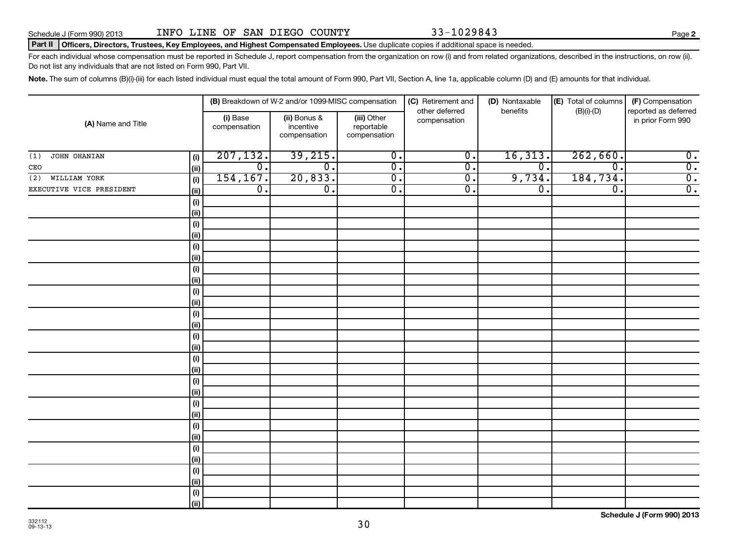Schedule J (Form 990) 2013 Page INFO LINE OF SAN DIEGO COUNTY 33-1029843

### Part II | Officers, Directors, Trustees, Key Employees, and Highest Compensated Employees. Use duplicate copies if additional space is needed.

For each individual whose compensation must be reported in Schedule J, report compensation from the organization on row (i) and from related organizations, described in the instructions, on row (ii). Do not list any individuals that are not listed on Form 990, Part VII.

Note. The sum of columns (B)(i)-(iii) for each listed individual must equal the total amount of Form 990, Part VII, Section A, line 1a, applicable column (D) and (E) amounts for that individual.

| (A) Name and Title       |            |                             | (B) Breakdown of W-2 and/or 1099-MISC compensation |                                           | (C) Retirement and<br>other deferred | (D) Nontaxable<br>benefits | (E) Total of columns        | (F) Compensation<br>reported as deferred |
|--------------------------|------------|-----------------------------|----------------------------------------------------|-------------------------------------------|--------------------------------------|----------------------------|-----------------------------|------------------------------------------|
|                          |            | (i) Base<br>compensation    | (ii) Bonus &<br>incentive<br>compensation          | (iii) Other<br>reportable<br>compensation | compensation                         |                            | $(B)(i)$ - $(D)$            | in prior Form 990                        |
| JOHN OHANIAN<br>(1)      | (i)        | 207, 132.                   | 39,215.                                            | $\overline{\mathfrak{o}}$ .               | $\overline{\mathfrak{o}}$ .          | 16, 313.                   | 262,660.                    | $\overline{0}$ .                         |
| ${\tt CEO}$              | (ii)       | $\overline{0}$ .            | $\overline{\mathfrak{o}}$ .                        | $\overline{0}$ .                          | $\overline{0}$ .                     | $\overline{0}$ .           | $\overline{\mathfrak{o}}$ . | $\overline{0}$ .                         |
| (2) WILLIAM YORK         | (i)        | 154, 167.                   | 20,833.                                            | $\overline{\mathfrak{o}}$ .               | $\overline{\mathfrak{o}}$ .          | 9,734.                     | 184,734.                    | $\overline{0}$ .                         |
| EXECUTIVE VICE PRESIDENT | (ii)       | $\overline{\mathfrak{o}}$ . | $\overline{\mathfrak{o}}$ .                        | $\overline{\mathfrak{o}}$ .               | $\overline{\mathfrak{o}}$ .          | σ.                         | $\overline{\mathfrak{o}}$ . | $\overline{0}$ .                         |
|                          | $(\sf{i})$ |                             |                                                    |                                           |                                      |                            |                             |                                          |
|                          | (ii)       |                             |                                                    |                                           |                                      |                            |                             |                                          |
|                          | $(\sf{i})$ |                             |                                                    |                                           |                                      |                            |                             |                                          |
|                          | (ii)       |                             |                                                    |                                           |                                      |                            |                             |                                          |
|                          | $(\sf{i})$ |                             |                                                    |                                           |                                      |                            |                             |                                          |
|                          | (ii)       |                             |                                                    |                                           |                                      |                            |                             |                                          |
|                          | $(\sf{i})$ |                             |                                                    |                                           |                                      |                            |                             |                                          |
|                          | (ii)       |                             |                                                    |                                           |                                      |                            |                             |                                          |
|                          | $(\sf{i})$ |                             |                                                    |                                           |                                      |                            |                             |                                          |
|                          | (ii)       |                             |                                                    |                                           |                                      |                            |                             |                                          |
|                          | $(\sf{i})$ |                             |                                                    |                                           |                                      |                            |                             |                                          |
|                          | (i)        |                             |                                                    |                                           |                                      |                            |                             |                                          |
|                          | $(\sf{i})$ |                             |                                                    |                                           |                                      |                            |                             |                                          |
|                          | (i)        |                             |                                                    |                                           |                                      |                            |                             |                                          |
|                          | $(\sf{i})$ |                             |                                                    |                                           |                                      |                            |                             |                                          |
|                          | (i)        |                             |                                                    |                                           |                                      |                            |                             |                                          |
|                          | (i)        |                             |                                                    |                                           |                                      |                            |                             |                                          |
|                          | (ii)       |                             |                                                    |                                           |                                      |                            |                             |                                          |
|                          | $(\sf{i})$ |                             |                                                    |                                           |                                      |                            |                             |                                          |
|                          | (ii)       |                             |                                                    |                                           |                                      |                            |                             |                                          |
|                          | (i)        |                             |                                                    |                                           |                                      |                            |                             |                                          |
|                          | (ii)       |                             |                                                    |                                           |                                      |                            |                             |                                          |
|                          | (i)        |                             |                                                    |                                           |                                      |                            |                             |                                          |
|                          | (ii)       |                             |                                                    |                                           |                                      |                            |                             |                                          |
|                          | $(\sf{i})$ |                             |                                                    |                                           |                                      |                            |                             |                                          |
|                          | (i)        |                             |                                                    |                                           |                                      |                            |                             |                                          |
|                          | (i)        |                             |                                                    |                                           |                                      |                            |                             |                                          |
|                          | (ii)       |                             |                                                    |                                           |                                      |                            |                             |                                          |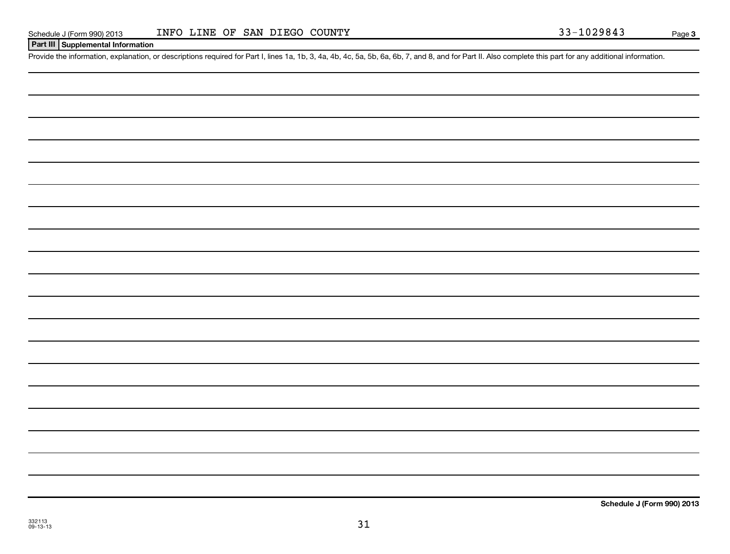| Schedule J (Form 990) 201 |  |  |
|---------------------------|--|--|
|                           |  |  |

**Page 3** 

### **Part III Supplemental Information**

Provide the information, explanation, or descriptions required for Part I, lines 1a, 1b, 3, 4a, 4b, 4c, 5a, 5b, 6a, 6b, 7, and 8, and for Part II. Also complete this part for any additional information.

**Schedule J (Form 990) 2013**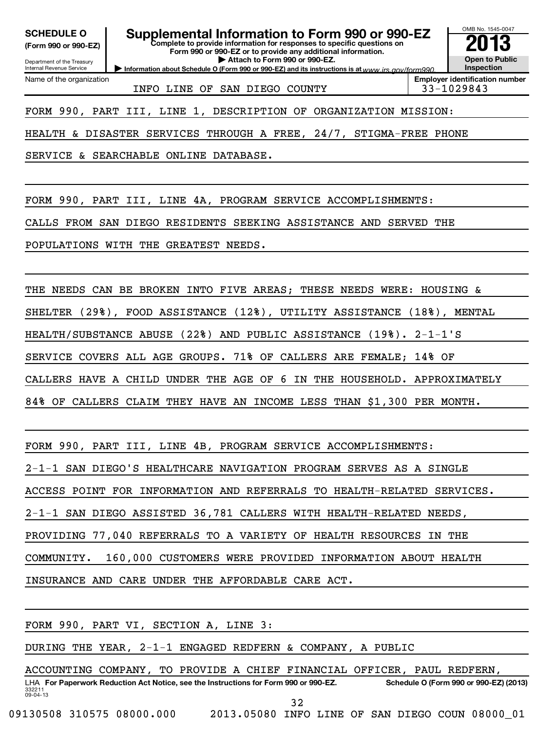### **(Form 990 or 990-EZ)**

### **SCHEDULE O Supplemental Information to Form 990 or 990-EZ 2013**

**Complete to provide information for responses to specific questions on Form 990 or 990-EZ or to provide any additional information.**

**| Attach to Form 990 or 990-EZ.**

Department of the Treasury Internal Revenue Service Name of the organization

INFO LINE OF SAN DIEGO COUNTY 33-1029843

**Information about Schedule O (Form 990 or 990-EZ) and its instructions is at www.irs.gov/form990. Inspection Employer identification number**

OMB No. 1545-0047

**Open to Public**

FORM 990, PART III, LINE 1, DESCRIPTION OF ORGANIZATION MISSION:

HEALTH & DISASTER SERVICES THROUGH A FREE, 24/7, STIGMA-FREE PHONE

SERVICE & SEARCHABLE ONLINE DATABASE.

FORM 990, PART III, LINE 4A, PROGRAM SERVICE ACCOMPLISHMENTS:

CALLS FROM SAN DIEGO RESIDENTS SEEKING ASSISTANCE AND SERVED THE

POPULATIONS WITH THE GREATEST NEEDS.

THE NEEDS CAN BE BROKEN INTO FIVE AREAS; THESE NEEDS WERE: HOUSING &

SHELTER (29%), FOOD ASSISTANCE (12%), UTILITY ASSISTANCE (18%), MENTAL

HEALTH/SUBSTANCE ABUSE (22%) AND PUBLIC ASSISTANCE (19%). 2-1-1'S

SERVICE COVERS ALL AGE GROUPS. 71% OF CALLERS ARE FEMALE; 14% OF

CALLERS HAVE A CHILD UNDER THE AGE OF 6 IN THE HOUSEHOLD. APPROXIMATELY

84% OF CALLERS CLAIM THEY HAVE AN INCOME LESS THAN \$1,300 PER MONTH.

FORM 990, PART III, LINE 4B, PROGRAM SERVICE ACCOMPLISHMENTS:

2-1-1 SAN DIEGO'S HEALTHCARE NAVIGATION PROGRAM SERVES AS A SINGLE

ACCESS POINT FOR INFORMATION AND REFERRALS TO HEALTH-RELATED SERVICES.

2-1-1 SAN DIEGO ASSISTED 36,781 CALLERS WITH HEALTH-RELATED NEEDS,

PROVIDING 77,040 REFERRALS TO A VARIETY OF HEALTH RESOURCES IN THE

COMMUNITY. 160,000 CUSTOMERS WERE PROVIDED INFORMATION ABOUT HEALTH

INSURANCE AND CARE UNDER THE AFFORDABLE CARE ACT.

|                           |  | FORM 990, PART VI, SECTION A, LINE 3:                                                |                                                 |    |  |                                        |  |  |
|---------------------------|--|--------------------------------------------------------------------------------------|-------------------------------------------------|----|--|----------------------------------------|--|--|
|                           |  | DURING THE YEAR, 2-1-1 ENGAGED REDFERN & COMPANY, A PUBLIC                           |                                                 |    |  |                                        |  |  |
|                           |  | ACCOUNTING COMPANY, TO PROVIDE A CHIEF FINANCIAL OFFICER, PAUL REDFERN,              |                                                 |    |  |                                        |  |  |
| 332211<br>$09 - 04 - 13$  |  | LHA For Paperwork Reduction Act Notice, see the Instructions for Form 990 or 990-EZ. |                                                 |    |  | Schedule O (Form 990 or 990-EZ) (2013) |  |  |
|                           |  |                                                                                      |                                                 | 32 |  |                                        |  |  |
| 09130508 310575 08000.000 |  |                                                                                      | 2013.05080 INFO LINE OF SAN DIEGO COUN 08000 01 |    |  |                                        |  |  |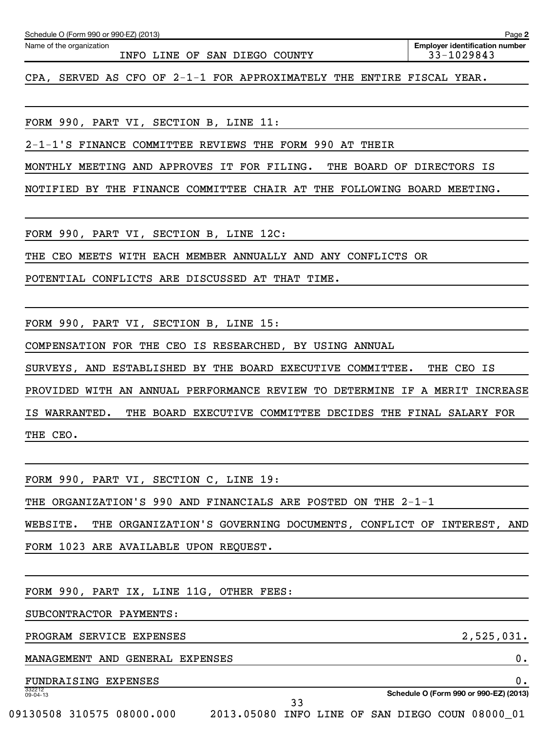| INFO LINE OF SAN DIEGO COUNTY                                                    | 33-1029843                                   |
|----------------------------------------------------------------------------------|----------------------------------------------|
| CPA, SERVED AS CFO OF 2-1-1 FOR APPROXIMATELY THE ENTIRE FISCAL YEAR.            |                                              |
|                                                                                  |                                              |
| FORM 990, PART VI, SECTION B, LINE 11:                                           |                                              |
| 2-1-1'S FINANCE COMMITTEE REVIEWS THE FORM 990 AT THEIR                          |                                              |
| MONTHLY MEETING AND APPROVES IT FOR FILING.                                      | THE BOARD OF DIRECTORS IS                    |
| NOTIFIED BY THE FINANCE COMMITTEE CHAIR AT THE FOLLOWING BOARD MEETING.          |                                              |
|                                                                                  |                                              |
| FORM 990, PART VI, SECTION B, LINE 12C:                                          |                                              |
| THE CEO MEETS WITH EACH MEMBER ANNUALLY AND ANY CONFLICTS OR                     |                                              |
| POTENTIAL CONFLICTS ARE DISCUSSED AT THAT TIME.                                  |                                              |
|                                                                                  |                                              |
| FORM 990, PART VI, SECTION B, LINE 15:                                           |                                              |
| COMPENSATION FOR THE CEO IS RESEARCHED, BY USING ANNUAL                          |                                              |
| SURVEYS, AND ESTABLISHED BY THE BOARD EXECUTIVE COMMITTEE. THE CEO IS            |                                              |
| PROVIDED WITH AN ANNUAL PERFORMANCE REVIEW TO DETERMINE IF A MERIT INCREASE      |                                              |
| IS WARRANTED.<br>THE BOARD EXECUTIVE COMMITTEE DECIDES THE FINAL SALARY FOR      |                                              |
| THE CEO.                                                                         |                                              |
|                                                                                  |                                              |
| FORM 990, PART VI, SECTION C, LINE 19:                                           |                                              |
| THE ORGANIZATION'S 990 AND FINANCIALS ARE POSTED ON THE 2-1-1                    |                                              |
| THE ORGANIZATION'S GOVERNING DOCUMENTS, CONFLICT OF INTEREST, AND<br>WEBSITE.    |                                              |
| FORM 1023 ARE AVAILABLE UPON REQUEST.                                            |                                              |
|                                                                                  |                                              |
| FORM 990, PART IX, LINE 11G, OTHER FEES:                                         |                                              |
| SUBCONTRACTOR PAYMENTS:                                                          |                                              |
| PROGRAM SERVICE EXPENSES                                                         | 2,525,031.                                   |
| MANAGEMENT AND GENERAL EXPENSES                                                  | 0.                                           |
| FUNDRAISING EXPENSES<br>332212<br>09-04-13                                       | 0.<br>Schedule O (Form 990 or 990-EZ) (2013) |
| 33<br>09130508 310575 08000.000  2013.05080 INFO LINE OF SAN DIEGO COUN 08000 01 |                                              |
|                                                                                  |                                              |

Schedule O (Form 990 or 990-EZ) (2013)

Name of the organization

**2**

**Employer identification number**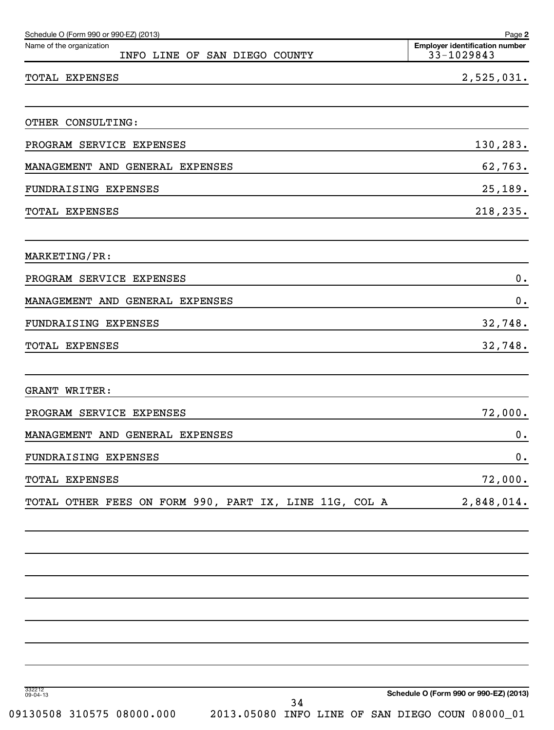| Schedule O (Form 990 or 990-EZ) (2013)<br>Name of the organization<br>INFO LINE OF SAN DIEGO COUNTY | Page 2<br><b>Employer identification number</b><br>33-1029843 |
|-----------------------------------------------------------------------------------------------------|---------------------------------------------------------------|
| TOTAL EXPENSES                                                                                      | 2,525,031.                                                    |
|                                                                                                     |                                                               |
| OTHER CONSULTING:                                                                                   |                                                               |
| PROGRAM SERVICE EXPENSES                                                                            | 130,283.                                                      |
| MANAGEMENT AND GENERAL EXPENSES                                                                     | 62,763.                                                       |
| FUNDRAISING EXPENSES                                                                                | 25,189.                                                       |
| <b>TOTAL EXPENSES</b>                                                                               | 218,235.                                                      |
| MARKETING/PR:                                                                                       |                                                               |
| PROGRAM SERVICE EXPENSES                                                                            | $0$ .                                                         |
| MANAGEMENT AND GENERAL EXPENSES                                                                     | 0.                                                            |
| FUNDRAISING EXPENSES                                                                                | 32,748.                                                       |
| TOTAL EXPENSES                                                                                      | 32,748.                                                       |
| <b>GRANT WRITER:</b>                                                                                |                                                               |
| PROGRAM SERVICE EXPENSES                                                                            | 72,000.                                                       |
| MANAGEMENT AND GENERAL EXPENSES                                                                     | 0.                                                            |
| FUNDRAISING EXPENSES                                                                                | 0.                                                            |
| TOTAL EXPENSES                                                                                      | 72,000.                                                       |
| TOTAL OTHER FEES ON FORM 990, PART IX, LINE 11G, COL A                                              | 2,848,014.                                                    |
|                                                                                                     |                                                               |
|                                                                                                     |                                                               |
|                                                                                                     |                                                               |
|                                                                                                     |                                                               |
|                                                                                                     |                                                               |
| 332212<br>09-04-13<br>34                                                                            | Schedule O (Form 990 or 990-EZ) (2013)                        |
| 09130508 310575 08000.000<br>2013.05080 INFO LINE OF SAN DIEGO COUN 08000_01                        |                                                               |